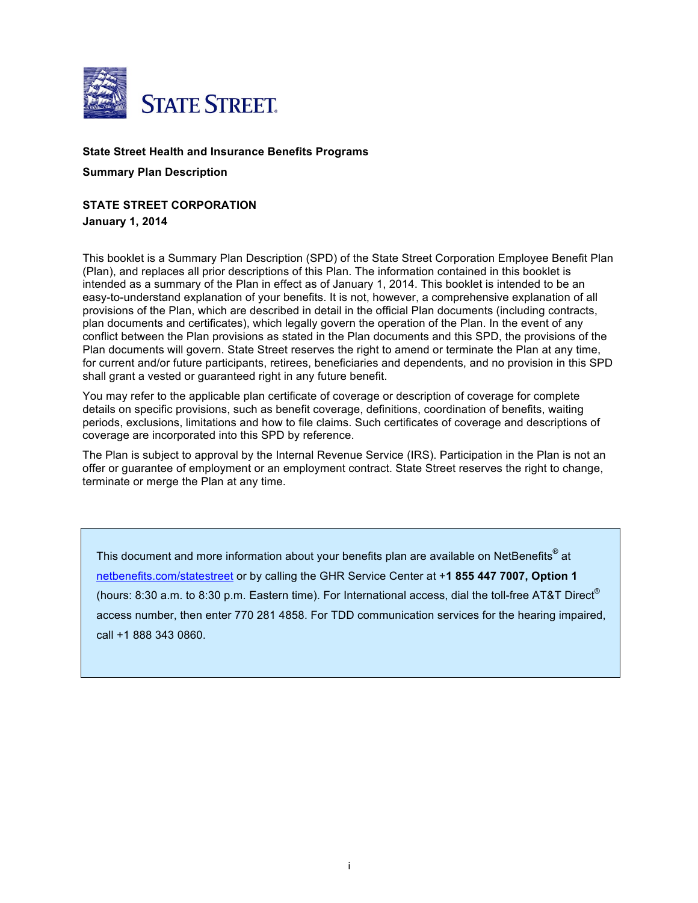

### **State Street Health and Insurance Benefits Programs**

**Summary Plan Description**

## **STATE STREET CORPORATION**

**January 1, 2014** 

This booklet is a Summary Plan Description (SPD) of the State Street Corporation Employee Benefit Plan (Plan), and replaces all prior descriptions of this Plan. The information contained in this booklet is intended as a summary of the Plan in effect as of January 1, 2014. This booklet is intended to be an easy-to-understand explanation of your benefits. It is not, however, a comprehensive explanation of all provisions of the Plan, which are described in detail in the official Plan documents (including contracts, plan documents and certificates), which legally govern the operation of the Plan. In the event of any conflict between the Plan provisions as stated in the Plan documents and this SPD, the provisions of the Plan documents will govern. State Street reserves the right to amend or terminate the Plan at any time, for current and/or future participants, retirees, beneficiaries and dependents, and no provision in this SPD shall grant a vested or guaranteed right in any future benefit.

You may refer to the applicable plan certificate of coverage or description of coverage for complete details on specific provisions, such as benefit coverage, definitions, coordination of benefits, waiting periods, exclusions, limitations and how to file claims. Such certificates of coverage and descriptions of coverage are incorporated into this SPD by reference.

The Plan is subject to approval by the Internal Revenue Service (IRS). Participation in the Plan is not an offer or guarantee of employment or an employment contract. State Street reserves the right to change, terminate or merge the Plan at any time.

This document and more information about your benefits plan are available on NetBenefits<sup>®</sup> at [netbenefits.com/statestreet](http://netbenefits.com/statestreet) or by calling the GHR Service Center at +**1 855 447 7007, Option 1**  (hours: 8:30 a.m. to 8:30 p.m. Eastern time). For International access, dial the toll-free AT&T Direct® access number, then enter 770 281 4858. For TDD communication services for the hearing impaired, call +1 888 343 0860.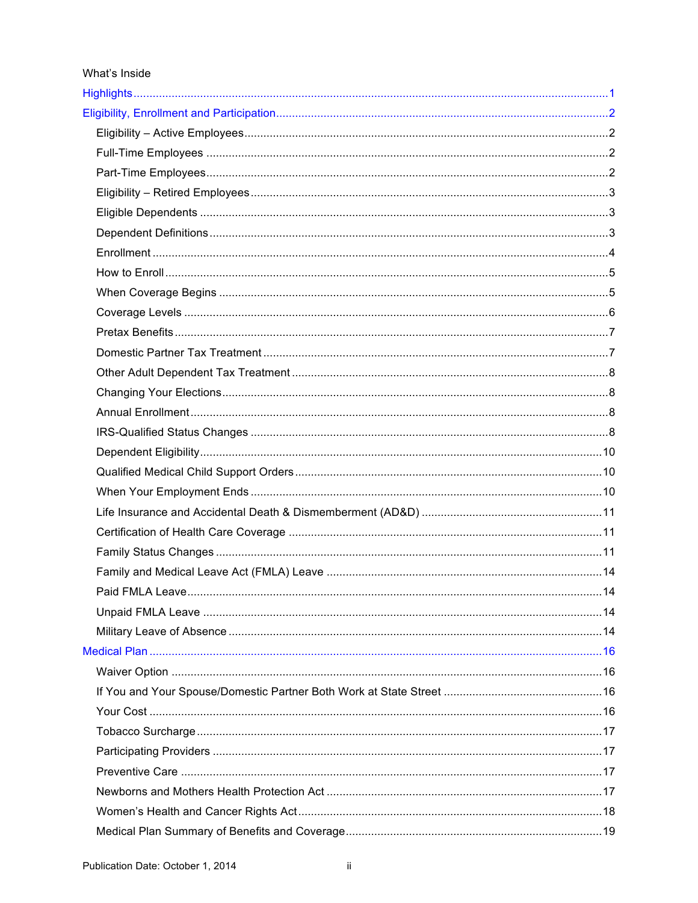#### What's Inside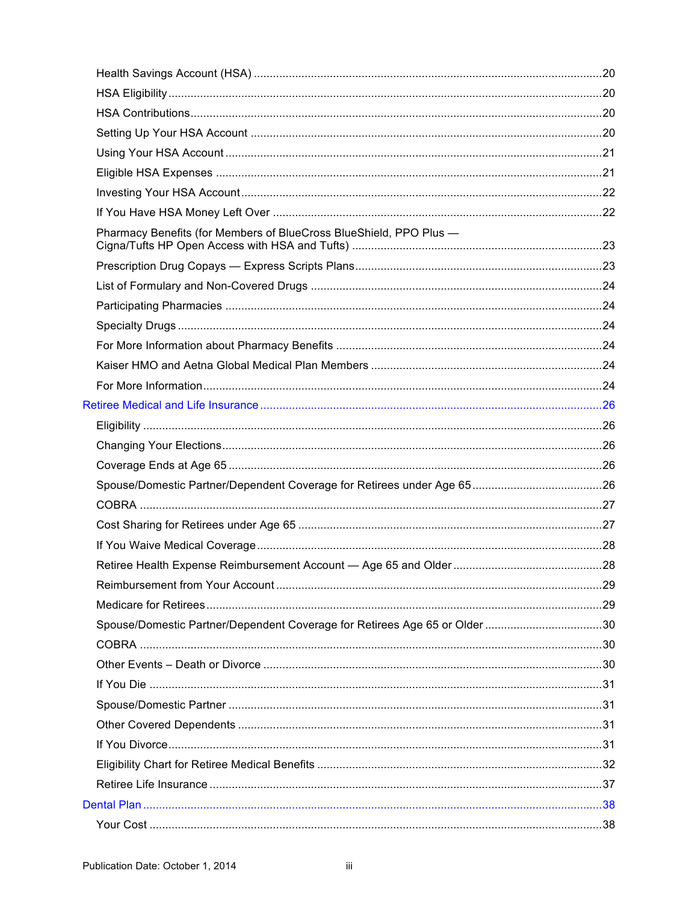| Pharmacy Benefits (for Members of BlueCross BlueShield, PPO Plus -         |  |
|----------------------------------------------------------------------------|--|
|                                                                            |  |
|                                                                            |  |
|                                                                            |  |
|                                                                            |  |
|                                                                            |  |
|                                                                            |  |
|                                                                            |  |
|                                                                            |  |
|                                                                            |  |
|                                                                            |  |
|                                                                            |  |
|                                                                            |  |
|                                                                            |  |
|                                                                            |  |
|                                                                            |  |
|                                                                            |  |
|                                                                            |  |
|                                                                            |  |
| Spouse/Domestic Partner/Dependent Coverage for Retirees Age 65 or Older 30 |  |
|                                                                            |  |
|                                                                            |  |
|                                                                            |  |
|                                                                            |  |
|                                                                            |  |
|                                                                            |  |
|                                                                            |  |
|                                                                            |  |
|                                                                            |  |
|                                                                            |  |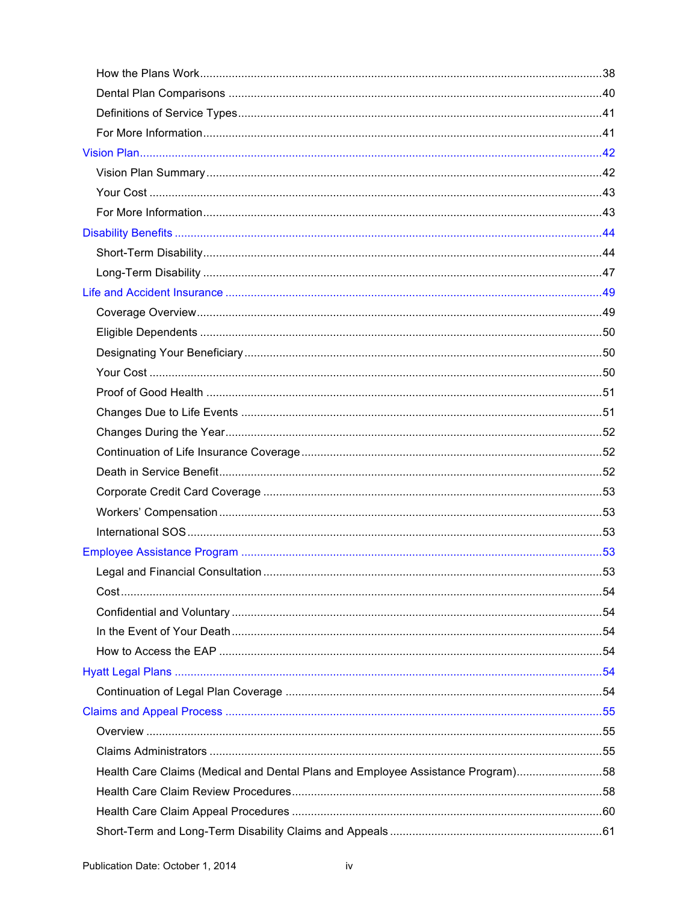| Health Care Claims (Medical and Dental Plans and Employee Assistance Program)58 |  |
|---------------------------------------------------------------------------------|--|
|                                                                                 |  |
|                                                                                 |  |
|                                                                                 |  |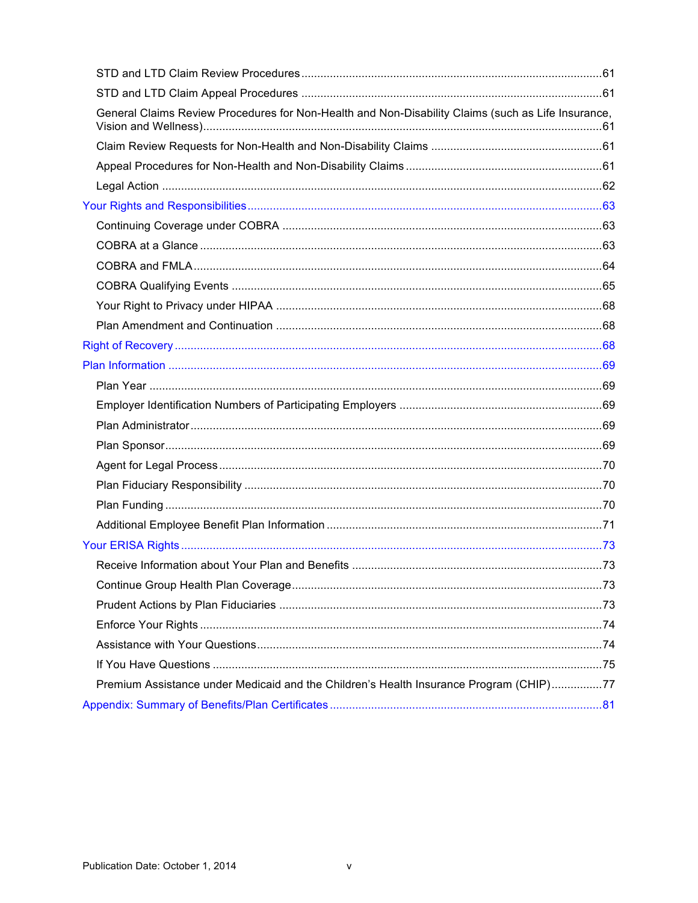| General Claims Review Procedures for Non-Health and Non-Disability Claims (such as Life Insurance, |  |
|----------------------------------------------------------------------------------------------------|--|
|                                                                                                    |  |
|                                                                                                    |  |
|                                                                                                    |  |
|                                                                                                    |  |
|                                                                                                    |  |
|                                                                                                    |  |
|                                                                                                    |  |
|                                                                                                    |  |
|                                                                                                    |  |
|                                                                                                    |  |
|                                                                                                    |  |
|                                                                                                    |  |
|                                                                                                    |  |
|                                                                                                    |  |
|                                                                                                    |  |
|                                                                                                    |  |
|                                                                                                    |  |
|                                                                                                    |  |
|                                                                                                    |  |
|                                                                                                    |  |
|                                                                                                    |  |
|                                                                                                    |  |
|                                                                                                    |  |
|                                                                                                    |  |
|                                                                                                    |  |
|                                                                                                    |  |
|                                                                                                    |  |
| Premium Assistance under Medicaid and the Children's Health Insurance Program (CHIP)77             |  |
|                                                                                                    |  |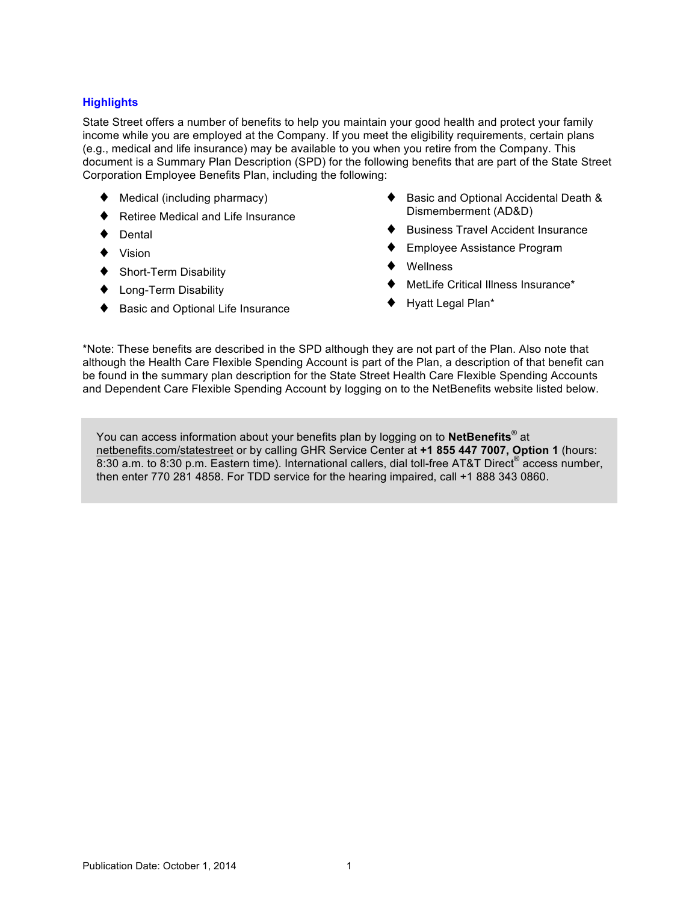## <span id="page-5-0"></span>**Highlights**

State Street offers a number of benefits to help you maintain your good health and protect your family income while you are employed at the Company. If you meet the eligibility requirements, certain plans (e.g., medical and life insurance) may be available to you when you retire from the Company. This document is a Summary Plan Description (SPD) for the following benefits that are part of the State Street Corporation Employee Benefits Plan, including the following:

- Medical (including pharmacy)
- Retiree Medical and Life Insurance
- Dental
- ♦ Vision
- Short-Term Disability
- ♦ Long-Term Disability
- Basic and Optional Life Insurance
- Basic and Optional Accidental Death & Dismemberment (AD&D)
- ♦ Business Travel Accident Insurance
- Employee Assistance Program
- **Wellness**
- MetLife Critical Illness Insurance\*
- Hyatt Legal Plan\*

\*Note: These benefits are described in the SPD although they are not part of the Plan. Also note that although the Health Care Flexible Spending Account is part of the Plan, a description of that benefit can be found in the summary plan description for the State Street Health Care Flexible Spending Accounts and Dependent Care Flexible Spending Account by logging on to the NetBenefits website listed below.

You can access information about your benefits plan by logging on to **NetBenefits**® at [netbenefits.com/statestreet](http://netbenefits.com/statestreet) or by calling GHR Service Center at **+1 855 447 7007, Option 1** (hours: 8:30 a.m. to 8:30 p.m. Eastern time). International callers, dial toll-free AT&T Direct<sup>®</sup> access number, then enter 770 281 4858. For TDD service for the hearing impaired, call +1 888 343 0860.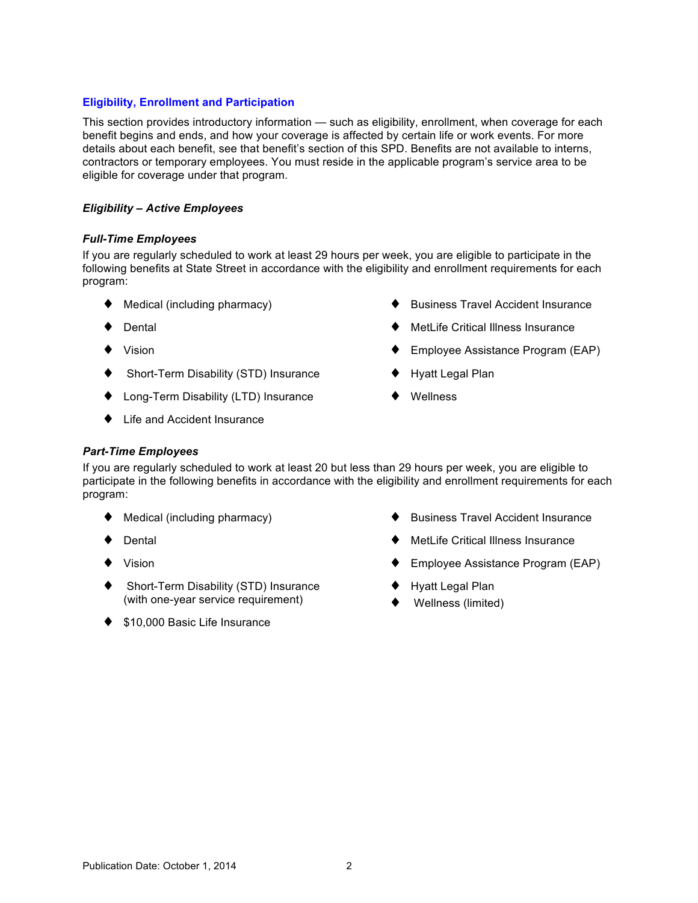### <span id="page-6-0"></span>**Eligibility, Enrollment and Participation**

This section provides introductory information — such as eligibility, enrollment, when coverage for each benefit begins and ends, and how your coverage is affected by certain life or work events. For more details about each benefit, see that benefit's section of this SPD. Benefits are not available to interns, contractors or temporary employees. You must reside in the applicable program's service area to be eligible for coverage under that program.

### *Eligibility – Active Employees*

### *Full-Time Employees*

If you are regularly scheduled to work at least 29 hours per week, you are eligible to participate in the following benefits at State Street in accordance with the eligibility and enrollment requirements for each program:

- $\blacklozenge$  Medical (including pharmacy)
- ♦ Dental
- ♦ Vision
- ♦ Short-Term Disability (STD) Insurance
- ♦ Long-Term Disability (LTD) Insurance
- ♦ Life and Accident Insurance
- **Business Travel Accident Insurance**
- **MetLife Critical Illness Insurance**
- Employee Assistance Program (EAP)
- Hyatt Legal Plan
- ♦ Wellness

### *Part-Time Employees*

If you are regularly scheduled to work at least 20 but less than 29 hours per week, you are eligible to participate in the following benefits in accordance with the eligibility and enrollment requirements for each program:

- $\blacklozenge$  Medical (including pharmacy)
- ♦ Dental
- ♦ Vision
- ♦ Short-Term Disability (STD) Insurance (with one-year service requirement)
- ◆ \$10,000 Basic Life Insurance
- **Business Travel Accident Insurance**
- MetLife Critical Illness Insurance
- Employee Assistance Program (EAP)
- **Hyatt Legal Plan**
- Wellness (limited)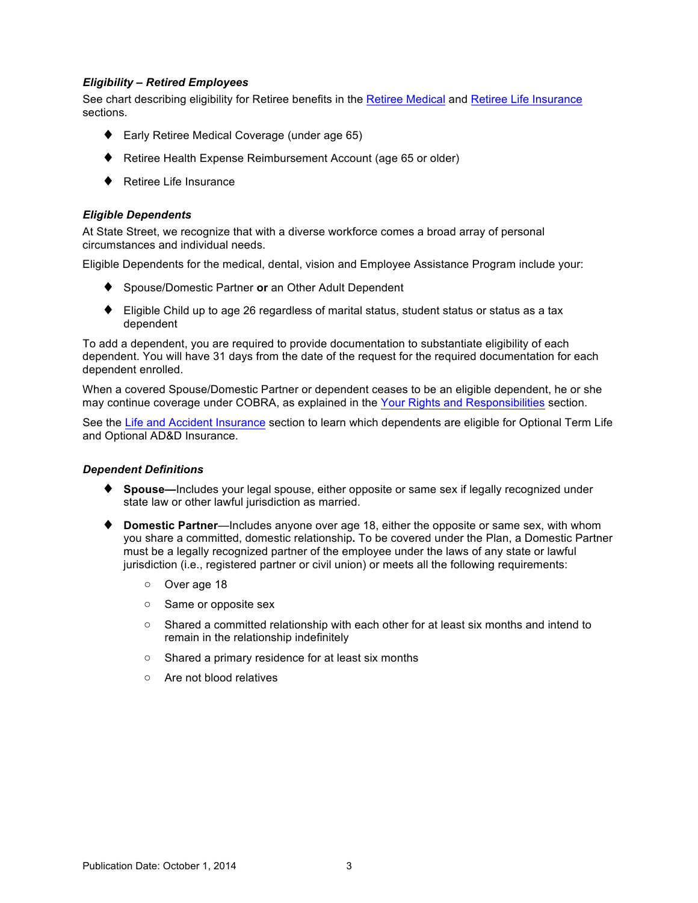### <span id="page-7-0"></span>*Eligibility – Retired Employees*

See chart describing eligibility for Retiree benefits in the [Retiree Medical](#page-36-0) and [Retiree Life Insurance](#page-41-0) sections.

- ♦ Early Retiree Medical Coverage (under age 65)
- ♦ Retiree Health Expense Reimbursement Account (age 65 or older)
- ♦ Retiree Life Insurance

### *Eligible Dependents*

At State Street, we recognize that with a diverse workforce comes a broad array of personal circumstances and individual needs.

Eligible Dependents for the medical, dental, vision and Employee Assistance Program include your:

- ♦ Spouse/Domestic Partner **or** an Other Adult Dependent
- $\blacklozenge$  Eligible Child up to age 26 regardless of marital status, student status or status as a tax dependent

To add a dependent, you are required to provide documentation to substantiate eligibility of each dependent. You will have 31 days from the date of the request for the required documentation for each dependent enrolled.

When a covered Spouse/Domestic Partner or dependent ceases to be an eligible dependent, he or she may continue coverage under COBRA, as explained in the [Your Rights and Responsibilities](#page-67-0) section.

See the [Life and Accident Insurance](#page-53-0) section to learn which dependents are eligible for Optional Term Life and Optional AD&D Insurance.

### *Dependent Definitions*

- ♦ **Spouse—**Includes your legal spouse, either opposite or same sex if legally recognized under state law or other lawful jurisdiction as married.
- ♦ **Domestic Partner**—Includes anyone over age 18, either the opposite or same sex, with whom you share a committed, domestic relationship**.** To be covered under the Plan, a Domestic Partner must be a legally recognized partner of the employee under the laws of any state or lawful jurisdiction (i.e., registered partner or civil union) or meets all the following requirements:
	- o Over age 18
	- o Same or opposite sex
	- $\circ$  Shared a committed relationship with each other for at least six months and intend to remain in the relationship indefinitely
	- o Shared a primary residence for at least six months
	- o Are not blood relatives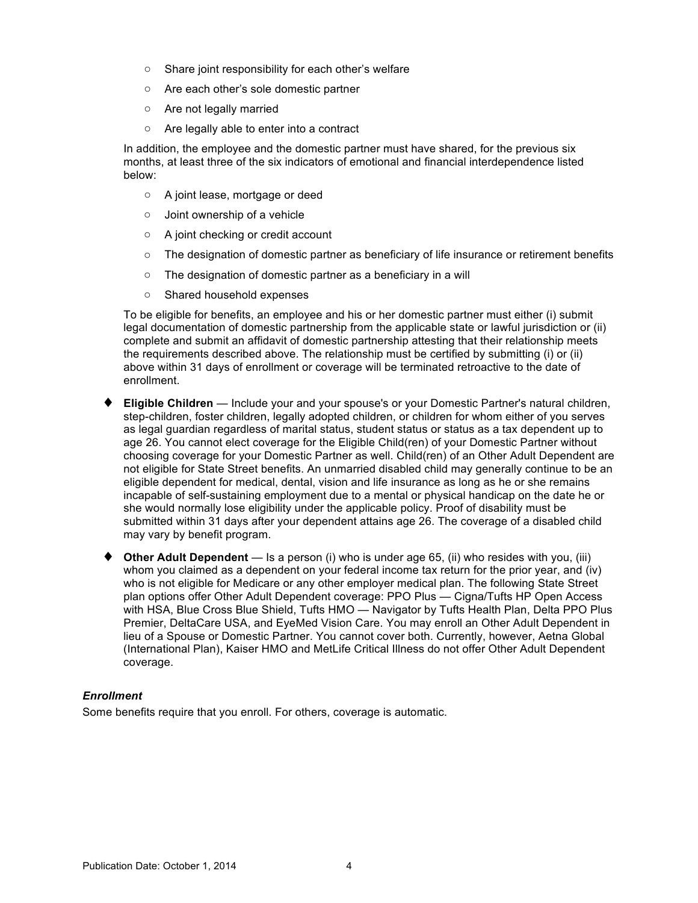- <span id="page-8-0"></span>o Share joint responsibility for each other's welfare
- o Are each other's sole domestic partner
- o Are not legally married
- o Are legally able to enter into a contract

In addition, the employee and the domestic partner must have shared, for the previous six months, at least three of the six indicators of emotional and financial interdependence listed below:

- o A joint lease, mortgage or deed
- o Joint ownership of a vehicle
- o A joint checking or credit account
- $\circ$  The designation of domestic partner as beneficiary of life insurance or retirement benefits
- o The designation of domestic partner as a beneficiary in a will
- o Shared household expenses

To be eligible for benefits, an employee and his or her domestic partner must either (i) submit legal documentation of domestic partnership from the applicable state or lawful jurisdiction or (ii) complete and submit an affidavit of domestic partnership attesting that their relationship meets the requirements described above. The relationship must be certified by submitting (i) or (ii) above within 31 days of enrollment or coverage will be terminated retroactive to the date of enrollment.

- **Eligible Children** Include your and your spouse's or your Domestic Partner's natural children, step-children, foster children, legally adopted children, or children for whom either of you serves as legal guardian regardless of marital status, student status or status as a tax dependent up to age 26. You cannot elect coverage for the Eligible Child(ren) of your Domestic Partner without choosing coverage for your Domestic Partner as well. Child(ren) of an Other Adult Dependent are not eligible for State Street benefits. An unmarried disabled child may generally continue to be an eligible dependent for medical, dental, vision and life insurance as long as he or she remains incapable of self-sustaining employment due to a mental or physical handicap on the date he or she would normally lose eligibility under the applicable policy. Proof of disability must be submitted within 31 days after your dependent attains age 26. The coverage of a disabled child may vary by benefit program.
- ♦ **Other Adult Dependent** Is a person (i) who is under age 65, (ii) who resides with you, (iii) whom you claimed as a dependent on your federal income tax return for the prior year, and (iv) who is not eligible for Medicare or any other employer medical plan. The following State Street plan options offer Other Adult Dependent coverage: PPO Plus — Cigna/Tufts HP Open Access with HSA, Blue Cross Blue Shield, Tufts HMO — Navigator by Tufts Health Plan, Delta PPO Plus Premier, DeltaCare USA, and EyeMed Vision Care. You may enroll an Other Adult Dependent in lieu of a Spouse or Domestic Partner. You cannot cover both. Currently, however, Aetna Global (International Plan), Kaiser HMO and MetLife Critical Illness do not offer Other Adult Dependent coverage.

### *Enrollment*

Some benefits require that you enroll. For others, coverage is automatic.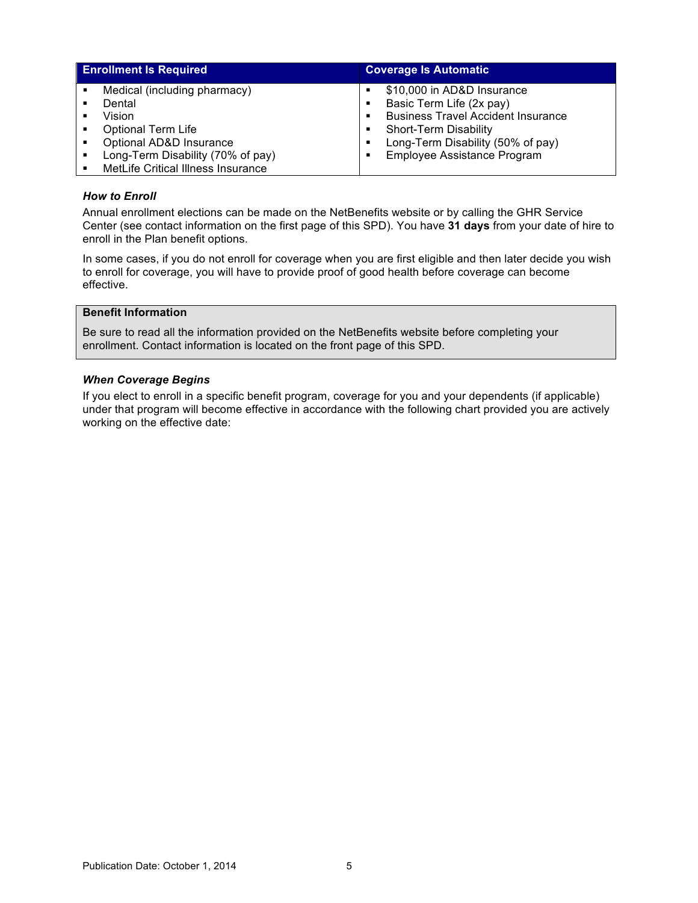<span id="page-9-0"></span>

| <b>Enrollment Is Required</b>      |   | <b>Coverage Is Automatic</b>              |
|------------------------------------|---|-------------------------------------------|
| Medical (including pharmacy)       |   | \$10,000 in AD&D Insurance                |
| Dental                             | ٠ | Basic Term Life (2x pay)                  |
| Vision                             |   | <b>Business Travel Accident Insurance</b> |
| <b>Optional Term Life</b>          |   | Short-Term Disability                     |
| Optional AD&D Insurance            |   | Long-Term Disability (50% of pay)         |
| Long-Term Disability (70% of pay)  | ٠ | Employee Assistance Program               |
| MetLife Critical Illness Insurance |   |                                           |

### *How to Enroll*

Annual enrollment elections can be made on the NetBenefits website or by calling the GHR Service Center (see contact information on the first page of this SPD). You have **31 days** from your date of hire to enroll in the Plan benefit options.

In some cases, if you do not enroll for coverage when you are first eligible and then later decide you wish to enroll for coverage, you will have to provide proof of good health before coverage can become effective.

### **Benefit Information**

Be sure to read all the information provided on the NetBenefits website before completing your enrollment. Contact information is located on the front page of this SPD.

#### *When Coverage Begins*

If you elect to enroll in a specific benefit program, coverage for you and your dependents (if applicable) under that program will become effective in accordance with the following chart provided you are actively working on the effective date: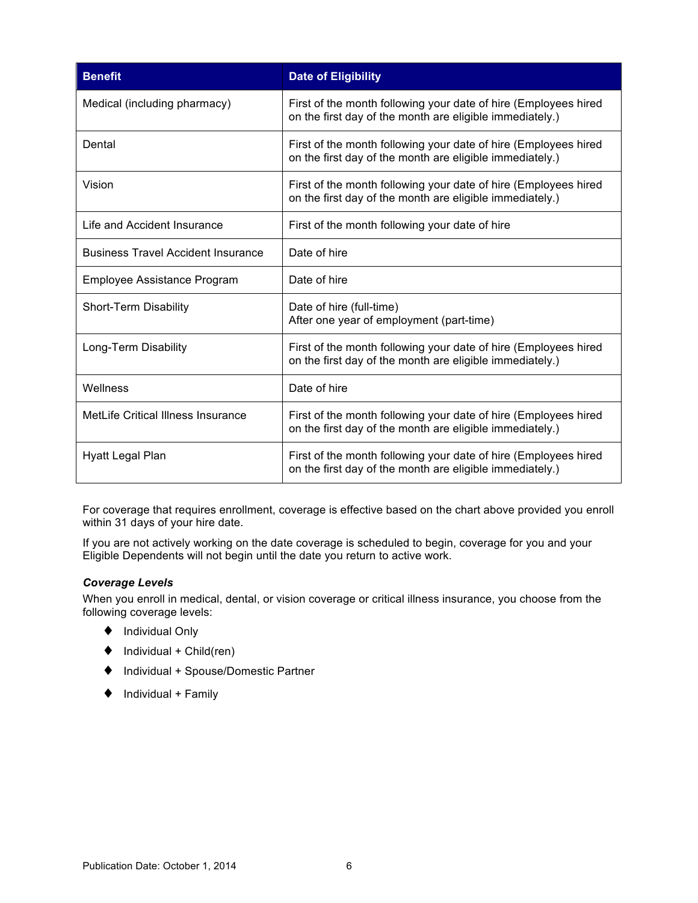<span id="page-10-0"></span>

| <b>Benefit</b>                            | <b>Date of Eligibility</b>                                                                                                  |
|-------------------------------------------|-----------------------------------------------------------------------------------------------------------------------------|
| Medical (including pharmacy)              | First of the month following your date of hire (Employees hired<br>on the first day of the month are eligible immediately.) |
| Dental                                    | First of the month following your date of hire (Employees hired<br>on the first day of the month are eligible immediately.) |
| Vision                                    | First of the month following your date of hire (Employees hired<br>on the first day of the month are eligible immediately.) |
| Life and Accident Insurance               | First of the month following your date of hire                                                                              |
| <b>Business Travel Accident Insurance</b> | Date of hire                                                                                                                |
| Employee Assistance Program               | Date of hire                                                                                                                |
| Short-Term Disability                     | Date of hire (full-time)<br>After one year of employment (part-time)                                                        |
| Long-Term Disability                      | First of the month following your date of hire (Employees hired<br>on the first day of the month are eligible immediately.) |
| Wellness                                  | Date of hire                                                                                                                |
| MetLife Critical Illness Insurance        | First of the month following your date of hire (Employees hired<br>on the first day of the month are eligible immediately.) |
| Hyatt Legal Plan                          | First of the month following your date of hire (Employees hired<br>on the first day of the month are eligible immediately.) |

For coverage that requires enrollment, coverage is effective based on the chart above provided you enroll within 31 days of your hire date.

If you are not actively working on the date coverage is scheduled to begin, coverage for you and your Eligible Dependents will not begin until the date you return to active work.

## *Coverage Levels*

When you enroll in medical, dental, or vision coverage or critical illness insurance, you choose from the following coverage levels:

- ♦ Individual Only
- $\blacklozenge$  Individual + Child(ren)
- ♦ Individual + Spouse/Domestic Partner
- $\blacklozenge$  Individual + Family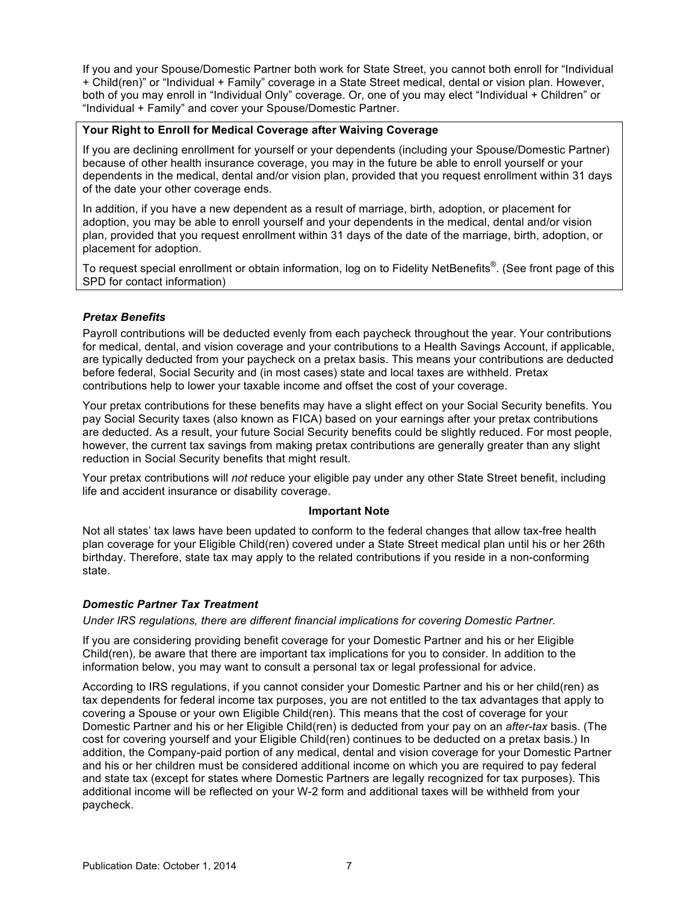<span id="page-11-0"></span>If you and your Spouse/Domestic Partner both work for State Street, you cannot both enroll for "Individual + Child(ren)" or "Individual + Family" coverage in a State Street medical, dental or vision plan. However, both of you may enroll in "Individual Only" coverage. Or, one of you may elect "Individual + Children" or "Individual + Family" and cover your Spouse/Domestic Partner.

### **Your Right to Enroll for Medical Coverage after Waiving Coverage**

If you are declining enrollment for yourself or your dependents (including your Spouse/Domestic Partner) because of other health insurance coverage, you may in the future be able to enroll yourself or your dependents in the medical, dental and/or vision plan, provided that you request enrollment within 31 days of the date your other coverage ends.

In addition, if you have a new dependent as a result of marriage, birth, adoption, or placement for adoption, you may be able to enroll yourself and your dependents in the medical, dental and/or vision plan, provided that you request enrollment within 31 days of the date of the marriage, birth, adoption, or placement for adoption.

To request special enrollment or obtain information, log on to Fidelity NetBenefits®. (See front page of this SPD for contact information)

## *Pretax Benefits*

Payroll contributions will be deducted evenly from each paycheck throughout the year. Your contributions for medical, dental, and vision coverage and your contributions to a Health Savings Account, if applicable, are typically deducted from your paycheck on a pretax basis. This means your contributions are deducted before federal, Social Security and (in most cases) state and local taxes are withheld. Pretax contributions help to lower your taxable income and offset the cost of your coverage.

Your pretax contributions for these benefits may have a slight effect on your Social Security benefits. You pay Social Security taxes (also known as FICA) based on your earnings after your pretax contributions are deducted. As a result, your future Social Security benefits could be slightly reduced. For most people, however, the current tax savings from making pretax contributions are generally greater than any slight reduction in Social Security benefits that might result.

Your pretax contributions will *not* reduce your eligible pay under any other State Street benefit, including life and accident insurance or disability coverage.

### **Important Note**

Not all states' tax laws have been updated to conform to the federal changes that allow tax-free health plan coverage for your Eligible Child(ren) covered under a State Street medical plan until his or her 26th birthday. Therefore, state tax may apply to the related contributions if you reside in a non-conforming state.

### *Domestic Partner Tax Treatment*

*Under IRS regulations, there are different financial implications for covering Domestic Partner.* 

If you are considering providing benefit coverage for your Domestic Partner and his or her Eligible Child(ren), be aware that there are important tax implications for you to consider. In addition to the information below, you may want to consult a personal tax or legal professional for advice.

According to IRS regulations, if you cannot consider your Domestic Partner and his or her child(ren) as tax dependents for federal income tax purposes, you are not entitled to the tax advantages that apply to covering a Spouse or your own Eligible Child(ren). This means that the cost of coverage for your Domestic Partner and his or her Eligible Child(ren) is deducted from your pay on an *after-tax* basis. (The cost for covering yourself and your Eligible Child(ren) continues to be deducted on a pretax basis.) In addition, the Company-paid portion of any medical, dental and vision coverage for your Domestic Partner and his or her children must be considered additional income on which you are required to pay federal and state tax (except for states where Domestic Partners are legally recognized for tax purposes). This additional income will be reflected on your W-2 form and additional taxes will be withheld from your paycheck.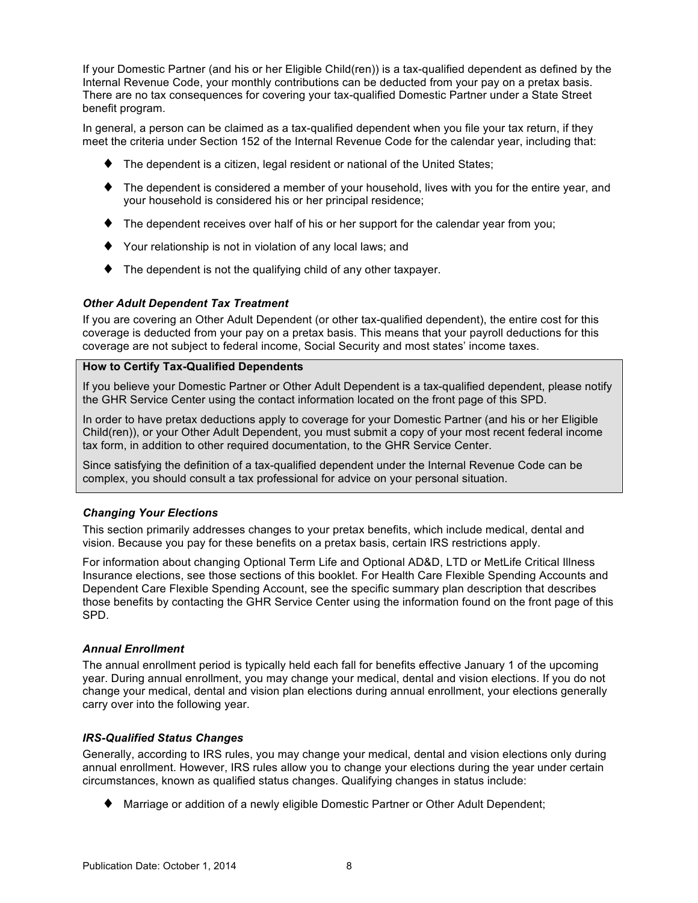<span id="page-12-0"></span>If your Domestic Partner (and his or her Eligible Child(ren)) is a tax-qualified dependent as defined by the Internal Revenue Code, your monthly contributions can be deducted from your pay on a pretax basis. There are no tax consequences for covering your tax-qualified Domestic Partner under a State Street benefit program.

In general, a person can be claimed as a tax-qualified dependent when you file your tax return, if they meet the criteria under Section 152 of the Internal Revenue Code for the calendar year, including that:

- ♦ The dependent is a citizen, legal resident or national of the United States;
- ♦ The dependent is considered a member of your household, lives with you for the entire year, and your household is considered his or her principal residence;
- $\blacklozenge$  The dependent receives over half of his or her support for the calendar year from you;
- ♦ Your relationship is not in violation of any local laws; and
- ♦ The dependent is not the qualifying child of any other taxpayer.

### *Other Adult Dependent Tax Treatment*

If you are covering an Other Adult Dependent (or other tax-qualified dependent), the entire cost for this coverage is deducted from your pay on a pretax basis. This means that your payroll deductions for this coverage are not subject to federal income, Social Security and most states' income taxes.

### **How to Certify Tax-Qualified Dependents**

If you believe your Domestic Partner or Other Adult Dependent is a tax-qualified dependent, please notify the GHR Service Center using the contact information located on the front page of this SPD.

In order to have pretax deductions apply to coverage for your Domestic Partner (and his or her Eligible Child(ren)), or your Other Adult Dependent, you must submit a copy of your most recent federal income tax form, in addition to other required documentation, to the GHR Service Center.

Since satisfying the definition of a tax-qualified dependent under the Internal Revenue Code can be complex, you should consult a tax professional for advice on your personal situation.

### *Changing Your Elections*

This section primarily addresses changes to your pretax benefits, which include medical, dental and vision. Because you pay for these benefits on a pretax basis, certain IRS restrictions apply.

For information about changing Optional Term Life and Optional AD&D, LTD or MetLife Critical Illness Insurance elections, see those sections of this booklet. For Health Care Flexible Spending Accounts and Dependent Care Flexible Spending Account, see the specific summary plan description that describes those benefits by contacting the GHR Service Center using the information found on the front page of this SPD.

### *Annual Enrollment*

The annual enrollment period is typically held each fall for benefits effective January 1 of the upcoming year. During annual enrollment, you may change your medical, dental and vision elections. If you do not change your medical, dental and vision plan elections during annual enrollment, your elections generally carry over into the following year.

### *IRS-Qualified Status Changes*

Generally, according to IRS rules, you may change your medical, dental and vision elections only during annual enrollment. However, IRS rules allow you to change your elections during the year under certain circumstances, known as qualified status changes. Qualifying changes in status include:

♦ Marriage or addition of a newly eligible Domestic Partner or Other Adult Dependent;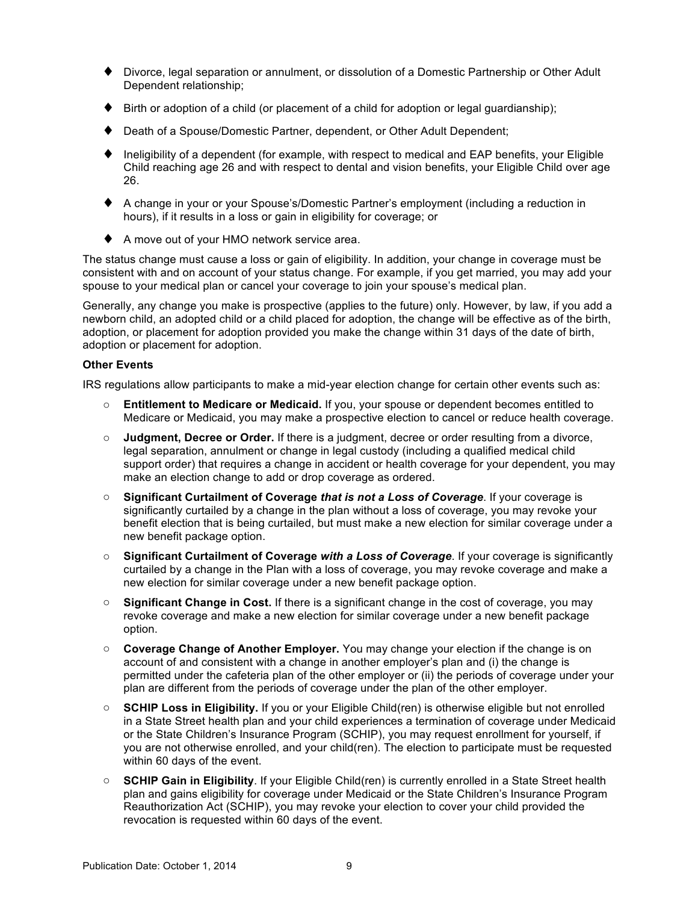- ♦ Divorce, legal separation or annulment, or dissolution of a Domestic Partnership or Other Adult Dependent relationship;
- $\blacktriangleright$  Birth or adoption of a child (or placement of a child for adoption or legal guardianship);
- ♦ Death of a Spouse/Domestic Partner, dependent, or Other Adult Dependent;
- $\blacklozenge$  Ineligibility of a dependent (for example, with respect to medical and EAP benefits, your Eligible Child reaching age 26 and with respect to dental and vision benefits, your Eligible Child over age 26.
- ♦ A change in your or your Spouse's/Domestic Partner's employment (including a reduction in hours), if it results in a loss or gain in eligibility for coverage; or
- ♦ A move out of your HMO network service area.

The status change must cause a loss or gain of eligibility. In addition, your change in coverage must be consistent with and on account of your status change. For example, if you get married, you may add your spouse to your medical plan or cancel your coverage to join your spouse's medical plan.

Generally, any change you make is prospective (applies to the future) only. However, by law, if you add a newborn child, an adopted child or a child placed for adoption, the change will be effective as of the birth, adoption, or placement for adoption provided you make the change within 31 days of the date of birth, adoption or placement for adoption.

### **Other Events**

IRS regulations allow participants to make a mid-year election change for certain other events such as:

- o **Entitlement to Medicare or Medicaid.** If you, your spouse or dependent becomes entitled to Medicare or Medicaid, you may make a prospective election to cancel or reduce health coverage.
- o **Judgment, Decree or Order.** If there is a judgment, decree or order resulting from a divorce, legal separation, annulment or change in legal custody (including a qualified medical child support order) that requires a change in accident or health coverage for your dependent, you may make an election change to add or drop coverage as ordered.
- o **Significant Curtailment of Coverage** *that is not a Loss of Coverage*. If your coverage is significantly curtailed by a change in the plan without a loss of coverage, you may revoke your benefit election that is being curtailed, but must make a new election for similar coverage under a new benefit package option.
- o **Significant Curtailment of Coverage** *with a Loss of Coverage*. If your coverage is significantly curtailed by a change in the Plan with a loss of coverage, you may revoke coverage and make a new election for similar coverage under a new benefit package option.
- o **Significant Change in Cost.** If there is a significant change in the cost of coverage, you may revoke coverage and make a new election for similar coverage under a new benefit package option.
- o **Coverage Change of Another Employer.** You may change your election if the change is on account of and consistent with a change in another employer's plan and (i) the change is permitted under the cafeteria plan of the other employer or (ii) the periods of coverage under your plan are different from the periods of coverage under the plan of the other employer.
- **SCHIP Loss in Eligibility.** If you or your Eligible Child(ren) is otherwise eligible but not enrolled in a State Street health plan and your child experiences a termination of coverage under Medicaid or the State Children's Insurance Program (SCHIP), you may request enrollment for yourself, if you are not otherwise enrolled, and your child(ren). The election to participate must be requested within 60 days of the event.
- o **SCHIP Gain in Eligibility**. If your Eligible Child(ren) is currently enrolled in a State Street health plan and gains eligibility for coverage under Medicaid or the State Children's Insurance Program Reauthorization Act (SCHIP), you may revoke your election to cover your child provided the revocation is requested within 60 days of the event.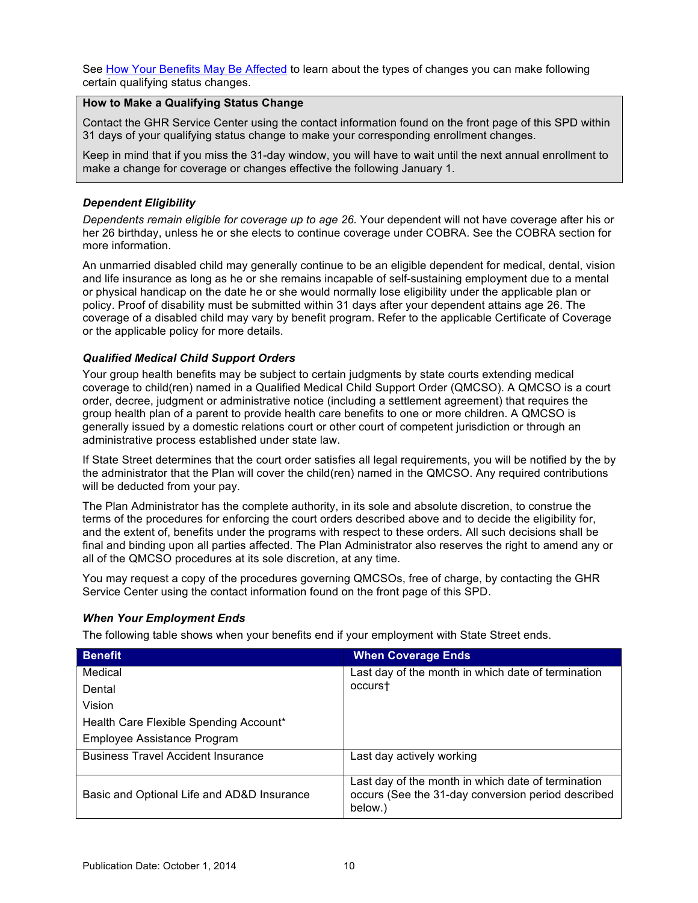<span id="page-14-0"></span>See [How Your Benefits May Be Affected](#page-16-0) to learn about the types of changes you can make following certain qualifying status changes.

## **How to Make a Qualifying Status Change**

Contact the GHR Service Center using the contact information found on the front page of this SPD within 31 days of your qualifying status change to make your corresponding enrollment changes.

Keep in mind that if you miss the 31-day window, you will have to wait until the next annual enrollment to make a change for coverage or changes effective the following January 1.

## *Dependent Eligibility*

*Dependents remain eligible for coverage up to age 26.* Your dependent will not have coverage after his or her 26 birthday, unless he or she elects to continue coverage under COBRA. See the COBRA section for more information.

An unmarried disabled child may generally continue to be an eligible dependent for medical, dental, vision and life insurance as long as he or she remains incapable of self-sustaining employment due to a mental or physical handicap on the date he or she would normally lose eligibility under the applicable plan or policy. Proof of disability must be submitted within 31 days after your dependent attains age 26. The coverage of a disabled child may vary by benefit program. Refer to the applicable Certificate of Coverage or the applicable policy for more details.

## *Qualified Medical Child Support Orders*

Your group health benefits may be subject to certain judgments by state courts extending medical coverage to child(ren) named in a Qualified Medical Child Support Order (QMCSO). A QMCSO is a court order, decree, judgment or administrative notice (including a settlement agreement) that requires the group health plan of a parent to provide health care benefits to one or more children. A QMCSO is generally issued by a domestic relations court or other court of competent jurisdiction or through an administrative process established under state law.

If State Street determines that the court order satisfies all legal requirements, you will be notified by the by the administrator that the Plan will cover the child(ren) named in the QMCSO. Any required contributions will be deducted from your pay.

The Plan Administrator has the complete authority, in its sole and absolute discretion, to construe the terms of the procedures for enforcing the court orders described above and to decide the eligibility for, and the extent of, benefits under the programs with respect to these orders. All such decisions shall be final and binding upon all parties affected. The Plan Administrator also reserves the right to amend any or all of the QMCSO procedures at its sole discretion, at any time.

You may request a copy of the procedures governing QMCSOs, free of charge, by contacting the GHR Service Center using the contact information found on the front page of this SPD.

### *When Your Employment Ends*

The following table shows when your benefits end if your employment with State Street ends.

| <b>Benefit</b>                             | <b>When Coverage Ends</b>                                                                                           |
|--------------------------------------------|---------------------------------------------------------------------------------------------------------------------|
| Medical                                    | Last day of the month in which date of termination                                                                  |
| Dental                                     | occurst                                                                                                             |
| Vision                                     |                                                                                                                     |
| Health Care Flexible Spending Account*     |                                                                                                                     |
| Employee Assistance Program                |                                                                                                                     |
| <b>Business Travel Accident Insurance</b>  | Last day actively working                                                                                           |
| Basic and Optional Life and AD&D Insurance | Last day of the month in which date of termination<br>occurs (See the 31-day conversion period described<br>below.) |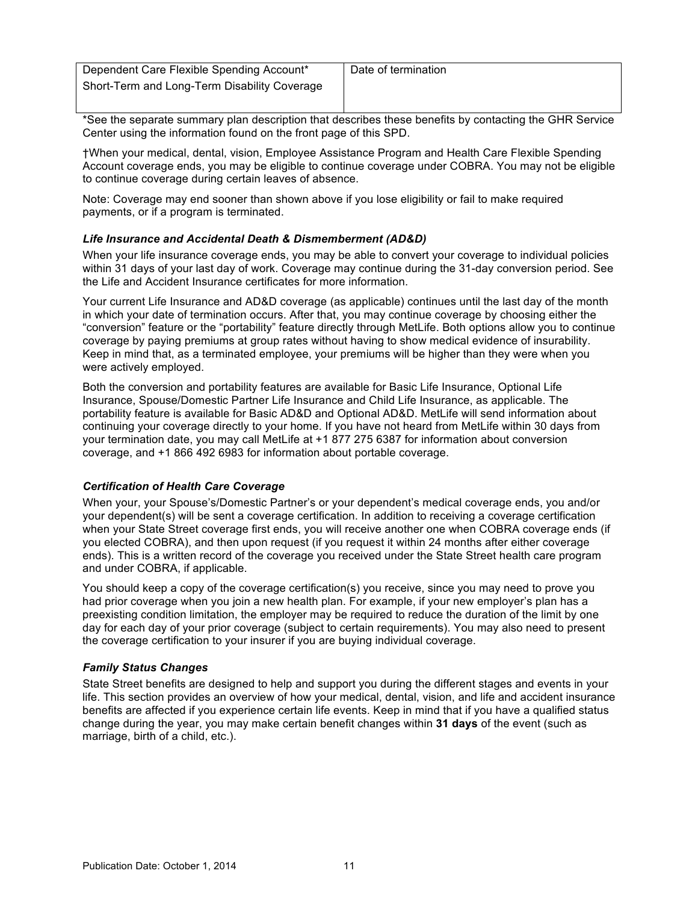<span id="page-15-0"></span>

| Dependent Care Flexible Spending Account*    | Date of termination |
|----------------------------------------------|---------------------|
| Short-Term and Long-Term Disability Coverage |                     |
|                                              |                     |

\*See the separate summary plan description that describes these benefits by contacting the GHR Service Center using the information found on the front page of this SPD.

†When your medical, dental, vision, Employee Assistance Program and Health Care Flexible Spending Account coverage ends, you may be eligible to continue coverage under COBRA. You may not be eligible to continue coverage during certain leaves of absence.

Note: Coverage may end sooner than shown above if you lose eligibility or fail to make required payments, or if a program is terminated.

### *Life Insurance and Accidental Death & Dismemberment (AD&D)*

When your life insurance coverage ends, you may be able to convert your coverage to individual policies within 31 days of your last day of work. Coverage may continue during the 31-day conversion period. See the Life and Accident Insurance certificates for more information.

Your current Life Insurance and AD&D coverage (as applicable) continues until the last day of the month in which your date of termination occurs. After that, you may continue coverage by choosing either the "conversion" feature or the "portability" feature directly through MetLife. Both options allow you to continue coverage by paying premiums at group rates without having to show medical evidence of insurability. Keep in mind that, as a terminated employee, your premiums will be higher than they were when you were actively employed.

Both the conversion and portability features are available for Basic Life Insurance, Optional Life Insurance, Spouse/Domestic Partner Life Insurance and Child Life Insurance, as applicable. The portability feature is available for Basic AD&D and Optional AD&D. MetLife will send information about continuing your coverage directly to your home. If you have not heard from MetLife within 30 days from your termination date, you may call MetLife at +1 877 275 6387 for information about conversion coverage, and +1 866 492 6983 for information about portable coverage.

## *Certification of Health Care Coverage*

When your, your Spouse's/Domestic Partner's or your dependent's medical coverage ends, you and/or your dependent(s) will be sent a coverage certification. In addition to receiving a coverage certification when your State Street coverage first ends, you will receive another one when COBRA coverage ends (if you elected COBRA), and then upon request (if you request it within 24 months after either coverage ends). This is a written record of the coverage you received under the State Street health care program and under COBRA, if applicable.

You should keep a copy of the coverage certification(s) you receive, since you may need to prove you had prior coverage when you join a new health plan. For example, if your new employer's plan has a preexisting condition limitation, the employer may be required to reduce the duration of the limit by one day for each day of your prior coverage (subject to certain requirements). You may also need to present the coverage certification to your insurer if you are buying individual coverage.

### *Family Status Changes*

State Street benefits are designed to help and support you during the different stages and events in your life. This section provides an overview of how your medical, dental, vision, and life and accident insurance benefits are affected if you experience certain life events. Keep in mind that if you have a qualified status change during the year, you may make certain benefit changes within **31 days** of the event (such as marriage, birth of a child, etc.).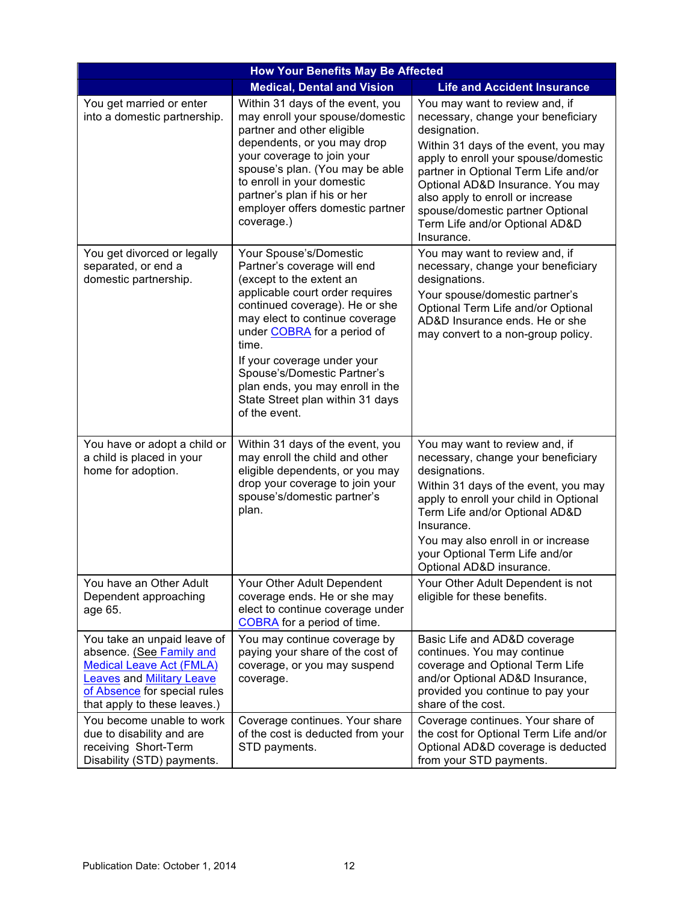<span id="page-16-0"></span>

| <b>How Your Benefits May Be Affected</b>                                                                                                                                                       |                                                                                                                                                                                                                                                                                                                                                                                         |                                                                                                                                                                                                                                                                                                                                                                          |  |
|------------------------------------------------------------------------------------------------------------------------------------------------------------------------------------------------|-----------------------------------------------------------------------------------------------------------------------------------------------------------------------------------------------------------------------------------------------------------------------------------------------------------------------------------------------------------------------------------------|--------------------------------------------------------------------------------------------------------------------------------------------------------------------------------------------------------------------------------------------------------------------------------------------------------------------------------------------------------------------------|--|
|                                                                                                                                                                                                | <b>Life and Accident Insurance</b>                                                                                                                                                                                                                                                                                                                                                      |                                                                                                                                                                                                                                                                                                                                                                          |  |
| You get married or enter<br>into a domestic partnership.                                                                                                                                       | Within 31 days of the event, you<br>may enroll your spouse/domestic<br>partner and other eligible<br>dependents, or you may drop<br>your coverage to join your<br>spouse's plan. (You may be able<br>to enroll in your domestic<br>partner's plan if his or her<br>employer offers domestic partner<br>coverage.)                                                                       | You may want to review and, if<br>necessary, change your beneficiary<br>designation.<br>Within 31 days of the event, you may<br>apply to enroll your spouse/domestic<br>partner in Optional Term Life and/or<br>Optional AD&D Insurance. You may<br>also apply to enroll or increase<br>spouse/domestic partner Optional<br>Term Life and/or Optional AD&D<br>Insurance. |  |
| You get divorced or legally<br>separated, or end a<br>domestic partnership.                                                                                                                    | Your Spouse's/Domestic<br>Partner's coverage will end<br>(except to the extent an<br>applicable court order requires<br>continued coverage). He or she<br>may elect to continue coverage<br>under COBRA for a period of<br>time.<br>If your coverage under your<br>Spouse's/Domestic Partner's<br>plan ends, you may enroll in the<br>State Street plan within 31 days<br>of the event. | You may want to review and, if<br>necessary, change your beneficiary<br>designations.<br>Your spouse/domestic partner's<br>Optional Term Life and/or Optional<br>AD&D Insurance ends. He or she<br>may convert to a non-group policy.                                                                                                                                    |  |
| You have or adopt a child or<br>a child is placed in your<br>home for adoption.                                                                                                                | Within 31 days of the event, you<br>may enroll the child and other<br>eligible dependents, or you may<br>drop your coverage to join your<br>spouse's/domestic partner's<br>plan.                                                                                                                                                                                                        | You may want to review and, if<br>necessary, change your beneficiary<br>designations.<br>Within 31 days of the event, you may<br>apply to enroll your child in Optional<br>Term Life and/or Optional AD&D<br>Insurance.<br>You may also enroll in or increase<br>your Optional Term Life and/or<br>Optional AD&D insurance.                                              |  |
| You have an Other Adult<br>Dependent approaching<br>age 65.                                                                                                                                    | Your Other Adult Dependent<br>coverage ends. He or she may<br>elect to continue coverage under<br>COBRA for a period of time.                                                                                                                                                                                                                                                           | Your Other Adult Dependent is not<br>eligible for these benefits.                                                                                                                                                                                                                                                                                                        |  |
| You take an unpaid leave of<br>absence. (See Family and<br><b>Medical Leave Act (FMLA)</b><br><b>Leaves and Military Leave</b><br>of Absence for special rules<br>that apply to these leaves.) | You may continue coverage by<br>paying your share of the cost of<br>coverage, or you may suspend<br>coverage.                                                                                                                                                                                                                                                                           | Basic Life and AD&D coverage<br>continues. You may continue<br>coverage and Optional Term Life<br>and/or Optional AD&D Insurance,<br>provided you continue to pay your<br>share of the cost.                                                                                                                                                                             |  |
| You become unable to work<br>due to disability and are<br>receiving Short-Term<br>Disability (STD) payments.                                                                                   | Coverage continues. Your share<br>of the cost is deducted from your<br>STD payments.                                                                                                                                                                                                                                                                                                    | Coverage continues. Your share of<br>the cost for Optional Term Life and/or<br>Optional AD&D coverage is deducted<br>from your STD payments.                                                                                                                                                                                                                             |  |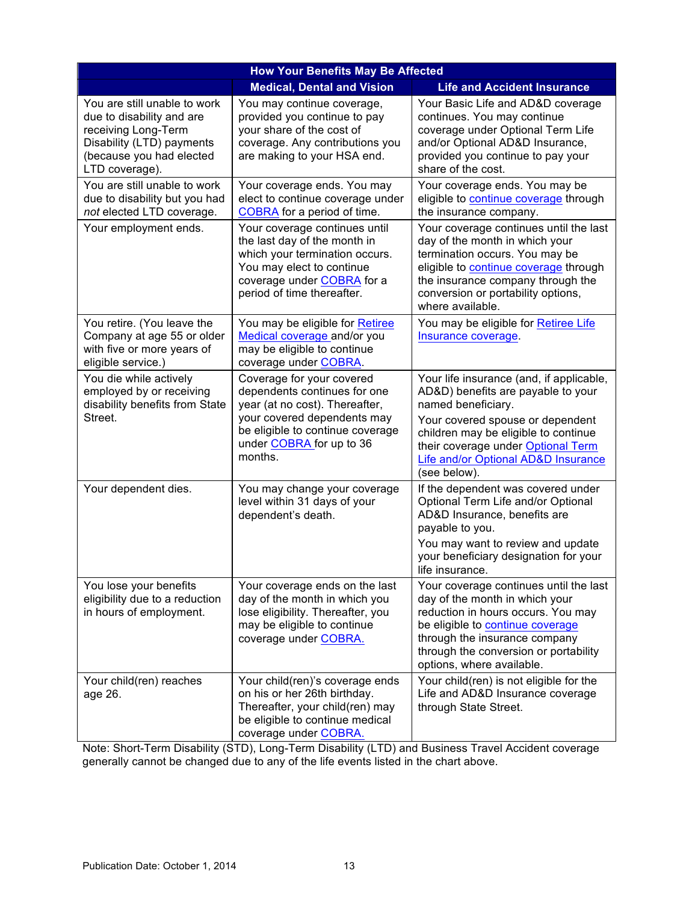| <b>How Your Benefits May Be Affected</b>                                                                                                                    |                                                                                                                                                                                                       |                                                                                                                                                                                                                                                                               |  |
|-------------------------------------------------------------------------------------------------------------------------------------------------------------|-------------------------------------------------------------------------------------------------------------------------------------------------------------------------------------------------------|-------------------------------------------------------------------------------------------------------------------------------------------------------------------------------------------------------------------------------------------------------------------------------|--|
|                                                                                                                                                             | <b>Medical, Dental and Vision</b>                                                                                                                                                                     | <b>Life and Accident Insurance</b>                                                                                                                                                                                                                                            |  |
| You are still unable to work<br>due to disability and are<br>receiving Long-Term<br>Disability (LTD) payments<br>(because you had elected<br>LTD coverage). | You may continue coverage,<br>provided you continue to pay<br>your share of the cost of<br>coverage. Any contributions you<br>are making to your HSA end.                                             | Your Basic Life and AD&D coverage<br>continues. You may continue<br>coverage under Optional Term Life<br>and/or Optional AD&D Insurance,<br>provided you continue to pay your<br>share of the cost.                                                                           |  |
| You are still unable to work<br>due to disability but you had<br>not elected LTD coverage.                                                                  | Your coverage ends. You may<br>elect to continue coverage under<br>COBRA for a period of time.                                                                                                        | Your coverage ends. You may be<br>eligible to continue coverage through<br>the insurance company.                                                                                                                                                                             |  |
| Your employment ends.                                                                                                                                       | Your coverage continues until<br>the last day of the month in<br>which your termination occurs.<br>You may elect to continue<br>coverage under <b>COBRA</b> for a<br>period of time thereafter.       | Your coverage continues until the last<br>day of the month in which your<br>termination occurs. You may be<br>eligible to continue coverage through<br>the insurance company through the<br>conversion or portability options,<br>where available.                            |  |
| You retire. (You leave the<br>Company at age 55 or older<br>with five or more years of<br>eligible service.)                                                | You may be eligible for Retiree<br>Medical coverage and/or you<br>may be eligible to continue<br>coverage under COBRA.                                                                                | You may be eligible for Retiree Life<br>Insurance coverage.                                                                                                                                                                                                                   |  |
| You die while actively<br>employed by or receiving<br>disability benefits from State<br>Street.                                                             | Coverage for your covered<br>dependents continues for one<br>year (at no cost). Thereafter,<br>your covered dependents may<br>be eligible to continue coverage<br>under COBRA for up to 36<br>months. | Your life insurance (and, if applicable,<br>AD&D) benefits are payable to your<br>named beneficiary.<br>Your covered spouse or dependent<br>children may be eligible to continue<br>their coverage under Optional Term<br>Life and/or Optional AD&D Insurance<br>(see below). |  |
| Your dependent dies.                                                                                                                                        | You may change your coverage<br>level within 31 days of your<br>dependent's death.                                                                                                                    | If the dependent was covered under<br>Optional Term Life and/or Optional<br>AD&D Insurance, benefits are<br>payable to you.<br>You may want to review and update<br>your beneficiary designation for your<br>life insurance.                                                  |  |
| You lose your benefits<br>eligibility due to a reduction<br>in hours of employment.                                                                         | Your coverage ends on the last<br>day of the month in which you<br>lose eligibility. Thereafter, you<br>may be eligible to continue<br>coverage under <b>COBRA.</b>                                   | Your coverage continues until the last<br>day of the month in which your<br>reduction in hours occurs. You may<br>be eligible to continue coverage<br>through the insurance company<br>through the conversion or portability<br>options, where available.                     |  |
| Your child(ren) reaches<br>age 26.                                                                                                                          | Your child(ren)'s coverage ends<br>on his or her 26th birthday.<br>Thereafter, your child(ren) may<br>be eligible to continue medical<br>coverage under COBRA.                                        | Your child(ren) is not eligible for the<br>Life and AD&D Insurance coverage<br>through State Street.                                                                                                                                                                          |  |

Note: Short-Term Disability (STD), Long-Term Disability (LTD) and Business Travel Accident coverage generally cannot be changed due to any of the life events listed in the chart above.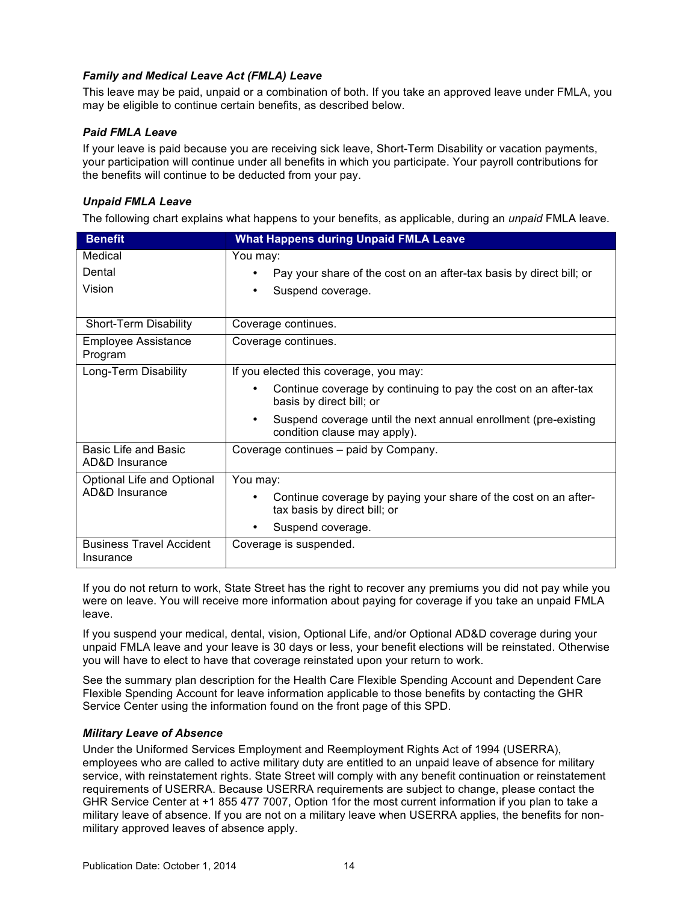## <span id="page-18-0"></span>*Family and Medical Leave Act (FMLA) Leave*

This leave may be paid, unpaid or a combination of both. If you take an approved leave under FMLA, you may be eligible to continue certain benefits, as described below.

### *Paid FMLA Leave*

If your leave is paid because you are receiving sick leave, Short-Term Disability or vacation payments, your participation will continue under all benefits in which you participate. Your payroll contributions for the benefits will continue to be deducted from your pay.

### *Unpaid FMLA Leave*

The following chart explains what happens to your benefits, as applicable, during an *unpaid* FMLA leave.

| <b>Benefit</b>                                                 | <b>What Happens during Unpaid FMLA Leave</b>                                                    |
|----------------------------------------------------------------|-------------------------------------------------------------------------------------------------|
| Medical                                                        | You may:                                                                                        |
| Dental                                                         | Pay your share of the cost on an after-tax basis by direct bill; or                             |
| Vision                                                         | Suspend coverage.<br>٠                                                                          |
|                                                                |                                                                                                 |
| Short-Term Disability                                          | Coverage continues.                                                                             |
| <b>Employee Assistance</b><br>Program                          | Coverage continues.                                                                             |
| Long-Term Disability<br>If you elected this coverage, you may: |                                                                                                 |
|                                                                | Continue coverage by continuing to pay the cost on an after-tax<br>basis by direct bill; or     |
|                                                                | Suspend coverage until the next annual enrollment (pre-existing<br>condition clause may apply). |
| Basic Life and Basic<br>AD&D Insurance                         | Coverage continues – paid by Company.                                                           |
| Optional Life and Optional                                     | You may:                                                                                        |
| AD&D Insurance                                                 | Continue coverage by paying your share of the cost on an after-<br>tax basis by direct bill; or |
|                                                                | Suspend coverage.                                                                               |
| <b>Business Travel Accident</b><br>Insurance                   | Coverage is suspended.                                                                          |

If you do not return to work, State Street has the right to recover any premiums you did not pay while you were on leave. You will receive more information about paying for coverage if you take an unpaid FMLA leave.

If you suspend your medical, dental, vision, Optional Life, and/or Optional AD&D coverage during your unpaid FMLA leave and your leave is 30 days or less, your benefit elections will be reinstated. Otherwise you will have to elect to have that coverage reinstated upon your return to work.

See the summary plan description for the Health Care Flexible Spending Account and Dependent Care Flexible Spending Account for leave information applicable to those benefits by contacting the GHR Service Center using the information found on the front page of this SPD.

### *Military Leave of Absence*

Under the Uniformed Services Employment and Reemployment Rights Act of 1994 (USERRA), employees who are called to active military duty are entitled to an unpaid leave of absence for military service, with reinstatement rights. State Street will comply with any benefit continuation or reinstatement requirements of USERRA. Because USERRA requirements are subject to change, please contact the GHR Service Center at +1 855 477 7007, Option 1for the most current information if you plan to take a military leave of absence. If you are not on a military leave when USERRA applies, the benefits for nonmilitary approved leaves of absence apply.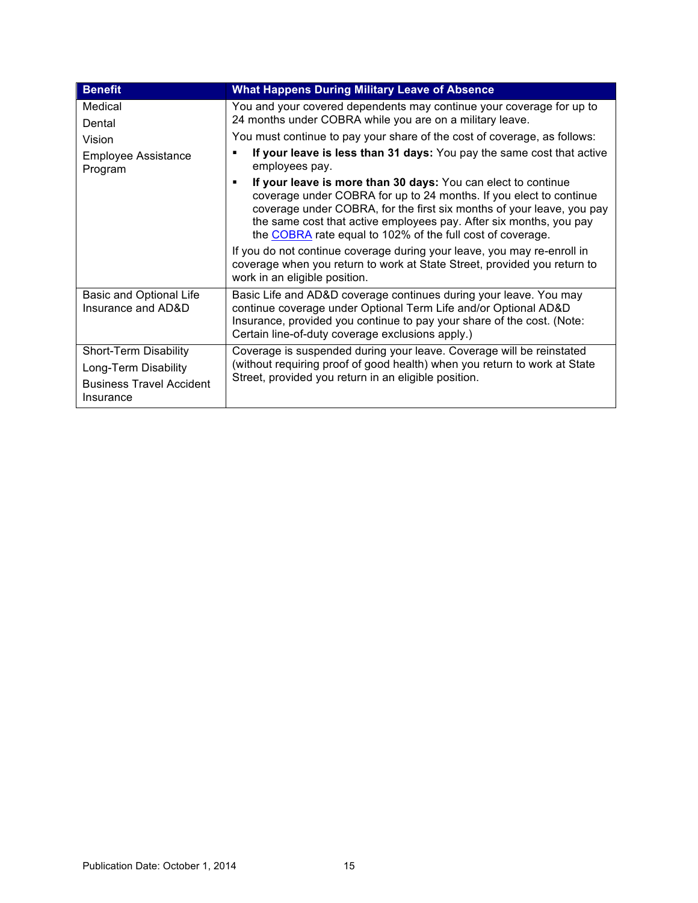| <b>Benefit</b>                                       | <b>What Happens During Military Leave of Absence</b>                                                                                                                                                                                                                                                                                             |
|------------------------------------------------------|--------------------------------------------------------------------------------------------------------------------------------------------------------------------------------------------------------------------------------------------------------------------------------------------------------------------------------------------------|
| Medical                                              | You and your covered dependents may continue your coverage for up to                                                                                                                                                                                                                                                                             |
| Dental                                               | 24 months under COBRA while you are on a military leave.                                                                                                                                                                                                                                                                                         |
| Vision                                               | You must continue to pay your share of the cost of coverage, as follows:                                                                                                                                                                                                                                                                         |
| <b>Employee Assistance</b><br>Program                | If your leave is less than 31 days: You pay the same cost that active<br>employees pay.                                                                                                                                                                                                                                                          |
|                                                      | If your leave is more than 30 days: You can elect to continue<br>coverage under COBRA for up to 24 months. If you elect to continue<br>coverage under COBRA, for the first six months of your leave, you pay<br>the same cost that active employees pay. After six months, you pay<br>the COBRA rate equal to 102% of the full cost of coverage. |
|                                                      | If you do not continue coverage during your leave, you may re-enroll in<br>coverage when you return to work at State Street, provided you return to<br>work in an eligible position.                                                                                                                                                             |
| <b>Basic and Optional Life</b><br>Insurance and AD&D | Basic Life and AD&D coverage continues during your leave. You may<br>continue coverage under Optional Term Life and/or Optional AD&D<br>Insurance, provided you continue to pay your share of the cost. (Note:<br>Certain line-of-duty coverage exclusions apply.)                                                                               |
| Short-Term Disability                                | Coverage is suspended during your leave. Coverage will be reinstated                                                                                                                                                                                                                                                                             |
| Long-Term Disability                                 | (without requiring proof of good health) when you return to work at State                                                                                                                                                                                                                                                                        |
| <b>Business Travel Accident</b><br>Insurance         | Street, provided you return in an eligible position.                                                                                                                                                                                                                                                                                             |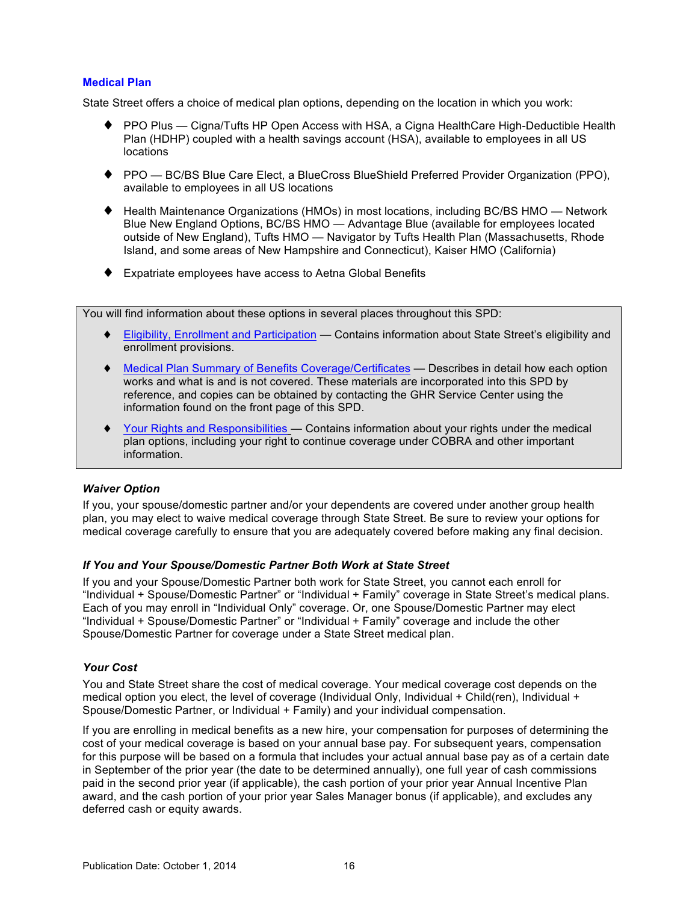## <span id="page-20-0"></span>**Medical Plan**

State Street offers a choice of medical plan options, depending on the location in which you work:

- ♦ PPO Plus Cigna/Tufts HP Open Access with HSA, a Cigna HealthCare High-Deductible Health Plan (HDHP) coupled with a health savings account (HSA), available to employees in all US locations
- ♦ PPO BC/BS Blue Care Elect, a BlueCross BlueShield Preferred Provider Organization (PPO), available to employees in all US locations
- ♦ Health Maintenance Organizations (HMOs) in most locations, including BC/BS HMO Network Blue New England Options, BC/BS HMO — Advantage Blue (available for employees located outside of New England), Tufts HMO — Navigator by Tufts Health Plan (Massachusetts, Rhode Island, and some areas of New Hampshire and Connecticut), Kaiser HMO (California)
- ♦ Expatriate employees have access to Aetna Global Benefits

You will find information about these options in several places throughout this SPD:

- ♦ [Eligibility, Enrollment and Participation](#page-6-0) Contains information about State Street's eligibility and enrollment provisions.
- ♦ [Medical Plan Summary of Benefits](#page-85-0) Coverage/Certificates Describes in detail how each option works and what is and is not covered. These materials are incorporated into this SPD by reference, and copies can be obtained by contacting the GHR Service Center using the information found on the front page of this SPD.
- [Your Rights and Responsibilities —](#page-67-0) Contains information about your rights under the medical plan options, including your right to continue coverage under COBRA and other important information.

### *Waiver Option*

If you, your spouse/domestic partner and/or your dependents are covered under another group health plan, you may elect to waive medical coverage through State Street. Be sure to review your options for medical coverage carefully to ensure that you are adequately covered before making any final decision.

### *If You and Your Spouse/Domestic Partner Both Work at State Street*

If you and your Spouse/Domestic Partner both work for State Street, you cannot each enroll for "Individual + Spouse/Domestic Partner" or "Individual + Family" coverage in State Street's medical plans. Each of you may enroll in "Individual Only" coverage. Or, one Spouse/Domestic Partner may elect "Individual + Spouse/Domestic Partner" or "Individual + Family" coverage and include the other Spouse/Domestic Partner for coverage under a State Street medical plan.

### *Your Cost*

You and State Street share the cost of medical coverage. Your medical coverage cost depends on the medical option you elect, the level of coverage (Individual Only, Individual + Child(ren), Individual + Spouse/Domestic Partner, or Individual + Family) and your individual compensation.

If you are enrolling in medical benefits as a new hire, your compensation for purposes of determining the cost of your medical coverage is based on your annual base pay. For subsequent years, compensation for this purpose will be based on a formula that includes your actual annual base pay as of a certain date in September of the prior year (the date to be determined annually), one full year of cash commissions paid in the second prior year (if applicable), the cash portion of your prior year Annual Incentive Plan award, and the cash portion of your prior year Sales Manager bonus (if applicable), and excludes any deferred cash or equity awards.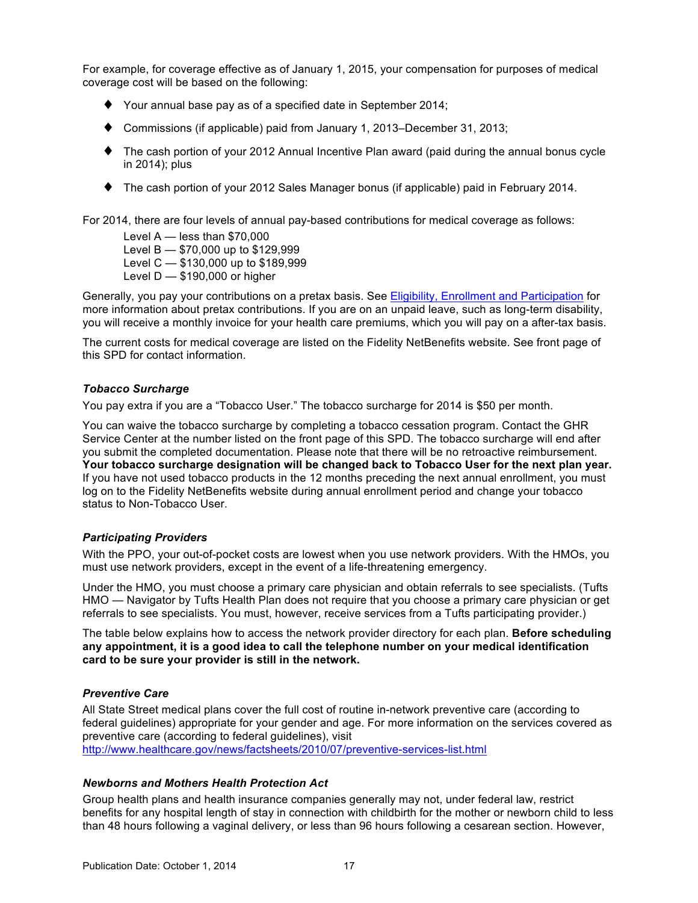<span id="page-21-0"></span>For example, for coverage effective as of January 1, 2015, your compensation for purposes of medical coverage cost will be based on the following:

- ♦ Your annual base pay as of a specified date in September 2014;
- ♦ Commissions (if applicable) paid from January 1, 2013–December 31, 2013;
- ♦ The cash portion of your 2012 Annual Incentive Plan award (paid during the annual bonus cycle in 2014); plus
- ♦ The cash portion of your 2012 Sales Manager bonus (if applicable) paid in February 2014.

For 2014, there are four levels of annual pay-based contributions for medical coverage as follows:

Level A — less than \$70,000 Level B — \$70,000 up to \$129,999 Level C — \$130,000 up to \$189,999 Level D — \$190,000 or higher

Generally, you pay your contributions on a pretax basis. See [Eligibility, Enrollment and Participation](#page-6-0) for more information about pretax contributions. If you are on an unpaid leave, such as long-term disability, you will receive a monthly invoice for your health care premiums, which you will pay on a after-tax basis.

The current costs for medical coverage are listed on the Fidelity NetBenefits website. See front page of this SPD for contact information.

### *Tobacco Surcharge*

You pay extra if you are a "Tobacco User." The tobacco surcharge for 2014 is \$50 per month.

You can waive the tobacco surcharge by completing a tobacco cessation program. Contact the GHR Service Center at the number listed on the front page of this SPD. The tobacco surcharge will end after you submit the completed documentation. Please note that there will be no retroactive reimbursement. **Your tobacco surcharge designation will be changed back to Tobacco User for the next plan year.** If you have not used tobacco products in the 12 months preceding the next annual enrollment, you must log on to the Fidelity NetBenefits website during annual enrollment period and change your tobacco status to Non-Tobacco User.

### *Participating Providers*

With the PPO, your out-of-pocket costs are lowest when you use network providers. With the HMOs, you must use network providers, except in the event of a life-threatening emergency.

Under the HMO, you must choose a primary care physician and obtain referrals to see specialists. (Tufts HMO — Navigator by Tufts Health Plan does not require that you choose a primary care physician or get referrals to see specialists. You must, however, receive services from a Tufts participating provider.)

The table below explains how to access the network provider directory for each plan. **Before scheduling any appointment, it is a good idea to call the telephone number on your medical identification card to be sure your provider is still in the network.**

### *Preventive Care*

All State Street medical plans cover the full cost of routine in-network preventive care (according to federal guidelines) appropriate for your gender and age. For more information on the services covered as preventive care (according to federal guidelines), visit <http://www.healthcare.gov/news/factsheets/2010/07/preventive-services-list.html>

### *Newborns and Mothers Health Protection Act*

Group health plans and health insurance companies generally may not, under federal law, restrict benefits for any hospital length of stay in connection with childbirth for the mother or newborn child to less than 48 hours following a vaginal delivery, or less than 96 hours following a cesarean section. However,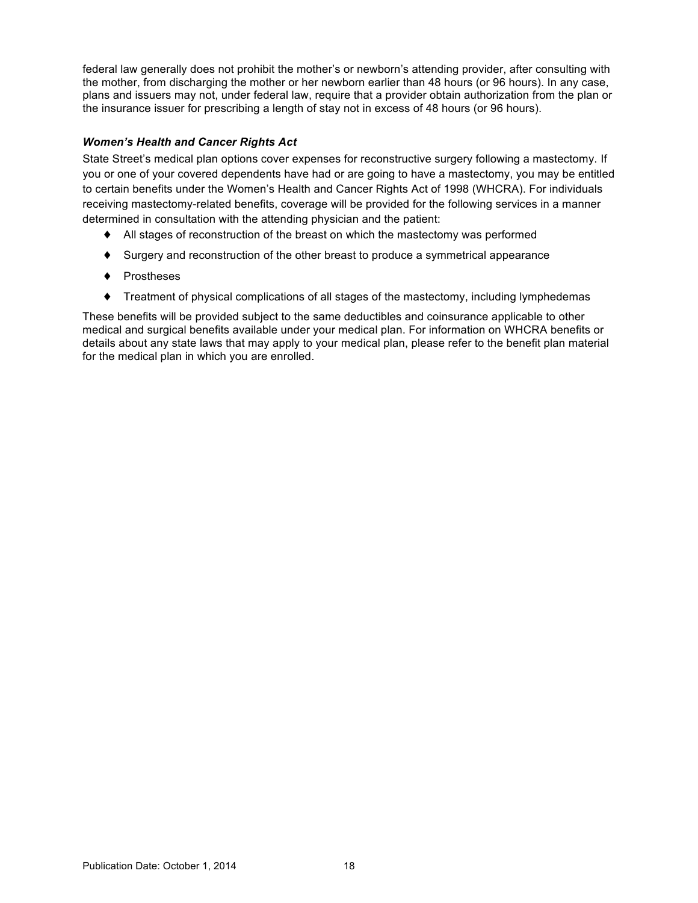<span id="page-22-0"></span>federal law generally does not prohibit the mother's or newborn's attending provider, after consulting with the mother, from discharging the mother or her newborn earlier than 48 hours (or 96 hours). In any case, plans and issuers may not, under federal law, require that a provider obtain authorization from the plan or the insurance issuer for prescribing a length of stay not in excess of 48 hours (or 96 hours).

## *Women's Health and Cancer Rights Act*

State Street's medical plan options cover expenses for reconstructive surgery following a mastectomy. If you or one of your covered dependents have had or are going to have a mastectomy, you may be entitled to certain benefits under the Women's Health and Cancer Rights Act of 1998 (WHCRA). For individuals receiving mastectomy-related benefits, coverage will be provided for the following services in a manner determined in consultation with the attending physician and the patient:

- ♦ All stages of reconstruction of the breast on which the mastectomy was performed
- ♦ Surgery and reconstruction of the other breast to produce a symmetrical appearance
- ♦ Prostheses
- ♦ Treatment of physical complications of all stages of the mastectomy, including lymphedemas

These benefits will be provided subject to the same deductibles and coinsurance applicable to other medical and surgical benefits available under your medical plan. For information on WHCRA benefits or details about any state laws that may apply to your medical plan, please refer to the benefit plan material for the medical plan in which you are enrolled.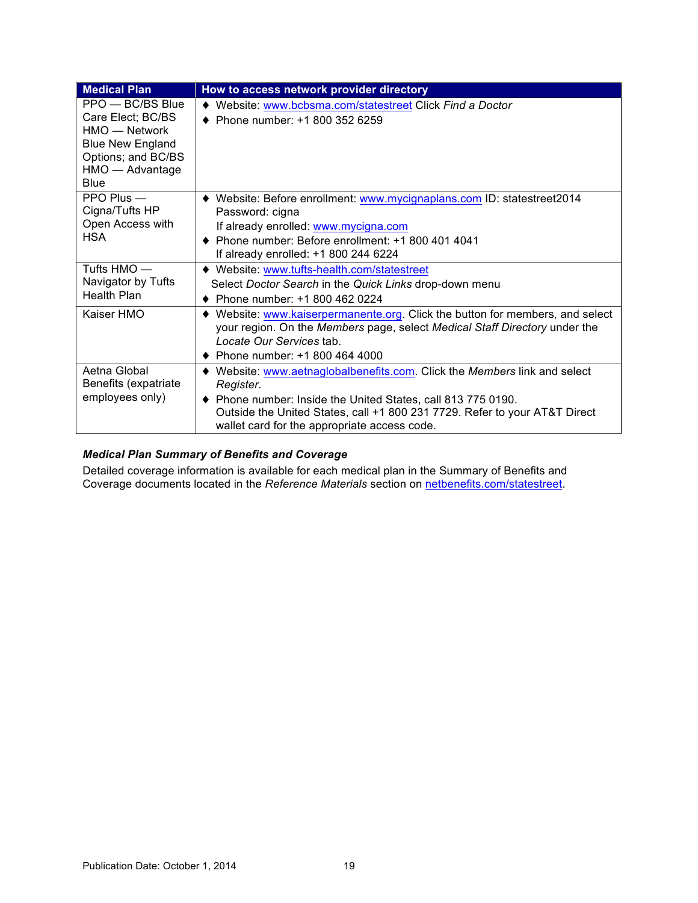<span id="page-23-0"></span>

| <b>Medical Plan</b>                                                                                                                  | How to access network provider directory                                                                                                                                                                                                                                           |
|--------------------------------------------------------------------------------------------------------------------------------------|------------------------------------------------------------------------------------------------------------------------------------------------------------------------------------------------------------------------------------------------------------------------------------|
| PPO - BC/BS Blue<br>Care Elect; BC/BS<br>$HMO$ — Network<br><b>Blue New England</b><br>Options; and BC/BS<br>HMO - Advantage<br>Blue | Website: www.bcbsma.com/statestreet Click Find a Doctor<br>Phone number: +1 800 352 6259                                                                                                                                                                                           |
| $PPO$ Plus $-$<br>Cigna/Tufts HP<br>Open Access with<br><b>HSA</b>                                                                   | ♦ Website: Before enrollment: www.mycignaplans.com ID: statestreet2014<br>Password: cigna<br>If already enrolled: www.mycigna.com<br>♦ Phone number: Before enrollment: +1 800 401 4041<br>If already enrolled: +1 800 244 6224                                                    |
| Tufts HMO —<br>Navigator by Tufts<br>Health Plan                                                                                     | Website: www.tufts-health.com/statestreet<br>Select Doctor Search in the Quick Links drop-down menu<br>Phone number: +1 800 462 0224                                                                                                                                               |
| Kaiser HMO                                                                                                                           | Website: www.kaiserpermanente.org. Click the button for members, and select<br>your region. On the Members page, select Medical Staff Directory under the<br>Locate Our Services tab.<br>• Phone number: $+18004644000$                                                            |
| Aetna Global<br>Benefits (expatriate<br>employees only)                                                                              | Website: www.aetnaglobalbenefits.com. Click the Members link and select<br>Register.<br>♦ Phone number: Inside the United States, call 813 775 0190.<br>Outside the United States, call +1 800 231 7729. Refer to your AT&T Direct<br>wallet card for the appropriate access code. |

# *Medical Plan Summary of Benefits and Coverage*

Detailed coverage information is available for each medical plan in the Summary of Benefits and Coverage documents located in the *Reference Materials* section on [netbenefits.com/statestreet.](http://netbenefits.com/statestreet)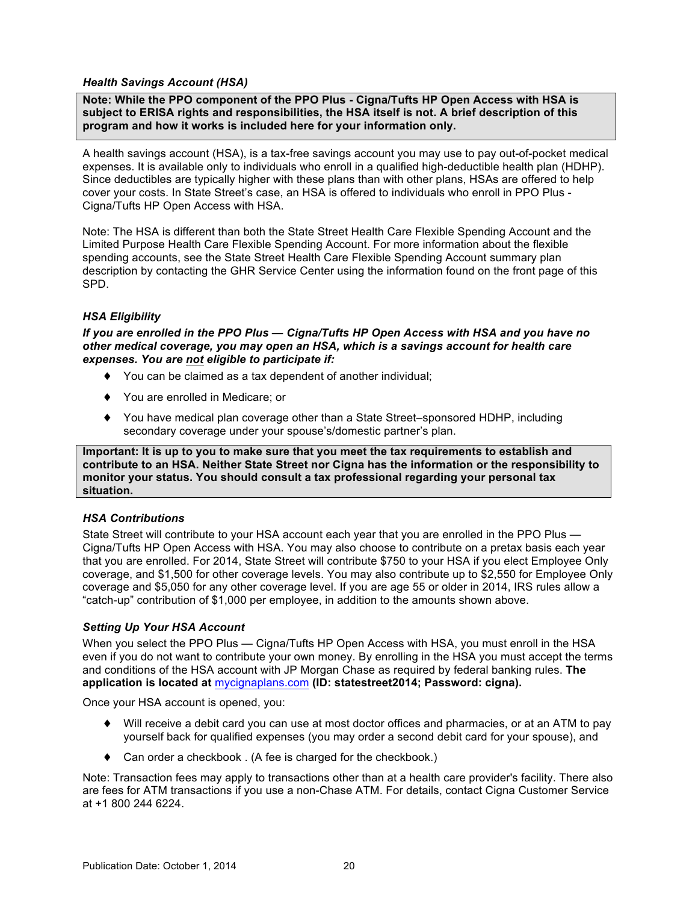### <span id="page-24-0"></span>*Health Savings Account (HSA)*

**Note: While the PPO component of the PPO Plus - Cigna/Tufts HP Open Access with HSA is subject to ERISA rights and responsibilities, the HSA itself is not. A brief description of this program and how it works is included here for your information only.** 

A health savings account (HSA), is a tax-free savings account you may use to pay out-of-pocket medical expenses. It is available only to individuals who enroll in a qualified high-deductible health plan (HDHP). Since deductibles are typically higher with these plans than with other plans, HSAs are offered to help cover your costs. In State Street's case, an HSA is offered to individuals who enroll in PPO Plus - Cigna/Tufts HP Open Access with HSA.

Note: The HSA is different than both the State Street Health Care Flexible Spending Account and the Limited Purpose Health Care Flexible Spending Account. For more information about the flexible spending accounts, see the State Street Health Care Flexible Spending Account summary plan description by contacting the GHR Service Center using the information found on the front page of this SPD.

## *HSA Eligibility*

*If you are enrolled in the PPO Plus — Cigna/Tufts HP Open Access with HSA and you have no other medical coverage, you may open an HSA, which is a savings account for health care expenses. You are not eligible to participate if:* 

- ♦ You can be claimed as a tax dependent of another individual;
- ♦ You are enrolled in Medicare; or
- ♦ You have medical plan coverage other than a State Street–sponsored HDHP, including secondary coverage under your spouse's/domestic partner's plan.

**Important: It is up to you to make sure that you meet the tax requirements to establish and contribute to an HSA. Neither State Street nor Cigna has the information or the responsibility to monitor your status. You should consult a tax professional regarding your personal tax situation.**

## *HSA Contributions*

State Street will contribute to your HSA account each year that you are enrolled in the PPO Plus — Cigna/Tufts HP Open Access with HSA. You may also choose to contribute on a pretax basis each year that you are enrolled. For 2014, State Street will contribute \$750 to your HSA if you elect Employee Only coverage, and \$1,500 for other coverage levels. You may also contribute up to \$2,550 for Employee Only coverage and \$5,050 for any other coverage level. If you are age 55 or older in 2014, IRS rules allow a "catch-up" contribution of \$1,000 per employee, in addition to the amounts shown above.

### *Setting Up Your HSA Account*

When you select the PPO Plus — Cigna/Tufts HP Open Access with HSA, you must enroll in the HSA even if you do not want to contribute your own money. By enrolling in the HSA you must accept the terms and conditions of the HSA account with JP Morgan Chase as required by federal banking rules. **The application is located at** [mycignaplans.com](http://mycignaplans.com) **(ID: statestreet2014; Password: cigna).**

Once your HSA account is opened, you:

- ♦ Will receive a debit card you can use at most doctor offices and pharmacies, or at an ATM to pay yourself back for qualified expenses (you may order a second debit card for your spouse), and
- ♦ Can order a checkbook . (A fee is charged for the checkbook.)

Note: Transaction fees may apply to transactions other than at a health care provider's facility. There also are fees for ATM transactions if you use a non-Chase ATM. For details, contact Cigna Customer Service at +1 800 244 6224.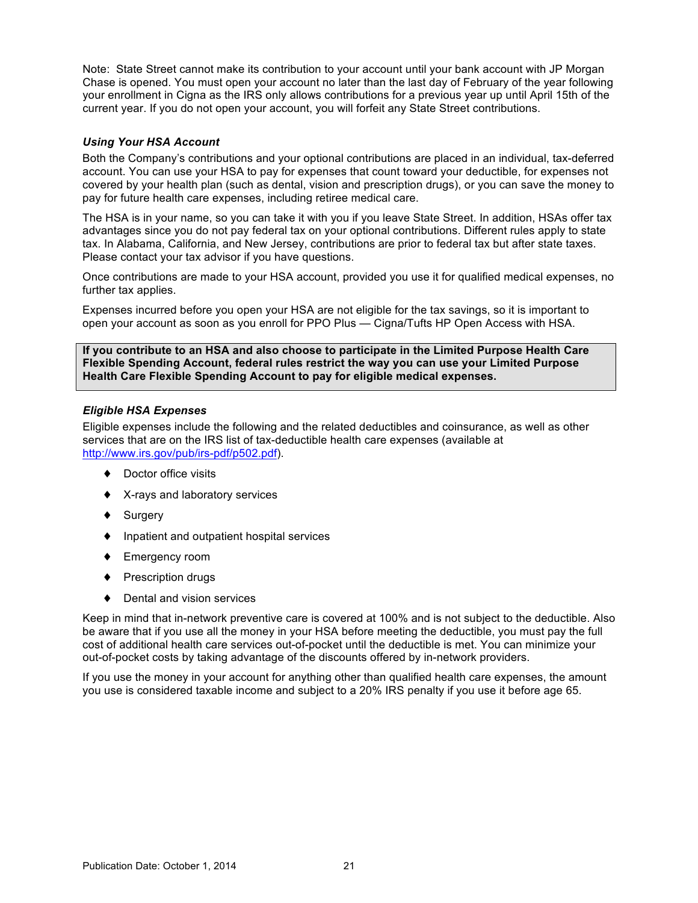<span id="page-25-0"></span>Note: State Street cannot make its contribution to your account until your bank account with JP Morgan Chase is opened. You must open your account no later than the last day of February of the year following your enrollment in Cigna as the IRS only allows contributions for a previous year up until April 15th of the current year. If you do not open your account, you will forfeit any State Street contributions.

### *Using Your HSA Account*

Both the Company's contributions and your optional contributions are placed in an individual, tax-deferred account. You can use your HSA to pay for expenses that count toward your deductible, for expenses not covered by your health plan (such as dental, vision and prescription drugs), or you can save the money to pay for future health care expenses, including retiree medical care.

The HSA is in your name, so you can take it with you if you leave State Street. In addition, HSAs offer tax advantages since you do not pay federal tax on your optional contributions. Different rules apply to state tax. In Alabama, California, and New Jersey, contributions are prior to federal tax but after state taxes. Please contact your tax advisor if you have questions.

Once contributions are made to your HSA account, provided you use it for qualified medical expenses, no further tax applies.

Expenses incurred before you open your HSA are not eligible for the tax savings, so it is important to open your account as soon as you enroll for PPO Plus — Cigna/Tufts HP Open Access with HSA.

**If you contribute to an HSA and also choose to participate in the Limited Purpose Health Care Flexible Spending Account, federal rules restrict the way you can use your Limited Purpose Health Care Flexible Spending Account to pay for eligible medical expenses.** 

### *Eligible HSA Expenses*

Eligible expenses include the following and the related deductibles and coinsurance, as well as other services that are on the IRS list of tax-deductible health care expenses (available at [http://www.irs.gov/pub/irs-pdf/p502.pdf\)](http://www.irs.gov/pub/irs-pdf/p502.pdf).

- ♦ Doctor office visits
- ♦ X-rays and laboratory services
- ♦ Surgery
- ♦ Inpatient and outpatient hospital services
- ♦ Emergency room
- ♦ Prescription drugs
- ♦ Dental and vision services

Keep in mind that in-network preventive care is covered at 100% and is not subject to the deductible. Also be aware that if you use all the money in your HSA before meeting the deductible, you must pay the full cost of additional health care services out-of-pocket until the deductible is met. You can minimize your out-of-pocket costs by taking advantage of the discounts offered by in-network providers.

If you use the money in your account for anything other than qualified health care expenses, the amount you use is considered taxable income and subject to a 20% IRS penalty if you use it before age 65.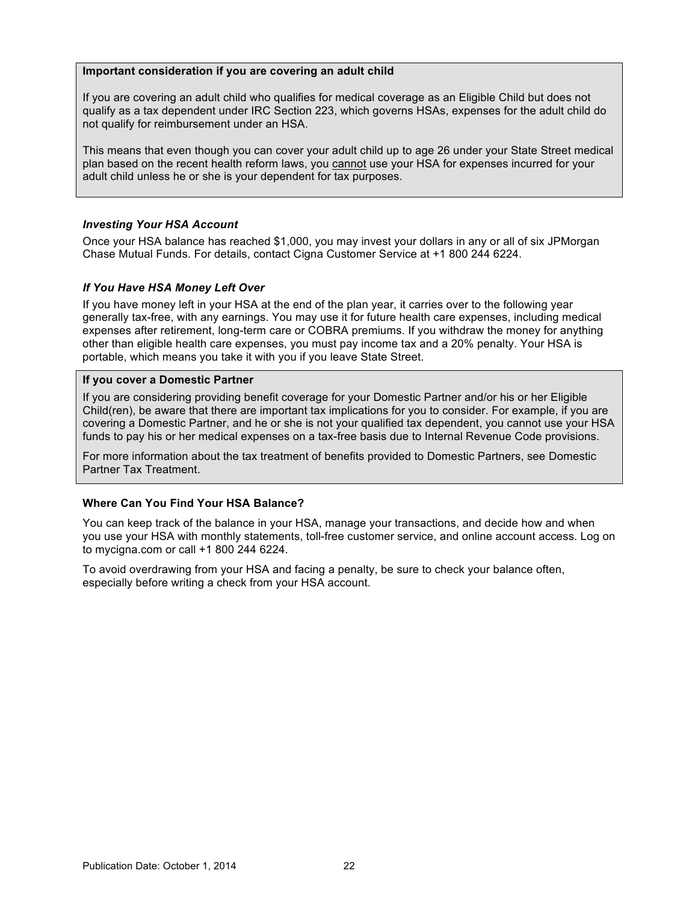### <span id="page-26-0"></span>**Important consideration if you are covering an adult child**

If you are covering an adult child who qualifies for medical coverage as an Eligible Child but does not qualify as a tax dependent under IRC Section 223, which governs HSAs, expenses for the adult child do not qualify for reimbursement under an HSA.

This means that even though you can cover your adult child up to age 26 under your State Street medical plan based on the recent health reform laws, you cannot use your HSA for expenses incurred for your adult child unless he or she is your dependent for tax purposes.

### *Investing Your HSA Account*

Once your HSA balance has reached \$1,000, you may invest your dollars in any or all of six JPMorgan Chase Mutual Funds. For details, contact Cigna Customer Service at +1 800 244 6224.

#### *If You Have HSA Money Left Over*

If you have money left in your HSA at the end of the plan year, it carries over to the following year generally tax-free, with any earnings. You may use it for future health care expenses, including medical expenses after retirement, long-term care or COBRA premiums. If you withdraw the money for anything other than eligible health care expenses, you must pay income tax and a 20% penalty. Your HSA is portable, which means you take it with you if you leave State Street.

#### **If you cover a Domestic Partner**

If you are considering providing benefit coverage for your Domestic Partner and/or his or her Eligible Child(ren), be aware that there are important tax implications for you to consider. For example, if you are covering a Domestic Partner, and he or she is not your qualified tax dependent, you cannot use your HSA funds to pay his or her medical expenses on a tax-free basis due to Internal Revenue Code provisions.

For more information about the tax treatment of benefits provided to Domestic Partners, see Domestic Partner Tax Treatment.

### **Where Can You Find Your HSA Balance?**

You can keep track of the balance in your HSA, manage your transactions, and decide how and when you use your HSA with monthly statements, toll-free customer service, and online account access. Log on to mycigna.com or call +1 800 244 6224.

To avoid overdrawing from your HSA and facing a penalty, be sure to check your balance often, especially before writing a check from your HSA account.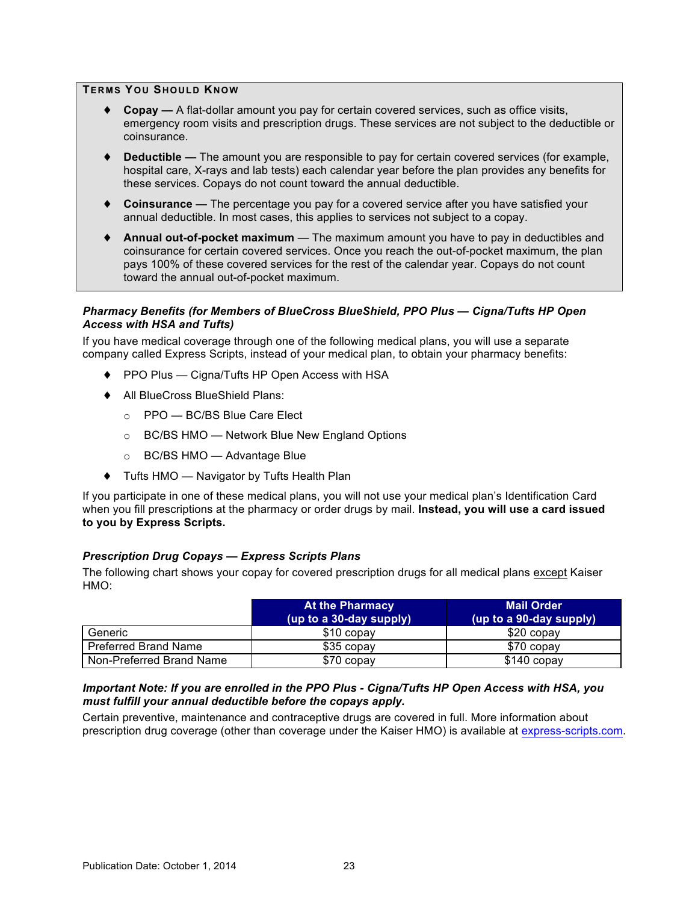### <span id="page-27-0"></span>**TERMS YOU SHOULD KNOW**

- ♦ **Copay** A flat-dollar amount you pay for certain covered services, such as office visits, emergency room visits and prescription drugs. These services are not subject to the deductible or coinsurance.
- ♦ **Deductible** The amount you are responsible to pay for certain covered services (for example, hospital care, X-rays and lab tests) each calendar year before the plan provides any benefits for these services. Copays do not count toward the annual deductible.
- ♦ **Coinsurance** The percentage you pay for a covered service after you have satisfied your annual deductible. In most cases, this applies to services not subject to a copay.
- ♦ **Annual out-of-pocket maximum** The maximum amount you have to pay in deductibles and coinsurance for certain covered services. Once you reach the out-of-pocket maximum, the plan pays 100% of these covered services for the rest of the calendar year. Copays do not count toward the annual out-of-pocket maximum.

#### *Pharmacy Benefits (for Members of BlueCross BlueShield, PPO Plus — Cigna/Tufts HP Open Access with HSA and Tufts)*

If you have medical coverage through one of the following medical plans, you will use a separate company called Express Scripts, instead of your medical plan, to obtain your pharmacy benefits:

- ♦ PPO Plus Cigna/Tufts HP Open Access with HSA
- ♦ All BlueCross BlueShield Plans:
	- o PPO BC/BS Blue Care Elect
	- o BC/BS HMO Network Blue New England Options
	- o BC/BS HMO Advantage Blue
- ♦ Tufts HMO Navigator by Tufts Health Plan

If you participate in one of these medical plans, you will not use your medical plan's Identification Card when you fill prescriptions at the pharmacy or order drugs by mail. **Instead, you will use a card issued to you by Express Scripts.** 

#### *Prescription Drug Copays — Express Scripts Plans*

The following chart shows your copay for covered prescription drugs for all medical plans except Kaiser HMO:

|                             | At the Pharmacy<br>(up to a 30-day supply) | <b>Mail Order</b><br>(up to a 90-day supply) |
|-----------------------------|--------------------------------------------|----------------------------------------------|
| Generic                     | \$10 copay                                 | \$20 copay                                   |
| <b>Preferred Brand Name</b> | \$35 copay                                 | \$70 copay                                   |
| Non-Preferred Brand Name    | \$70 copay                                 | \$140 copay                                  |

#### *Important Note: If you are enrolled in the PPO Plus - Cigna/Tufts HP Open Access with HSA, you must fulfill your annual deductible before the copays apply.*

Certain preventive, maintenance and contraceptive drugs are covered in full. More information about prescription drug coverage (other than coverage under the Kaiser HMO) is available at [express-scripts.com.](http://www.express-scripts.com)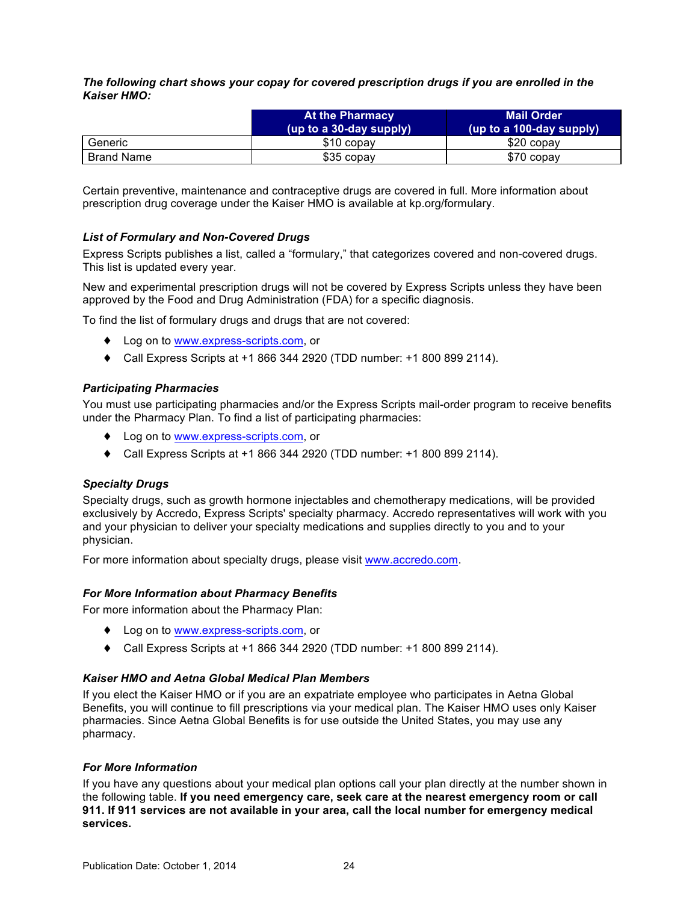<span id="page-28-0"></span>*The following chart shows your copay for covered prescription drugs if you are enrolled in the Kaiser HMO:*

|                   | At the Pharmacy<br>(up to a 30-day supply) | <b>Mail Order</b><br>(up to a 100-day supply) |
|-------------------|--------------------------------------------|-----------------------------------------------|
| Generic           | \$10 copay                                 | \$20 copay                                    |
| <b>Brand Name</b> | \$35 copay                                 | \$70 copay                                    |

Certain preventive, maintenance and contraceptive drugs are covered in full. More information about prescription drug coverage under the Kaiser HMO is available at kp.org/formulary.

### *List of Formulary and Non-Covered Drugs*

Express Scripts publishes a list, called a "formulary," that categorizes covered and non-covered drugs. This list is updated every year.

New and experimental prescription drugs will not be covered by Express Scripts unless they have been approved by the Food and Drug Administration (FDA) for a specific diagnosis.

To find the list of formulary drugs and drugs that are not covered:

- ♦ Log on to [www.express-scripts.com,](http://www.express-scripts.com) or
- ♦ Call Express Scripts at +1 866 344 2920 (TDD number: +1 800 899 2114).

### *Participating Pharmacies*

You must use participating pharmacies and/or the Express Scripts mail-order program to receive benefits under the Pharmacy Plan. To find a list of participating pharmacies:

- ♦ Log on to [www.express-scripts.com,](http://www.express-scripts.com) or
- ♦ Call Express Scripts at +1 866 344 2920 (TDD number: +1 800 899 2114).

## *Specialty Drugs*

Specialty drugs, such as growth hormone injectables and chemotherapy medications, will be provided exclusively by Accredo, Express Scripts' specialty pharmacy. Accredo representatives will work with you and your physician to deliver your specialty medications and supplies directly to you and to your physician.

For more information about specialty drugs, please visit [www.accredo.com](http://www.accredo.com).

### *For More Information about Pharmacy Benefits*

For more information about the Pharmacy Plan:

- ♦ Log on to [www.express-scripts.com](http://www.express-scripts.com), or
- ♦ Call Express Scripts at +1 866 344 2920 (TDD number: +1 800 899 2114).

### *Kaiser HMO and Aetna Global Medical Plan Members*

If you elect the Kaiser HMO or if you are an expatriate employee who participates in Aetna Global Benefits, you will continue to fill prescriptions via your medical plan. The Kaiser HMO uses only Kaiser pharmacies. Since Aetna Global Benefits is for use outside the United States, you may use any pharmacy.

### *For More Information*

If you have any questions about your medical plan options call your plan directly at the number shown in the following table. **If you need emergency care, seek care at the nearest emergency room or call 911. If 911 services are not available in your area, call the local number for emergency medical services.**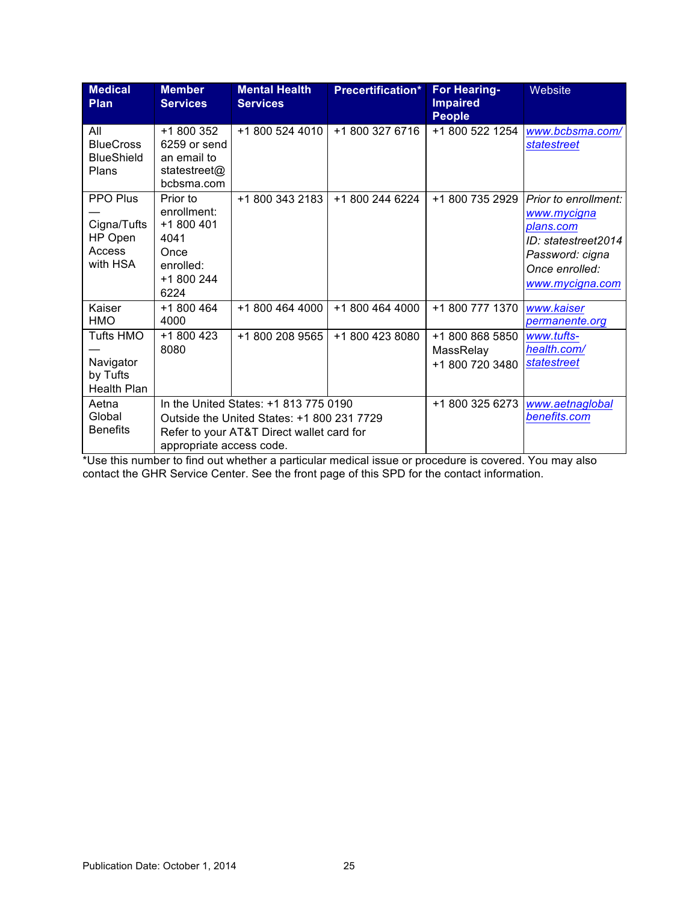| <b>Medical</b><br><b>Plan</b>                                   | <b>Member</b><br><b>Services</b>                                                                                                                             | <b>Mental Health</b><br><b>Services</b> | <b>Precertification*</b> | <b>For Hearing-</b><br><b>Impaired</b><br><b>People</b> | Website                                                                                                                         |
|-----------------------------------------------------------------|--------------------------------------------------------------------------------------------------------------------------------------------------------------|-----------------------------------------|--------------------------|---------------------------------------------------------|---------------------------------------------------------------------------------------------------------------------------------|
| All<br><b>BlueCross</b><br><b>BlueShield</b><br>Plans           | +1 800 352<br>6259 or send<br>an email to<br>statestreet@<br>bcbsma.com                                                                                      | +1 800 524 4010                         | +1 800 327 6716          | +1 800 522 1254                                         | www.bcbsma.com/<br>statestreet                                                                                                  |
| <b>PPO Plus</b><br>Cigna/Tufts<br>HP Open<br>Access<br>with HSA | Prior to<br>enrollment:<br>+1 800 401<br>4041<br>Once<br>enrolled:<br>+1 800 244<br>6224                                                                     | +1 800 343 2183                         | +1 800 244 6224          | +1 800 735 2929                                         | Prior to enrollment:<br>www.mycigna<br>plans.com<br>ID: statestreet2014<br>Password: cigna<br>Once enrolled:<br>www.mycigna.com |
| Kaiser<br><b>HMO</b>                                            | +1 800 464<br>4000                                                                                                                                           | +1 800 464 4000                         | +1 800 464 4000          | +1 800 777 1370                                         | www.kaiser<br>permanente.org                                                                                                    |
| Tufts HMO<br>Navigator<br>by Tufts<br>Health Plan               | +1 800 423<br>8080                                                                                                                                           | +1 800 208 9565                         | +1 800 423 8080          | +1 800 868 5850<br>MassRelay<br>+1 800 720 3480         | www.tufts-<br>health.com/<br>statestreet                                                                                        |
| Aetna<br>Global<br><b>Benefits</b>                              | In the United States: +1 813 775 0190<br>Outside the United States: +1 800 231 7729<br>Refer to your AT&T Direct wallet card for<br>appropriate access code. |                                         | +1 800 325 6273          | www.aetnaglobal<br>benefits.com                         |                                                                                                                                 |

\*Use this number to find out whether a particular medical issue or procedure is covered. You may also contact the GHR Service Center. See the front page of this SPD for the contact information.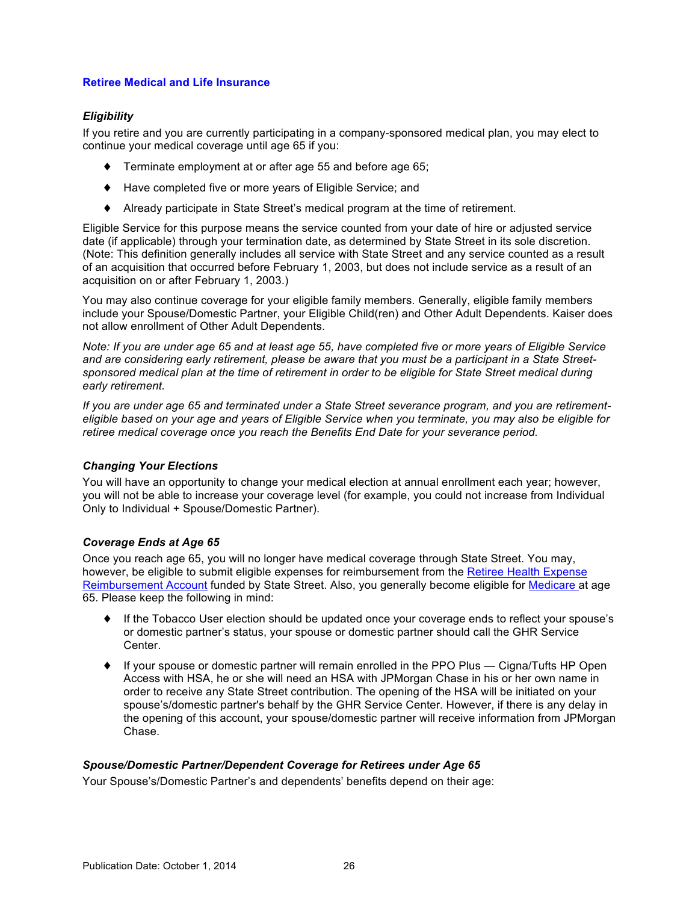### <span id="page-30-0"></span>**Retiree Medical and Life Insurance**

## *Eligibility*

If you retire and you are currently participating in a company-sponsored medical plan, you may elect to continue your medical coverage until age 65 if you:

- ♦ Terminate employment at or after age 55 and before age 65;
- ♦ Have completed five or more years of Eligible Service; and
- ♦ Already participate in State Street's medical program at the time of retirement.

Eligible Service for this purpose means the service counted from your date of hire or adjusted service date (if applicable) through your termination date, as determined by State Street in its sole discretion. (Note: This definition generally includes all service with State Street and any service counted as a result of an acquisition that occurred before February 1, 2003, but does not include service as a result of an acquisition on or after February 1, 2003.)

You may also continue coverage for your eligible family members. Generally, eligible family members include your Spouse/Domestic Partner, your Eligible Child(ren) and Other Adult Dependents. Kaiser does not allow enrollment of Other Adult Dependents.

*Note: If you are under age 65 and at least age 55, have completed five or more years of Eligible Service and are considering early retirement, please be aware that you must be a participant in a State Streetsponsored medical plan at the time of retirement in order to be eligible for State Street medical during early retirement.*

*If you are under age 65 and terminated under a State Street severance program, and you are retirementeligible based on your age and years of Eligible Service when you terminate, you may also be eligible for retiree medical coverage once you reach the Benefits End Date for your severance period.*

### *Changing Your Elections*

You will have an opportunity to change your medical election at annual enrollment each year; however, you will not be able to increase your coverage level (for example, you could not increase from Individual Only to Individual + Spouse/Domestic Partner).

## *Coverage Ends at Age 65*

Once you reach age 65, you will no longer have medical coverage through State Street. You may, however, be eligible to submit eligible expenses for reimbursement from the [Retiree Health Expense](#page-32-0)  [Reimbursement Account](#page-32-0) funded by State Street. Also, you generally become eligible for [Medicare](#page-33-0) at age 65. Please keep the following in mind:

- ♦ If the Tobacco User election should be updated once your coverage ends to reflect your spouse's or domestic partner's status, your spouse or domestic partner should call the GHR Service Center.
- ♦ If your spouse or domestic partner will remain enrolled in the PPO Plus Cigna/Tufts HP Open Access with HSA, he or she will need an HSA with JPMorgan Chase in his or her own name in order to receive any State Street contribution. The opening of the HSA will be initiated on your spouse's/domestic partner's behalf by the GHR Service Center. However, if there is any delay in the opening of this account, your spouse/domestic partner will receive information from JPMorgan Chase.

## *Spouse/Domestic Partner/Dependent Coverage for Retirees under Age 65*

Your Spouse's/Domestic Partner's and dependents' benefits depend on their age: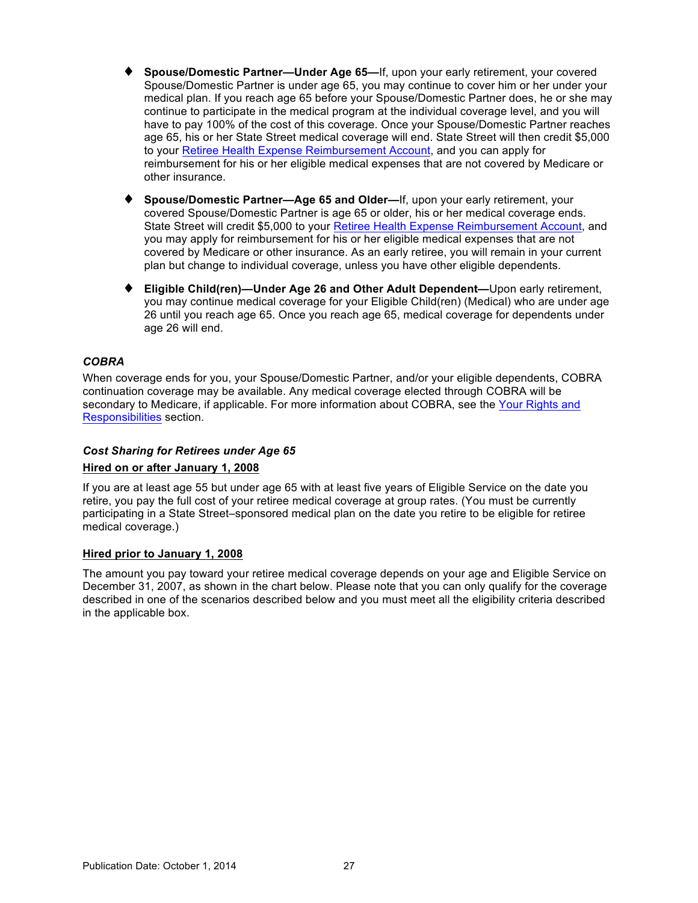- <span id="page-31-0"></span>**Spouse/Domestic Partner—Under Age 65—If, upon your early retirement, your covered** Spouse/Domestic Partner is under age 65, you may continue to cover him or her under your medical plan. If you reach age 65 before your Spouse/Domestic Partner does, he or she may continue to participate in the medical program at the individual coverage level, and you will have to pay 100% of the cost of this coverage. Once your Spouse/Domestic Partner reaches age 65, his or her State Street medical coverage will end. State Street will then credit \$5,000 to your [Retiree Health Expense Reimbursement Account,](#page-32-0) and you can apply for reimbursement for his or her eligible medical expenses that are not covered by Medicare or other insurance.
- **Spouse/Domestic Partner—Age 65 and Older—If, upon your early retirement, your** covered Spouse/Domestic Partner is age 65 or older, his or her medical coverage ends. State Street will credit \$5,000 to your [Retiree Health Expense Reimbursement Account,](#page-32-0) and you may apply for reimbursement for his or her eligible medical expenses that are not covered by Medicare or other insurance. As an early retiree, you will remain in your current plan but change to individual coverage, unless you have other eligible dependents.
- ♦ **Eligible Child(ren)—Under Age 26 and Other Adult Dependent—**Upon early retirement, you may continue medical coverage for your Eligible Child(ren) (Medical) who are under age 26 until you reach age 65. Once you reach age 65, medical coverage for dependents under age 26 will end.

### *COBRA*

When coverage ends for you, your Spouse/Domestic Partner, and/or your eligible dependents, COBRA continuation coverage may be available. Any medical coverage elected through COBRA will be secondary to Medicare, if applicable. For more information about COBRA, see the [Your Rights and](#page-67-0)  Responsibilities section.

## *Cost Sharing for Retirees under Age 65*

## **Hired on or after January 1, 2008**

If you are at least age 55 but under age 65 with at least five years of Eligible Service on the date you retire, you pay the full cost of your retiree medical coverage at group rates. (You must be currently participating in a State Street–sponsored medical plan on the date you retire to be eligible for retiree medical coverage.)

### **Hired prior to January 1, 2008**

The amount you pay toward your retiree medical coverage depends on your age and Eligible Service on December 31, 2007, as shown in the chart below. Please note that you can only qualify for the coverage described in one of the scenarios described below and you must meet all the eligibility criteria described in the applicable box.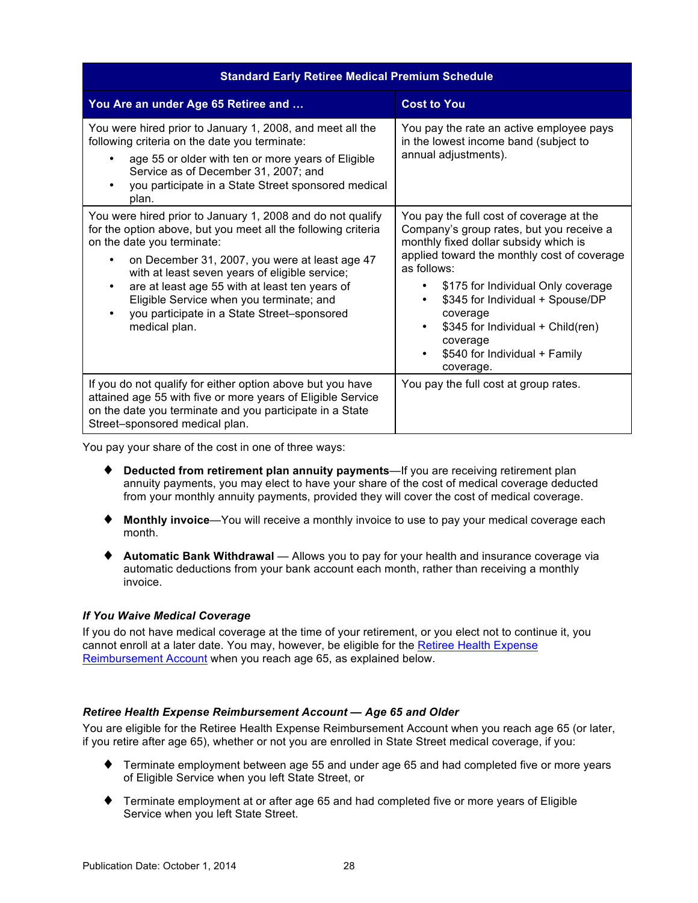<span id="page-32-0"></span>

| <b>Standard Early Retiree Medical Premium Schedule</b>                                                                                                                                                                                                                                                                                                                     |                                                                                                                                                                                                                                                                                                                                                        |  |  |
|----------------------------------------------------------------------------------------------------------------------------------------------------------------------------------------------------------------------------------------------------------------------------------------------------------------------------------------------------------------------------|--------------------------------------------------------------------------------------------------------------------------------------------------------------------------------------------------------------------------------------------------------------------------------------------------------------------------------------------------------|--|--|
| You Are an under Age 65 Retiree and                                                                                                                                                                                                                                                                                                                                        | <b>Cost to You</b>                                                                                                                                                                                                                                                                                                                                     |  |  |
| You were hired prior to January 1, 2008, and meet all the<br>following criteria on the date you terminate:<br>age 55 or older with ten or more years of Eligible<br>Service as of December 31, 2007; and<br>you participate in a State Street sponsored medical<br>plan.<br>You were hired prior to January 1, 2008 and do not qualify                                     | You pay the rate an active employee pays<br>in the lowest income band (subject to<br>annual adjustments).<br>You pay the full cost of coverage at the                                                                                                                                                                                                  |  |  |
| for the option above, but you meet all the following criteria<br>on the date you terminate:<br>on December 31, 2007, you were at least age 47<br>with at least seven years of eligible service;<br>are at least age 55 with at least ten years of<br>$\bullet$<br>Eligible Service when you terminate; and<br>you participate in a State Street-sponsored<br>medical plan. | Company's group rates, but you receive a<br>monthly fixed dollar subsidy which is<br>applied toward the monthly cost of coverage<br>as follows:<br>\$175 for Individual Only coverage<br>\$345 for Individual + Spouse/DP<br>٠<br>coverage<br>\$345 for Individual + Child(ren)<br>coverage<br>\$540 for Individual + Family<br>$\bullet$<br>coverage. |  |  |
| If you do not qualify for either option above but you have<br>attained age 55 with five or more years of Eligible Service<br>on the date you terminate and you participate in a State<br>Street-sponsored medical plan.                                                                                                                                                    | You pay the full cost at group rates.                                                                                                                                                                                                                                                                                                                  |  |  |

You pay your share of the cost in one of three ways:

- ♦ **Deducted from retirement plan annuity payments**—If you are receiving retirement plan annuity payments, you may elect to have your share of the cost of medical coverage deducted from your monthly annuity payments, provided they will cover the cost of medical coverage.
- ♦ **Monthly invoice**—You will receive a monthly invoice to use to pay your medical coverage each month.
- ♦ **Automatic Bank Withdrawal** Allows you to pay for your health and insurance coverage via automatic deductions from your bank account each month, rather than receiving a monthly invoice.

## *If You Waive Medical Coverage*

If you do not have medical coverage at the time of your retirement, or you elect not to continue it, you cannot enroll at a later date. You may, however, be eligible for the Retiree Health Expense Reimbursement Account when you reach age 65, as explained below.

## *Retiree Health Expense Reimbursement Account — Age 65 and Older*

You are eligible for the Retiree Health Expense Reimbursement Account when you reach age 65 (or later, if you retire after age 65), whether or not you are enrolled in State Street medical coverage, if you:

- ♦ Terminate employment between age 55 and under age 65 and had completed five or more years of Eligible Service when you left State Street, or
- ♦ Terminate employment at or after age 65 and had completed five or more years of Eligible Service when you left State Street.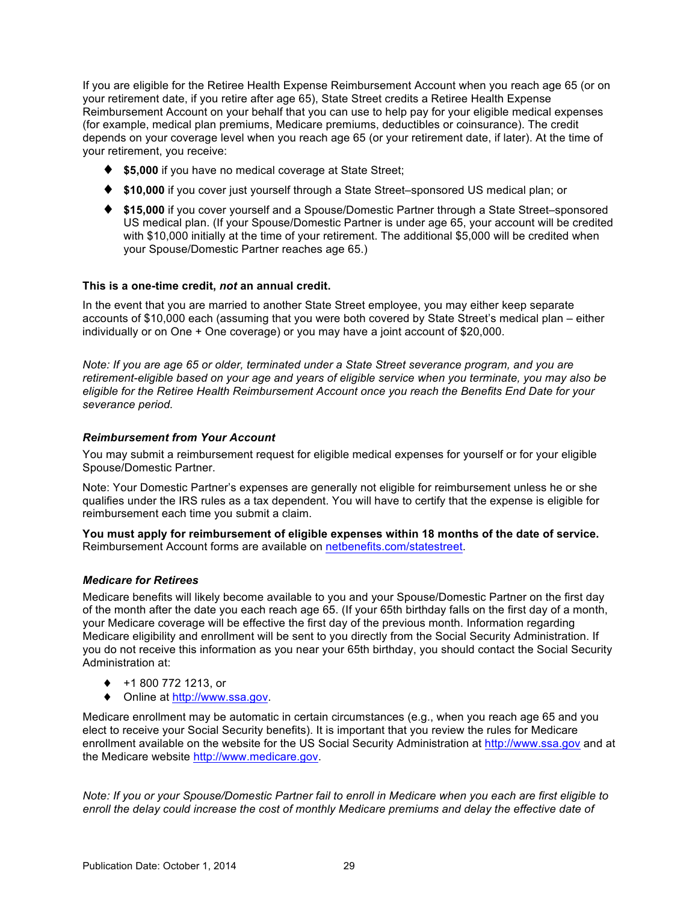<span id="page-33-0"></span>If you are eligible for the Retiree Health Expense Reimbursement Account when you reach age 65 (or on your retirement date, if you retire after age 65), State Street credits a Retiree Health Expense Reimbursement Account on your behalf that you can use to help pay for your eligible medical expenses (for example, medical plan premiums, Medicare premiums, deductibles or coinsurance). The credit depends on your coverage level when you reach age 65 (or your retirement date, if later). At the time of your retirement, you receive:

- ♦ **\$5,000** if you have no medical coverage at State Street;
- ♦ **\$10,000** if you cover just yourself through a State Street–sponsored US medical plan; or
- ♦ **\$15,000** if you cover yourself and a Spouse/Domestic Partner through a State Street–sponsored US medical plan. (If your Spouse/Domestic Partner is under age 65, your account will be credited with \$10,000 initially at the time of your retirement. The additional \$5,000 will be credited when your Spouse/Domestic Partner reaches age 65.)

### **This is a one-time credit,** *not* **an annual credit.**

In the event that you are married to another State Street employee, you may either keep separate accounts of \$10,000 each (assuming that you were both covered by State Street's medical plan – either individually or on One + One coverage) or you may have a joint account of \$20,000.

*Note: If you are age 65 or older, terminated under a State Street severance program, and you are retirement-eligible based on your age and years of eligible service when you terminate, you may also be eligible for the Retiree Health Reimbursement Account once you reach the Benefits End Date for your severance period.*

### *Reimbursement from Your Account*

You may submit a reimbursement request for eligible medical expenses for yourself or for your eligible Spouse/Domestic Partner.

Note: Your Domestic Partner's expenses are generally not eligible for reimbursement unless he or she qualifies under the IRS rules as a tax dependent. You will have to certify that the expense is eligible for reimbursement each time you submit a claim.

**You must apply for reimbursement of eligible expenses within 18 months of the date of service.** Reimbursement Account forms are available on [netbenefits.com/statestreet.](http://netbenefits.com/statestreet)

### *Medicare for Retirees*

Medicare benefits will likely become available to you and your Spouse/Domestic Partner on the first day of the month after the date you each reach age 65. (If your 65th birthday falls on the first day of a month, your Medicare coverage will be effective the first day of the previous month. Information regarding Medicare eligibility and enrollment will be sent to you directly from the Social Security Administration. If you do not receive this information as you near your 65th birthday, you should contact the Social Security Administration at:

- ♦ +1 800 772 1213, or
- ◆ Online at http://www.ssa.gov.

Medicare enrollment may be automatic in certain circumstances (e.g., when you reach age 65 and you elect to receive your Social Security benefits). It is important that you review the rules for Medicare enrollment available on the website for the US Social Security Administration at <http://www.ssa.gov> and at the Medicare website<http://www.medicare.gov>.

*Note: If you or your Spouse/Domestic Partner fail to enroll in Medicare when you each are first eligible to enroll the delay could increase the cost of monthly Medicare premiums and delay the effective date of*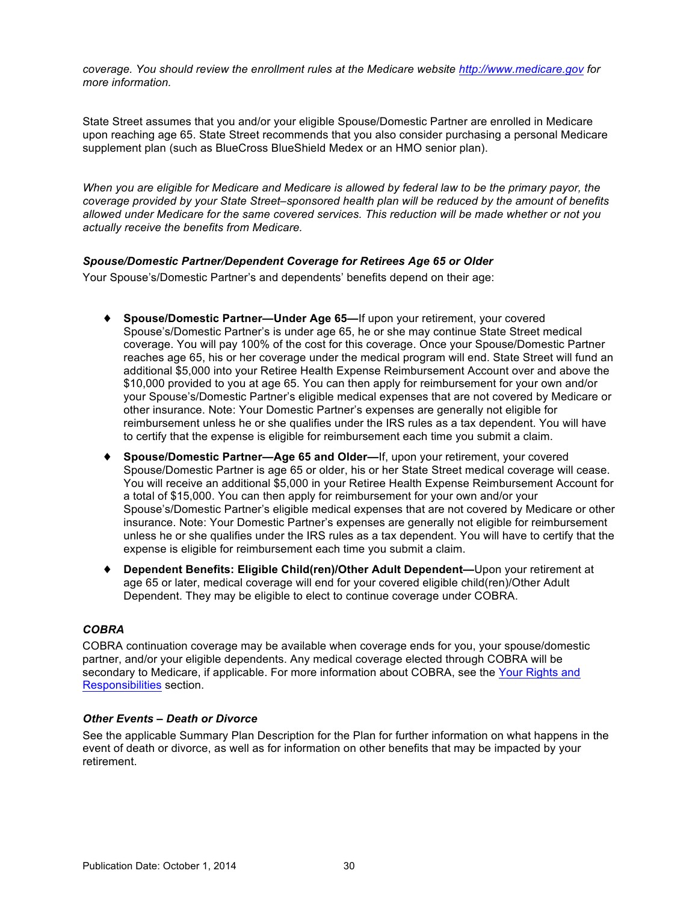<span id="page-34-0"></span>*coverage. You should review the enrollment rules at the Medicare website <http://www.medicare.gov> for more information.*

State Street assumes that you and/or your eligible Spouse/Domestic Partner are enrolled in Medicare upon reaching age 65. State Street recommends that you also consider purchasing a personal Medicare supplement plan (such as BlueCross BlueShield Medex or an HMO senior plan).

*When you are eligible for Medicare and Medicare is allowed by federal law to be the primary payor, the coverage provided by your State Street–sponsored health plan will be reduced by the amount of benefits allowed under Medicare for the same covered services. This reduction will be made whether or not you actually receive the benefits from Medicare.*

### *Spouse/Domestic Partner/Dependent Coverage for Retirees Age 65 or Older*

Your Spouse's/Domestic Partner's and dependents' benefits depend on their age:

- ♦ **Spouse/Domestic Partner—Under Age 65—**If upon your retirement, your covered Spouse's/Domestic Partner's is under age 65, he or she may continue State Street medical coverage. You will pay 100% of the cost for this coverage. Once your Spouse/Domestic Partner reaches age 65, his or her coverage under the medical program will end. State Street will fund an additional \$5,000 into your Retiree Health Expense Reimbursement Account over and above the \$10,000 provided to you at age 65. You can then apply for reimbursement for your own and/or your Spouse's/Domestic Partner's eligible medical expenses that are not covered by Medicare or other insurance. Note: Your Domestic Partner's expenses are generally not eligible for reimbursement unless he or she qualifies under the IRS rules as a tax dependent. You will have to certify that the expense is eligible for reimbursement each time you submit a claim.
- ♦ **Spouse/Domestic Partner—Age 65 and Older—**If, upon your retirement, your covered Spouse/Domestic Partner is age 65 or older, his or her State Street medical coverage will cease. You will receive an additional \$5,000 in your Retiree Health Expense Reimbursement Account for a total of \$15,000. You can then apply for reimbursement for your own and/or your Spouse's/Domestic Partner's eligible medical expenses that are not covered by Medicare or other insurance. Note: Your Domestic Partner's expenses are generally not eligible for reimbursement unless he or she qualifies under the IRS rules as a tax dependent. You will have to certify that the expense is eligible for reimbursement each time you submit a claim.
- ♦ **Dependent Benefits: Eligible Child(ren)/Other Adult Dependent—**Upon your retirement at age 65 or later, medical coverage will end for your covered eligible child(ren)/Other Adult Dependent. They may be eligible to elect to continue coverage under COBRA.

## *COBRA*

COBRA continuation coverage may be available when coverage ends for you, your spouse/domestic partner, and/or your eligible dependents. Any medical coverage elected through COBRA will be secondary to Medicare, if applicable. For more information about COBRA, see the [Your Rights and](#page-67-0)  [Responsibilities](#page-67-0) section.

### *Other Events – Death or Divorce*

See the applicable Summary Plan Description for the Plan for further information on what happens in the event of death or divorce, as well as for information on other benefits that may be impacted by your retirement.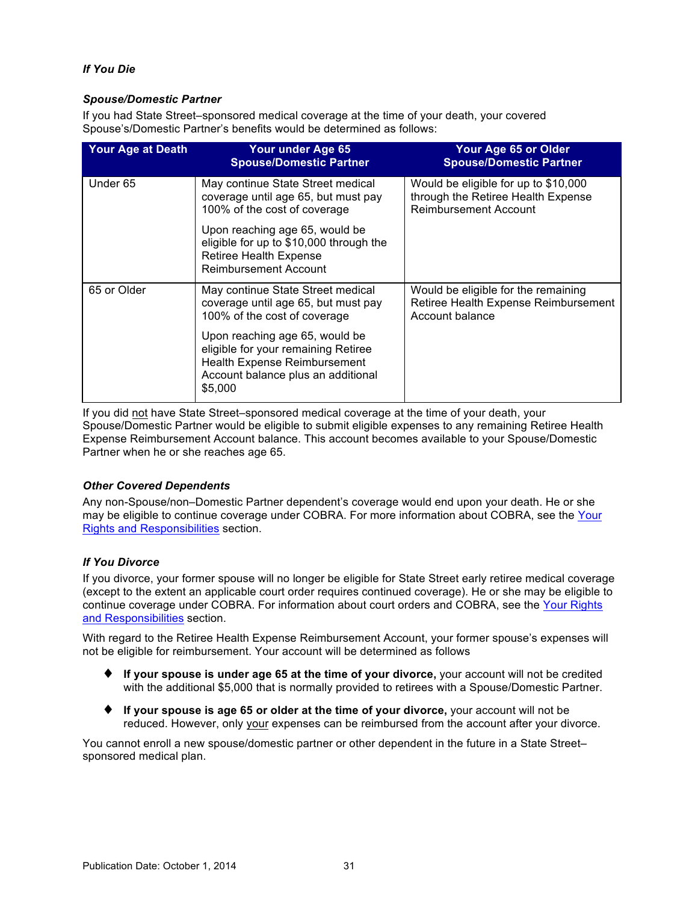## <span id="page-35-0"></span>*If You Die*

### *Spouse/Domestic Partner*

If you had State Street–sponsored medical coverage at the time of your death, your covered Spouse's/Domestic Partner's benefits would be determined as follows:

| <b>Your Age at Death</b> | Your under Age 65<br><b>Spouse/Domestic Partner</b>                                                                                                           | Your Age 65 or Older<br><b>Spouse/Domestic Partner</b>                                                     |
|--------------------------|---------------------------------------------------------------------------------------------------------------------------------------------------------------|------------------------------------------------------------------------------------------------------------|
| Under 65                 | May continue State Street medical<br>coverage until age 65, but must pay<br>100% of the cost of coverage                                                      | Would be eligible for up to \$10,000<br>through the Retiree Health Expense<br><b>Reimbursement Account</b> |
|                          | Upon reaching age 65, would be<br>eligible for up to \$10,000 through the<br><b>Retiree Health Expense</b><br><b>Reimbursement Account</b>                    |                                                                                                            |
| 65 or Older              | May continue State Street medical<br>coverage until age 65, but must pay<br>100% of the cost of coverage                                                      | Would be eligible for the remaining<br>Retiree Health Expense Reimbursement<br>Account balance             |
|                          | Upon reaching age 65, would be<br>eligible for your remaining Retiree<br><b>Health Expense Reimbursement</b><br>Account balance plus an additional<br>\$5,000 |                                                                                                            |

If you did not have State Street–sponsored medical coverage at the time of your death, your Spouse/Domestic Partner would be eligible to submit eligible expenses to any remaining Retiree Health Expense Reimbursement Account balance. This account becomes available to your Spouse/Domestic Partner when he or she reaches age 65.

## *Other Covered Dependents*

Any non-Spouse/non–Domestic Partner dependent's coverage would end upon your death. He or she may be eligible to continue coverage under COBRA. For more information about COBRA, see the [Your](#page-67-0)  [Rights and Responsibilities](#page-67-0) section.

## *If You Divorce*

If you divorce, your former spouse will no longer be eligible for State Street early retiree medical coverage (except to the extent an applicable court order requires continued coverage). He or she may be eligible to continue coverage under COBRA. For information about court orders and COBRA, see th[e Your Rights](#page-67-0)  [and Responsibilities](#page-67-0) section.

With regard to the Retiree Health Expense Reimbursement Account, your former spouse's expenses will not be eligible for reimbursement. Your account will be determined as follows

- ♦ **If your spouse is under age 65 at the time of your divorce,** your account will not be credited with the additional \$5,000 that is normally provided to retirees with a Spouse/Domestic Partner.
- ♦ **If your spouse is age 65 or older at the time of your divorce,** your account will not be reduced. However, only your expenses can be reimbursed from the account after your divorce.

You cannot enroll a new spouse/domestic partner or other dependent in the future in a State Street– sponsored medical plan.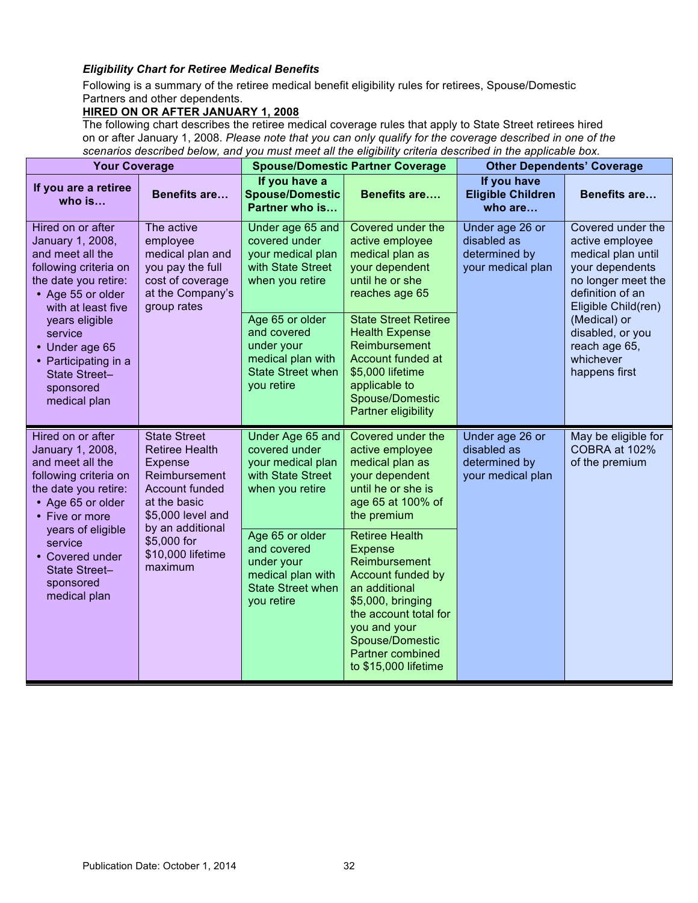# *Eligibility Chart for Retiree Medical Benefits*

Following is a summary of the retiree medical benefit eligibility rules for retirees, Spouse/Domestic Partners and other dependents.

# **HIRED ON OR AFTER JANUARY 1, 2008**

The following chart describes the retiree medical coverage rules that apply to State Street retirees hired on or after January 1, 2008. *Please note that you can only qualify for the coverage described in one of the scenarios described below, and you must meet all the eligibility criteria described in the applicable box.*

| <b>Your Coverage</b>                                                                                                                                  |                                                                                                                                        | <b>Spouse/Domestic Partner Coverage</b>                                                                     |                                                                                                                                                                                                                             | <b>Other Dependents' Coverage</b>                                    |                                                                                                                                                |
|-------------------------------------------------------------------------------------------------------------------------------------------------------|----------------------------------------------------------------------------------------------------------------------------------------|-------------------------------------------------------------------------------------------------------------|-----------------------------------------------------------------------------------------------------------------------------------------------------------------------------------------------------------------------------|----------------------------------------------------------------------|------------------------------------------------------------------------------------------------------------------------------------------------|
| If you are a retiree<br>who $is$                                                                                                                      | <b>Benefits are</b>                                                                                                                    | If you have a<br><b>Spouse/Domestic</b><br>Partner who is                                                   | <b>Benefits are</b>                                                                                                                                                                                                         | If you have<br><b>Eligible Children</b><br>who are                   | <b>Benefits are</b>                                                                                                                            |
| Hired on or after<br>January 1, 2008,<br>and meet all the<br>following criteria on<br>the date you retire:<br>• Age 55 or older<br>with at least five | The active<br>employee<br>medical plan and<br>you pay the full<br>cost of coverage<br>at the Company's<br>group rates                  | Under age 65 and<br>covered under<br>your medical plan<br>with State Street<br>when you retire              | Covered under the<br>active employee<br>medical plan as<br>your dependent<br>until he or she<br>reaches age 65                                                                                                              | Under age 26 or<br>disabled as<br>determined by<br>your medical plan | Covered under the<br>active employee<br>medical plan until<br>your dependents<br>no longer meet the<br>definition of an<br>Eligible Child(ren) |
| years eligible<br>service<br>• Under age 65<br>• Participating in a<br>State Street-<br>sponsored<br>medical plan                                     |                                                                                                                                        | Age 65 or older<br>and covered<br>under your<br>medical plan with<br><b>State Street when</b><br>you retire | <b>State Street Retiree</b><br><b>Health Expense</b><br>Reimbursement<br>Account funded at<br>\$5,000 lifetime<br>applicable to<br>Spouse/Domestic<br><b>Partner eligibility</b>                                            |                                                                      | (Medical) or<br>disabled, or you<br>reach age 65,<br>whichever<br>happens first                                                                |
| Hired on or after<br>January 1, 2008,<br>and meet all the<br>following criteria on<br>the date you retire:<br>• Age 65 or older<br>• Five or more     | <b>State Street</b><br><b>Retiree Health</b><br>Expense<br>Reimbursement<br><b>Account funded</b><br>at the basic<br>\$5,000 level and | Under Age 65 and<br>covered under<br>your medical plan<br>with State Street<br>when you retire              | Covered under the<br>active employee<br>medical plan as<br>your dependent<br>until he or she is<br>age 65 at 100% of<br>the premium                                                                                         | Under age 26 or<br>disabled as<br>determined by<br>your medical plan | May be eligible for<br>COBRA at 102%<br>of the premium                                                                                         |
| years of eligible<br>service<br>• Covered under<br>State Street-<br>sponsored<br>medical plan                                                         | by an additional<br>\$5,000 for<br>\$10,000 lifetime<br>maximum                                                                        | Age 65 or older<br>and covered<br>under your<br>medical plan with<br><b>State Street when</b><br>you retire | <b>Retiree Health</b><br>Expense<br>Reimbursement<br>Account funded by<br>an additional<br>\$5,000, bringing<br>the account total for<br>you and your<br>Spouse/Domestic<br><b>Partner combined</b><br>to \$15,000 lifetime |                                                                      |                                                                                                                                                |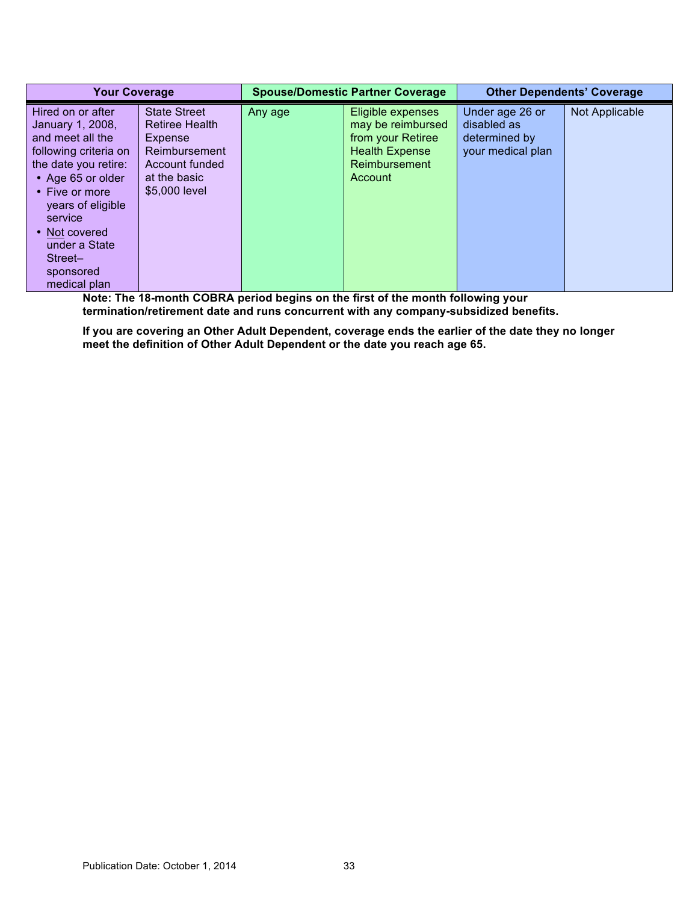| <b>Your Coverage</b>                                                                                                                                                                                                                                              |                                                                                                                             | <b>Spouse/Domestic Partner Coverage</b> |                                                                                                                  | <b>Other Dependents' Coverage</b>                                    |                |
|-------------------------------------------------------------------------------------------------------------------------------------------------------------------------------------------------------------------------------------------------------------------|-----------------------------------------------------------------------------------------------------------------------------|-----------------------------------------|------------------------------------------------------------------------------------------------------------------|----------------------------------------------------------------------|----------------|
| Hired on or after<br>January 1, 2008,<br>and meet all the<br>following criteria on<br>the date you retire:<br>• Age 65 or older<br>$\cdot$ Five or more<br>years of eligible<br>service<br>• Not covered<br>under a State<br>Street-<br>sponsored<br>medical plan | <b>State Street</b><br><b>Retiree Health</b><br>Expense<br>Reimbursement<br>Account funded<br>at the basic<br>\$5,000 level | Any age                                 | Eligible expenses<br>may be reimbursed<br>from your Retiree<br><b>Health Expense</b><br>Reimbursement<br>Account | Under age 26 or<br>disabled as<br>determined by<br>your medical plan | Not Applicable |

**Note: The 18-month COBRA period begins on the first of the month following your termination/retirement date and runs concurrent with any company-subsidized benefits.** 

**If you are covering an Other Adult Dependent, coverage ends the earlier of the date they no longer meet the definition of Other Adult Dependent or the date you reach age 65.**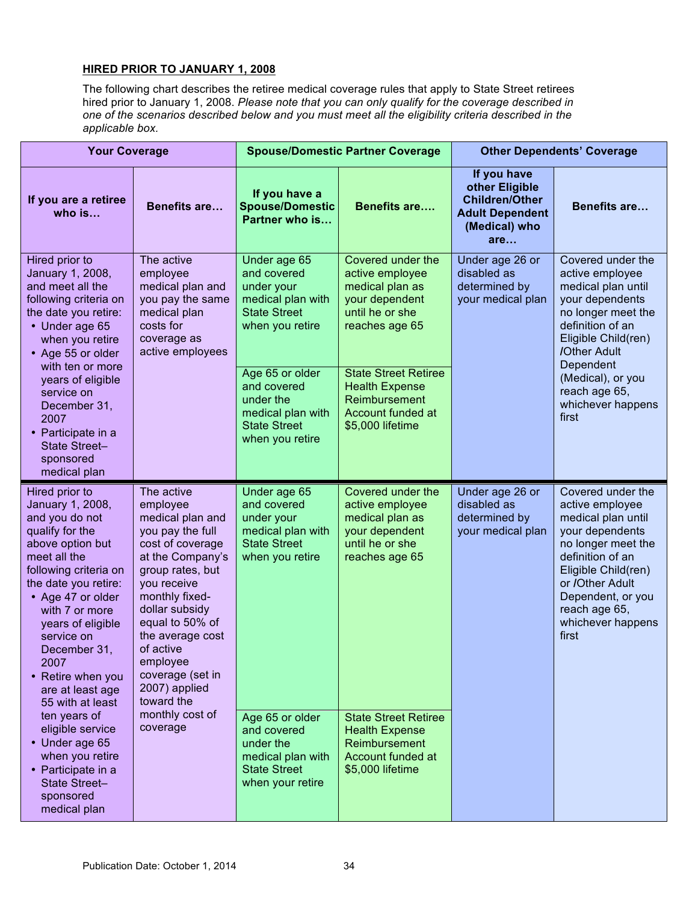# **HIRED PRIOR TO JANUARY 1, 2008**

The following chart describes the retiree medical coverage rules that apply to State Street retirees hired prior to January 1, 2008. *Please note that you can only qualify for the coverage described in one of the scenarios described below and you must meet all the eligibility criteria described in the applicable box.*

| <b>Your Coverage</b>                                                                                                                                                                                                                                                                                                        |                                                                                                                                                                                                                                                                                                  | <b>Spouse/Domestic Partner Coverage</b>                                                                     |                                                                                                                | <b>Other Dependents' Coverage</b>                                                                        |                                                                                                                                                                                                                                       |
|-----------------------------------------------------------------------------------------------------------------------------------------------------------------------------------------------------------------------------------------------------------------------------------------------------------------------------|--------------------------------------------------------------------------------------------------------------------------------------------------------------------------------------------------------------------------------------------------------------------------------------------------|-------------------------------------------------------------------------------------------------------------|----------------------------------------------------------------------------------------------------------------|----------------------------------------------------------------------------------------------------------|---------------------------------------------------------------------------------------------------------------------------------------------------------------------------------------------------------------------------------------|
| If you are a retiree<br>who is                                                                                                                                                                                                                                                                                              | <b>Benefits are</b>                                                                                                                                                                                                                                                                              | If you have a<br><b>Spouse/Domestic</b><br>Partner who is                                                   | <b>Benefits are</b>                                                                                            | If you have<br>other Eligible<br><b>Children/Other</b><br><b>Adult Dependent</b><br>(Medical) who<br>are | <b>Benefits are</b>                                                                                                                                                                                                                   |
| Hired prior to<br>January 1, 2008,<br>and meet all the<br>following criteria on<br>the date you retire:<br>• Under age 65<br>when you retire<br>• Age 55 or older<br>with ten or more                                                                                                                                       | The active<br>employee<br>medical plan and<br>you pay the same<br>medical plan<br>costs for<br>coverage as<br>active employees                                                                                                                                                                   | Under age 65<br>and covered<br>under your<br>medical plan with<br><b>State Street</b><br>when you retire    | Covered under the<br>active employee<br>medical plan as<br>your dependent<br>until he or she<br>reaches age 65 | Under age 26 or<br>disabled as<br>determined by<br>your medical plan                                     | Covered under the<br>active employee<br>medical plan until<br>your dependents<br>no longer meet the<br>definition of an<br>Eligible Child(ren)<br>/Other Adult<br>Dependent                                                           |
| years of eligible<br>service on<br>December 31,<br>2007<br>• Participate in a<br>State Street-<br>sponsored<br>medical plan                                                                                                                                                                                                 |                                                                                                                                                                                                                                                                                                  | Age 65 or older<br>and covered<br>under the<br>medical plan with<br><b>State Street</b><br>when you retire  | <b>State Street Retiree</b><br><b>Health Expense</b><br>Reimbursement<br>Account funded at<br>\$5,000 lifetime |                                                                                                          | (Medical), or you<br>reach age 65,<br>whichever happens<br>first                                                                                                                                                                      |
| Hired prior to<br>January 1, 2008,<br>and you do not<br>qualify for the<br>above option but<br>meet all the<br>following criteria on<br>the date you retire:<br>• Age 47 or older<br>with 7 or more<br>years of eligible<br>service on<br>December 31,<br>2007<br>• Retire when you<br>are at least age<br>55 with at least | The active<br>employee<br>medical plan and<br>you pay the full<br>cost of coverage<br>at the Company's<br>group rates, but<br>you receive<br>monthly fixed-<br>dollar subsidy<br>equal to 50% of<br>the average cost<br>of active<br>employee<br>coverage (set in<br>2007) applied<br>toward the | Under age 65<br>and covered<br>under your<br>medical plan with<br><b>State Street</b><br>when you retire    | Covered under the<br>active employee<br>medical plan as<br>your dependent<br>until he or she<br>reaches age 65 | Under age 26 or<br>disabled as<br>determined by<br>your medical plan                                     | Covered under the<br>active employee<br>medical plan until<br>your dependents<br>no longer meet the<br>definition of an<br>Eligible Child(ren)<br>or /Other Adult<br>Dependent, or you<br>reach age 65,<br>whichever happens<br>first |
| ten years of<br>eligible service<br>• Under age 65<br>when you retire<br>• Participate in a<br>State Street-<br>sponsored<br>medical plan                                                                                                                                                                                   | monthly cost of<br>coverage                                                                                                                                                                                                                                                                      | Age 65 or older<br>and covered<br>under the<br>medical plan with<br><b>State Street</b><br>when your retire | <b>State Street Retiree</b><br><b>Health Expense</b><br>Reimbursement<br>Account funded at<br>\$5,000 lifetime |                                                                                                          |                                                                                                                                                                                                                                       |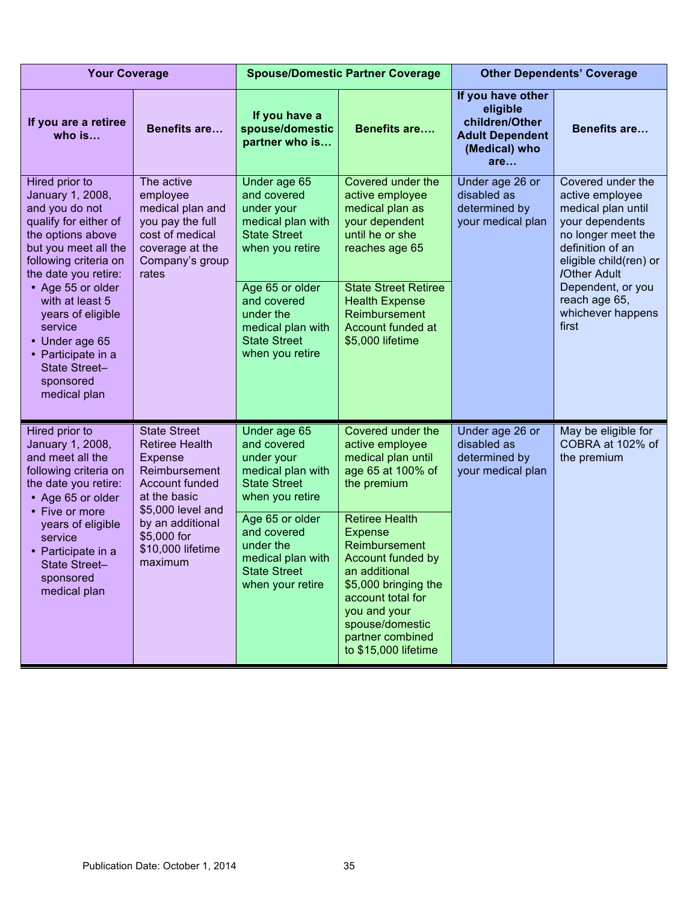| <b>Your Coverage</b>                                                                                                                                                                             |                                                                                                                                  | <b>Spouse/Domestic Partner Coverage</b>                                                                                     |                                                                                                                                                                                                                            | <b>Other Dependents' Coverage</b>                                                                 |                                                                                                                                                                                        |
|--------------------------------------------------------------------------------------------------------------------------------------------------------------------------------------------------|----------------------------------------------------------------------------------------------------------------------------------|-----------------------------------------------------------------------------------------------------------------------------|----------------------------------------------------------------------------------------------------------------------------------------------------------------------------------------------------------------------------|---------------------------------------------------------------------------------------------------|----------------------------------------------------------------------------------------------------------------------------------------------------------------------------------------|
| If you are a retiree<br>who $is$                                                                                                                                                                 | <b>Benefits are</b>                                                                                                              | If you have a<br>spouse/domestic<br>partner who is                                                                          | <b>Benefits are</b>                                                                                                                                                                                                        | If you have other<br>eligible<br>children/Other<br><b>Adult Dependent</b><br>(Medical) who<br>are | <b>Benefits are</b>                                                                                                                                                                    |
| Hired prior to<br>January 1, 2008,<br>and you do not<br>qualify for either of<br>the options above<br>but you meet all the<br>following criteria on<br>the date you retire:<br>• Age 55 or older | The active<br>employee<br>medical plan and<br>you pay the full<br>cost of medical<br>coverage at the<br>Company's group<br>rates | Under age 65<br>and covered<br>under your<br>medical plan with<br><b>State Street</b><br>when you retire<br>Age 65 or older | Covered under the<br>active employee<br>medical plan as<br>your dependent<br>until he or she<br>reaches age 65<br><b>State Street Retiree</b>                                                                              | Under age 26 or<br>disabled as<br>determined by<br>your medical plan                              | Covered under the<br>active employee<br>medical plan until<br>your dependents<br>no longer meet the<br>definition of an<br>eligible child(ren) or<br>/Other Adult<br>Dependent, or you |
| with at least 5<br>years of eligible<br>service<br>• Under age 65<br>• Participate in a<br>State Street-<br>sponsored<br>medical plan                                                            |                                                                                                                                  | and covered<br>under the<br>medical plan with<br><b>State Street</b><br>when you retire                                     | <b>Health Expense</b><br>Reimbursement<br>Account funded at<br>\$5,000 lifetime                                                                                                                                            |                                                                                                   | reach age 65,<br>whichever happens<br>first                                                                                                                                            |
| Hired prior to<br>January 1, 2008,<br>and meet all the<br>following criteria on<br>the date you retire:<br>• Age 65 or older                                                                     | <b>State Street</b><br><b>Retiree Health</b><br>Expense<br>Reimbursement<br>Account funded<br>at the basic<br>\$5,000 level and  | Under age 65<br>and covered<br>under your<br>medical plan with<br><b>State Street</b><br>when you retire                    | Covered under the<br>active employee<br>medical plan until<br>age 65 at 100% of<br>the premium                                                                                                                             | Under age 26 or<br>disabled as<br>determined by<br>your medical plan                              | May be eligible for<br>COBRA at 102% of<br>the premium                                                                                                                                 |
| • Five or more<br>years of eligible<br>service<br>• Participate in a<br><b>State Street-</b><br>sponsored<br>medical plan                                                                        | by an additional<br>\$5,000 for<br>\$10,000 lifetime<br>maximum                                                                  | Age 65 or older<br>and covered<br>under the<br>medical plan with<br><b>State Street</b><br>when your retire                 | <b>Retiree Health</b><br><b>Expense</b><br>Reimbursement<br>Account funded by<br>an additional<br>\$5,000 bringing the<br>account total for<br>you and your<br>spouse/domestic<br>partner combined<br>to \$15,000 lifetime |                                                                                                   |                                                                                                                                                                                        |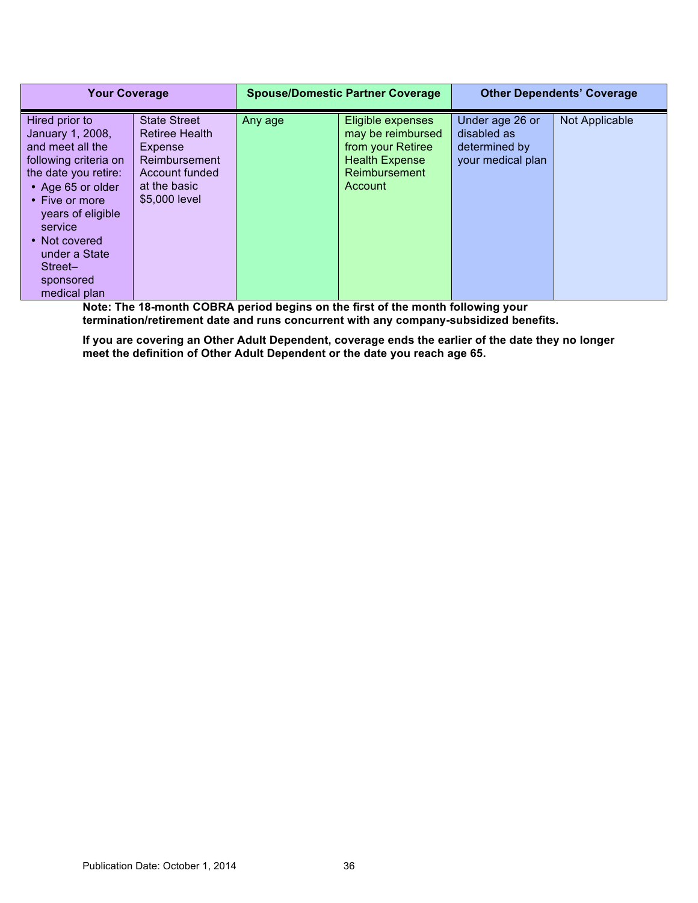| <b>Your Coverage</b>                                                                                                                                                                                                                                     |                                                                                                                             | <b>Spouse/Domestic Partner Coverage</b> |                                                                                                                  | <b>Other Dependents' Coverage</b>                                    |                |
|----------------------------------------------------------------------------------------------------------------------------------------------------------------------------------------------------------------------------------------------------------|-----------------------------------------------------------------------------------------------------------------------------|-----------------------------------------|------------------------------------------------------------------------------------------------------------------|----------------------------------------------------------------------|----------------|
| Hired prior to<br>January 1, 2008,<br>and meet all the<br>following criteria on<br>the date you retire:<br>• Age 65 or older<br>• Five or more<br>years of eligible<br>service<br>• Not covered<br>under a State<br>Street-<br>sponsored<br>medical plan | <b>State Street</b><br><b>Retiree Health</b><br>Expense<br>Reimbursement<br>Account funded<br>at the basic<br>\$5,000 level | Any age                                 | Eligible expenses<br>may be reimbursed<br>from your Retiree<br><b>Health Expense</b><br>Reimbursement<br>Account | Under age 26 or<br>disabled as<br>determined by<br>your medical plan | Not Applicable |

**Note: The 18-month COBRA period begins on the first of the month following your termination/retirement date and runs concurrent with any company-subsidized benefits.** 

**If you are covering an Other Adult Dependent, coverage ends the earlier of the date they no longer meet the definition of Other Adult Dependent or the date you reach age 65.**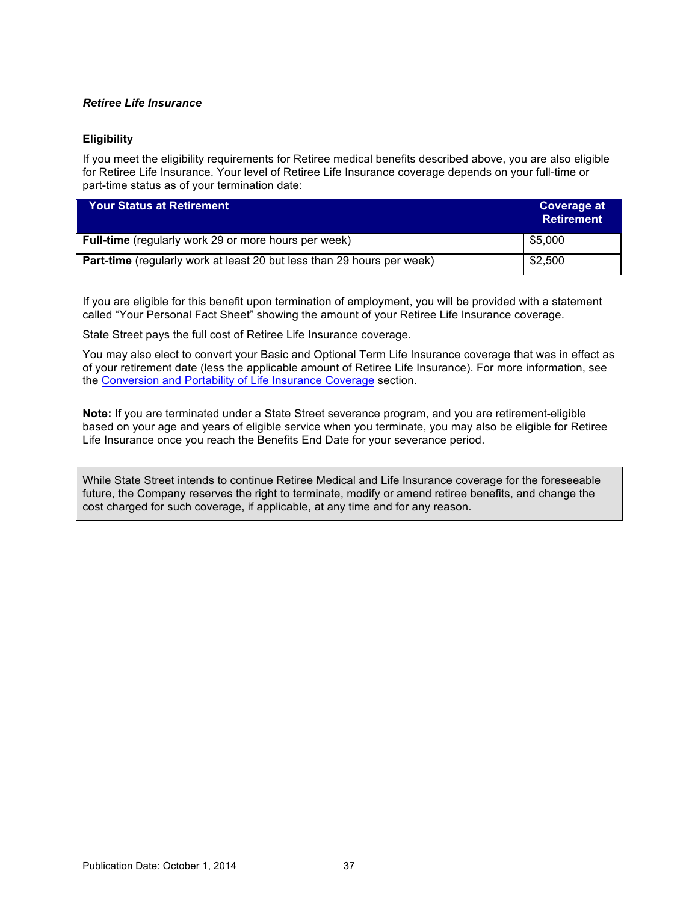# *Retiree Life Insurance*

# **Eligibility**

If you meet the eligibility requirements for Retiree medical benefits described above, you are also eligible for Retiree Life Insurance. Your level of Retiree Life Insurance coverage depends on your full-time or part-time status as of your termination date:

| <b>Your Status at Retirement</b>                                              | Coverage at<br><b>Retirement</b> |
|-------------------------------------------------------------------------------|----------------------------------|
| Full-time (regularly work 29 or more hours per week)                          | \$5,000                          |
| <b>Part-time</b> (regularly work at least 20 but less than 29 hours per week) | \$2,500                          |

If you are eligible for this benefit upon termination of employment, you will be provided with a statement called "Your Personal Fact Sheet" showing the amount of your Retiree Life Insurance coverage.

State Street pays the full cost of Retiree Life Insurance coverage.

You may also elect to convert your Basic and Optional Term Life Insurance coverage that was in effect as of your retirement date (less the applicable amount of Retiree Life Insurance). For more information, see the [Conversion and Portability of Life Insurance Coverage](#page-56-0) section.

**Note:** If you are terminated under a State Street severance program, and you are retirement-eligible based on your age and years of eligible service when you terminate, you may also be eligible for Retiree Life Insurance once you reach the Benefits End Date for your severance period.

While State Street intends to continue Retiree Medical and Life Insurance coverage for the foreseeable future, the Company reserves the right to terminate, modify or amend retiree benefits, and change the cost charged for such coverage, if applicable, at any time and for any reason.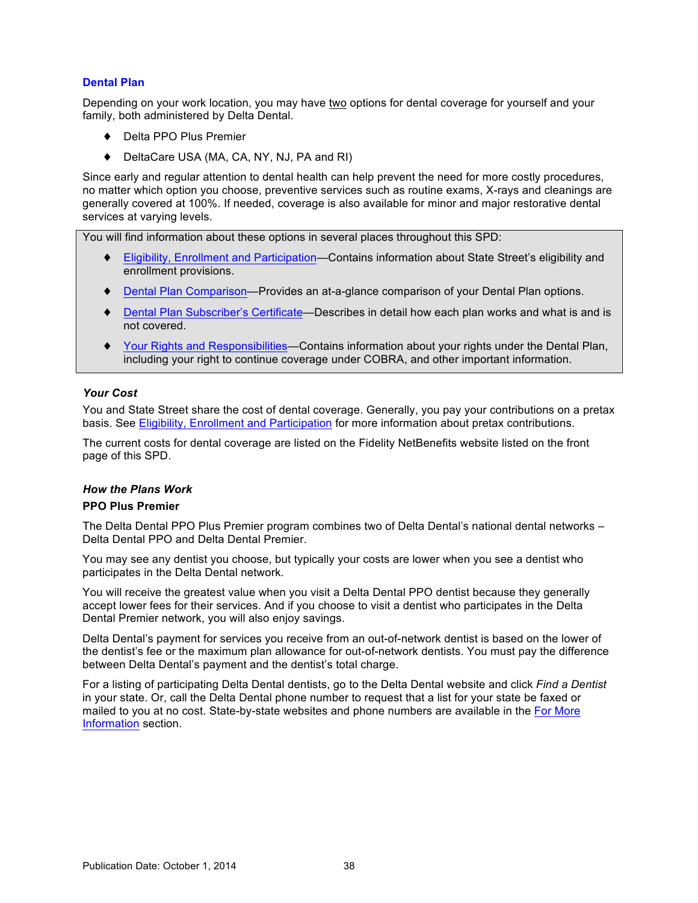# **Dental Plan**

Depending on your work location, you may have two options for dental coverage for yourself and your family, both administered by Delta Dental.

- ♦ Delta PPO Plus Premier
- DeltaCare USA (MA, CA, NY, NJ, PA and RI)

Since early and regular attention to dental health can help prevent the need for more costly procedures, no matter which option you choose, preventive services such as routine exams, X-rays and cleanings are generally covered at 100%. If needed, coverage is also available for minor and major restorative dental services at varying levels.

You will find information about these options in several places throughout this SPD:

- ♦ [Eligibility, Enrollment and Participation—](#page-6-0)Contains information about State Street's eligibility and enrollment provisions.
- ♦ [Dental Plan Comparison](#page-44-0)*—*Provides an at-a-glance comparison of your Dental Plan options.
- ♦ [Dental Plan Subscriber's Certificate](#page-44-0)*—*Describes in detail how each plan works and what is and is not covered.
- [Your Rights and Responsibilities—](#page-67-0)Contains information about your rights under the Dental Plan, including your right to continue coverage under COBRA, and other important information.

#### *Your Cost*

You and State Street share the cost of dental coverage. Generally, you pay your contributions on a pretax basis. See [Eligibility, Enrollment and Participation](#page-6-0) for more information about pretax contributions.

The current costs for dental coverage are listed on the Fidelity NetBenefits website listed on the front page of this SPD.

#### *How the Plans Work*

#### **PPO Plus Premier**

The Delta Dental PPO Plus Premier program combines two of Delta Dental's national dental networks – Delta Dental PPO and Delta Dental Premier.

You may see any dentist you choose, but typically your costs are lower when you see a dentist who participates in the Delta Dental network.

You will receive the greatest value when you visit a Delta Dental PPO dentist because they generally accept lower fees for their services. And if you choose to visit a dentist who participates in the Delta Dental Premier network, you will also enjoy savings.

Delta Dental's payment for services you receive from an out-of-network dentist is based on the lower of the dentist's fee or the maximum plan allowance for out-of-network dentists. You must pay the difference between Delta Dental's payment and the dentist's total charge.

For a listing of participating Delta Dental dentists, go to the Delta Dental website and click *Find a Dentist* in your state. Or, call the Delta Dental phone number to request that a list for your state be faxed or mailed to you at no cost. State-by-state websites and phone numbers are available in the [For More](#page-45-0)  [Information](#page-45-0) section.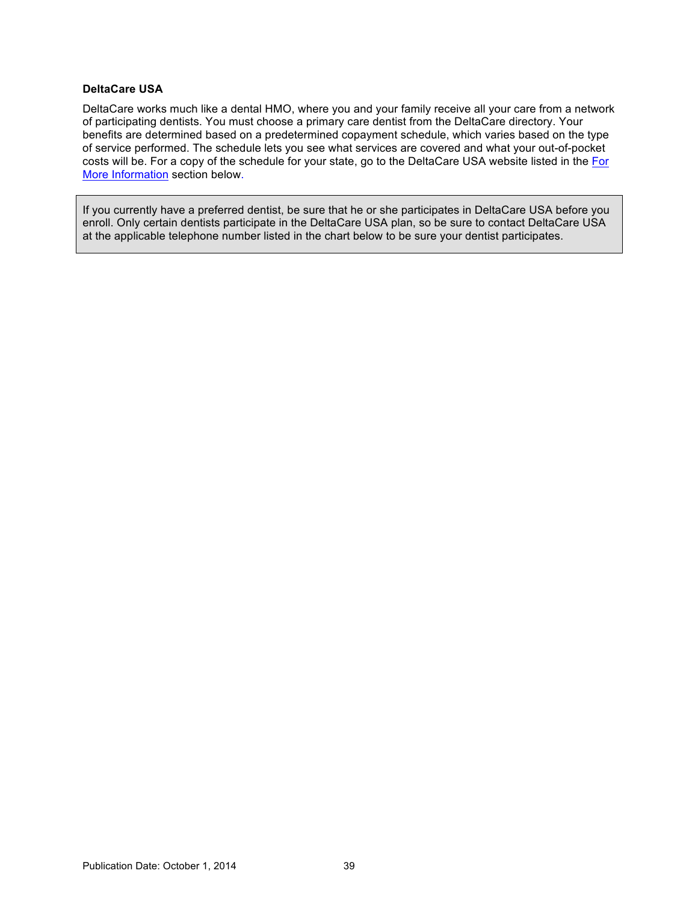## **DeltaCare USA**

DeltaCare works much like a dental HMO, where you and your family receive all your care from a network of participating dentists. You must choose a primary care dentist from the DeltaCare directory. Your benefits are determined based on a predetermined copayment schedule, which varies based on the type of service performed. The schedule lets you see what services are covered and what your out-of-pocket costs will be. For a copy of the schedule for your state, go to the DeltaCare USA website listed in th[e For](#page-45-0)  [More Information](#page-45-0) section below.

If you currently have a preferred dentist, be sure that he or she participates in DeltaCare USA before you enroll. Only certain dentists participate in the DeltaCare USA plan, so be sure to contact DeltaCare USA at the applicable telephone number listed in the chart below to be sure your dentist participates.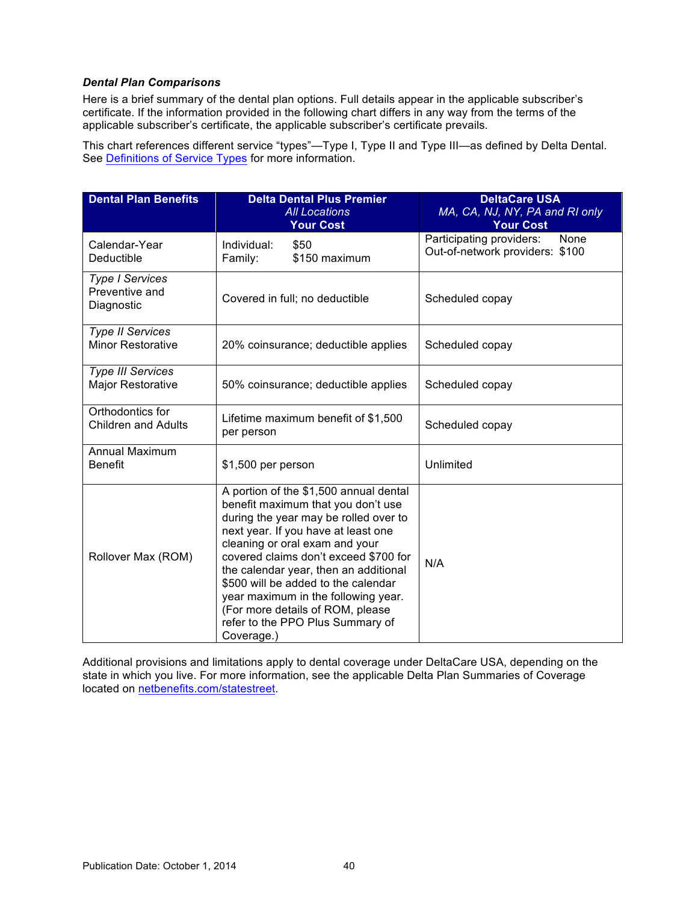# <span id="page-44-0"></span>*Dental Plan Comparisons*

Here is a brief summary of the dental plan options. Full details appear in the applicable subscriber's certificate. If the information provided in the following chart differs in any way from the terms of the applicable subscriber's certificate, the applicable subscriber's certificate prevails.

This chart references different service "types"—Type I, Type II and Type III—as defined by Delta Dental. See [Definitions of Service Types](#page-45-0) for more information.

| <b>Dental Plan Benefits</b>                            | <b>Delta Dental Plus Premier</b><br><b>All Locations</b><br><b>Your Cost</b>                                                                                                                                                                                                                                                                                                                                                                         | <b>DeltaCare USA</b><br>MA, CA, NJ, NY, PA and RI only<br><b>Your Cost</b> |
|--------------------------------------------------------|------------------------------------------------------------------------------------------------------------------------------------------------------------------------------------------------------------------------------------------------------------------------------------------------------------------------------------------------------------------------------------------------------------------------------------------------------|----------------------------------------------------------------------------|
| Calendar-Year<br>Deductible                            | \$50<br>Individual:<br>\$150 maximum<br>Family:                                                                                                                                                                                                                                                                                                                                                                                                      | Participating providers:<br>None<br>Out-of-network providers: \$100        |
| <b>Type I Services</b><br>Preventive and<br>Diagnostic | Covered in full; no deductible                                                                                                                                                                                                                                                                                                                                                                                                                       | Scheduled copay                                                            |
| <b>Type II Services</b><br><b>Minor Restorative</b>    | 20% coinsurance; deductible applies                                                                                                                                                                                                                                                                                                                                                                                                                  | Scheduled copay                                                            |
| <b>Type III Services</b><br><b>Major Restorative</b>   | 50% coinsurance; deductible applies                                                                                                                                                                                                                                                                                                                                                                                                                  | Scheduled copay                                                            |
| Orthodontics for<br><b>Children and Adults</b>         | Lifetime maximum benefit of \$1,500<br>per person                                                                                                                                                                                                                                                                                                                                                                                                    | Scheduled copay                                                            |
| <b>Annual Maximum</b><br><b>Benefit</b>                | \$1,500 per person                                                                                                                                                                                                                                                                                                                                                                                                                                   | Unlimited                                                                  |
| Rollover Max (ROM)                                     | A portion of the \$1,500 annual dental<br>benefit maximum that you don't use<br>during the year may be rolled over to<br>next year. If you have at least one<br>cleaning or oral exam and your<br>covered claims don't exceed \$700 for<br>the calendar year, then an additional<br>\$500 will be added to the calendar<br>year maximum in the following year.<br>(For more details of ROM, please<br>refer to the PPO Plus Summary of<br>Coverage.) | N/A                                                                        |

Additional provisions and limitations apply to dental coverage under DeltaCare USA, depending on the state in which you live. For more information, see the applicable Delta Plan Summaries of Coverage located on [netbenefits.com/statestreet.](http://netbenefits.com/statestreet)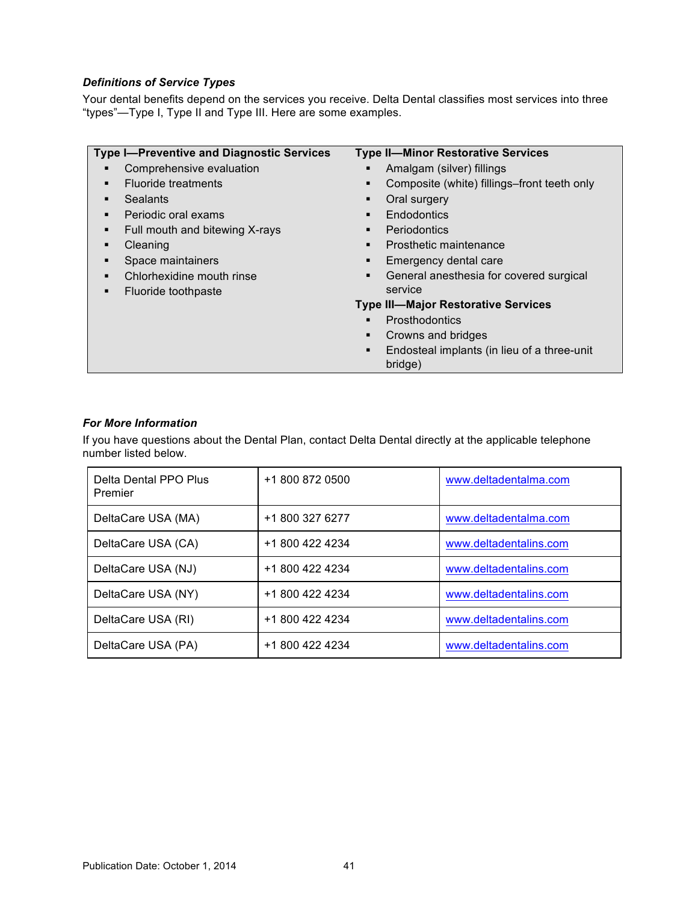# <span id="page-45-0"></span>*Definitions of Service Types*

Your dental benefits depend on the services you receive. Delta Dental classifies most services into three "types"—Type I, Type II and Type III. Here are some examples.

| <b>Type I-Preventive and Diagnostic Services</b> | <b>Type II-Minor Restorative Services</b>                   |
|--------------------------------------------------|-------------------------------------------------------------|
| Comprehensive evaluation                         | Amalgam (silver) fillings<br>п                              |
| <b>Fluoride treatments</b><br>٠                  | Composite (white) fillings–front teeth only                 |
| Sealants<br>٠                                    | Oral surgery                                                |
| Periodic oral exams<br>٠                         | Endodontics<br>п                                            |
| Full mouth and bitewing X-rays<br>٠              | Periodontics<br>$\blacksquare$                              |
| Cleaning<br>٠                                    | Prosthetic maintenance<br>٠                                 |
| Space maintainers                                | Emergency dental care<br>٠                                  |
| Chlorhexidine mouth rinse                        | General anesthesia for covered surgical<br>$\blacksquare$   |
| Fluoride toothpaste<br>٠                         | service                                                     |
|                                                  | <b>Type III-Major Restorative Services</b>                  |
|                                                  | <b>Prosthodontics</b><br>$\blacksquare$                     |
|                                                  | Crowns and bridges<br>$\blacksquare$                        |
|                                                  | Endosteal implants (in lieu of a three-unit<br>٠<br>bridge) |

# *For More Information*

If you have questions about the Dental Plan, contact Delta Dental directly at the applicable telephone number listed below.

| Delta Dental PPO Plus<br>Premier | +1 800 872 0500 | www.deltadentalma.com  |
|----------------------------------|-----------------|------------------------|
| DeltaCare USA (MA)               | +1 800 327 6277 | www.deltadentalma.com  |
| DeltaCare USA (CA)               | +1 800 422 4234 | www.deltadentalins.com |
| DeltaCare USA (NJ)               | +1 800 422 4234 | www.deltadentalins.com |
| DeltaCare USA (NY)               | +1 800 422 4234 | www.deltadentalins.com |
| DeltaCare USA (RI)               | +1 800 422 4234 | www.deltadentalins.com |
| DeltaCare USA (PA)               | +1 800 422 4234 | www.deltadentalins.com |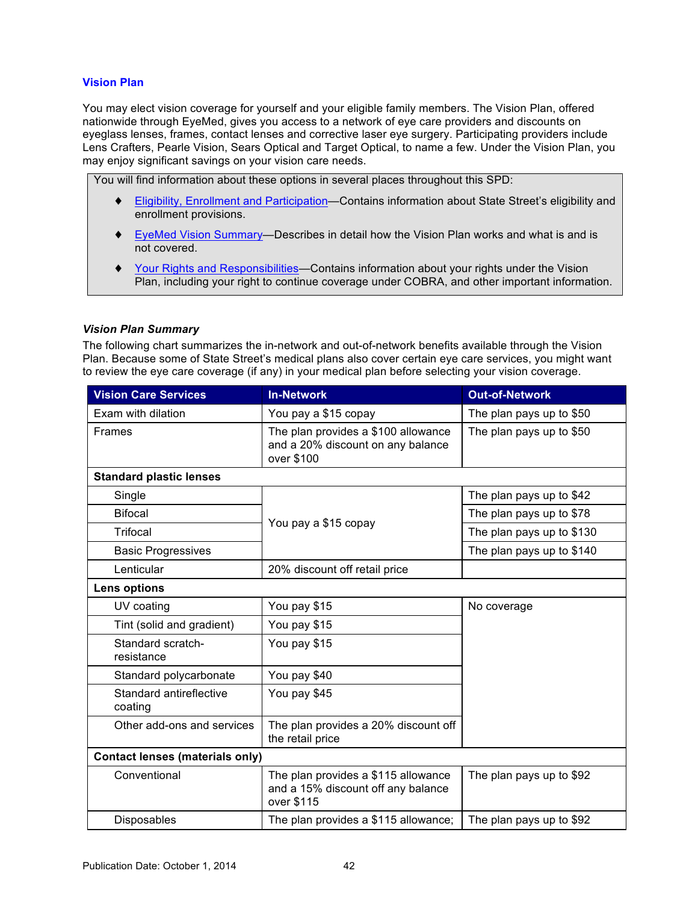# **Vision Plan**

You may elect vision coverage for yourself and your eligible family members. The Vision Plan, offered nationwide through EyeMed, gives you access to a network of eye care providers and discounts on eyeglass lenses, frames, contact lenses and corrective laser eye surgery. Participating providers include Lens Crafters, Pearle Vision, Sears Optical and Target Optical, to name a few. Under the Vision Plan, you may enjoy significant savings on your vision care needs.

You will find information about these options in several places throughout this SPD:

- [Eligibility, Enrollment and Participation—](#page-6-0)Contains information about State Street's eligibility and enrollment provisions.
- ♦ EyeMed Vision Summary*—*Describes in detail how the Vision Plan works and what is and is not covered.
- [Your Rights and Responsibilities—](#page-67-0)Contains information about your rights under the Vision Plan, including your right to continue coverage under COBRA, and other important information.

### *Vision Plan Summary*

The following chart summarizes the in-network and out-of-network benefits available through the Vision Plan. Because some of State Street's medical plans also cover certain eye care services, you might want to review the eye care coverage (if any) in your medical plan before selecting your vision coverage.

| <b>Vision Care Services</b>            | <b>In-Network</b>                                                                       | <b>Out-of-Network</b>     |  |  |
|----------------------------------------|-----------------------------------------------------------------------------------------|---------------------------|--|--|
| Exam with dilation                     | You pay a \$15 copay                                                                    | The plan pays up to \$50  |  |  |
| Frames                                 | The plan provides a \$100 allowance<br>and a 20% discount on any balance<br>over \$100  | The plan pays up to \$50  |  |  |
| <b>Standard plastic lenses</b>         |                                                                                         |                           |  |  |
| Single                                 |                                                                                         | The plan pays up to \$42  |  |  |
| <b>Bifocal</b>                         | You pay a \$15 copay                                                                    | The plan pays up to \$78  |  |  |
| Trifocal                               |                                                                                         | The plan pays up to \$130 |  |  |
| <b>Basic Progressives</b>              |                                                                                         | The plan pays up to \$140 |  |  |
| Lenticular                             | 20% discount off retail price                                                           |                           |  |  |
| Lens options                           |                                                                                         |                           |  |  |
| UV coating                             | You pay \$15                                                                            | No coverage               |  |  |
| Tint (solid and gradient)              | You pay \$15                                                                            |                           |  |  |
| Standard scratch-<br>resistance        | You pay \$15                                                                            |                           |  |  |
| Standard polycarbonate                 | You pay \$40                                                                            |                           |  |  |
| Standard antireflective<br>coating     | You pay \$45                                                                            |                           |  |  |
| Other add-ons and services             | The plan provides a 20% discount off<br>the retail price                                |                           |  |  |
| <b>Contact lenses (materials only)</b> |                                                                                         |                           |  |  |
| Conventional                           | The plan provides a \$115 allowance<br>and a 15% discount off any balance<br>over \$115 | The plan pays up to \$92  |  |  |
| Disposables                            | The plan provides a \$115 allowance;                                                    | The plan pays up to \$92  |  |  |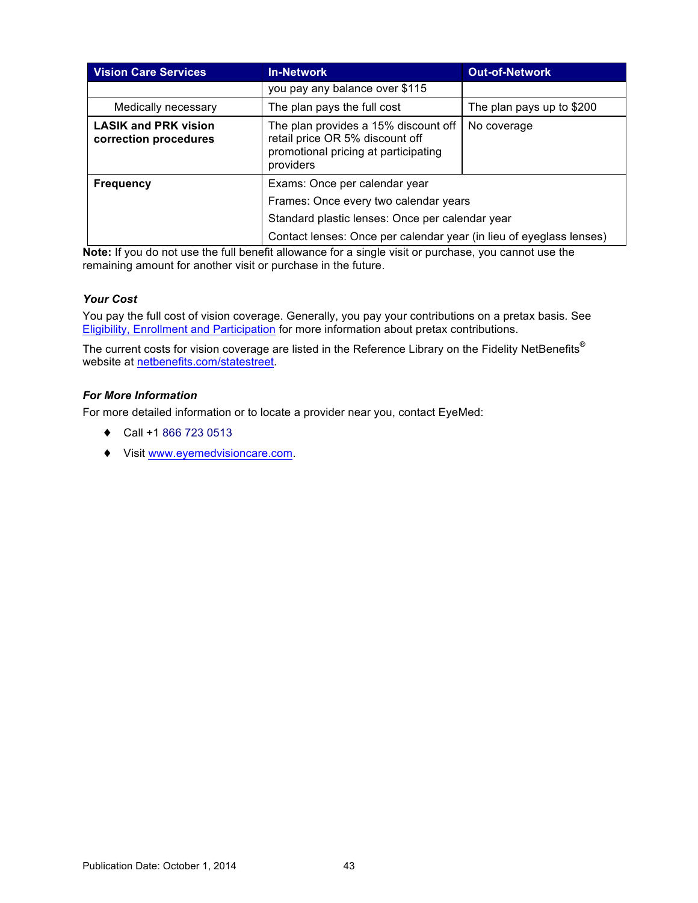| <b>Vision Care Services</b>                          | <b>In-Network</b>                                                                                                            | <b>Out-of-Network</b>     |  |
|------------------------------------------------------|------------------------------------------------------------------------------------------------------------------------------|---------------------------|--|
|                                                      | you pay any balance over \$115                                                                                               |                           |  |
| Medically necessary                                  | The plan pays the full cost                                                                                                  | The plan pays up to \$200 |  |
| <b>LASIK and PRK vision</b><br>correction procedures | The plan provides a 15% discount off<br>retail price OR 5% discount off<br>promotional pricing at participating<br>providers | No coverage               |  |
| <b>Frequency</b>                                     | Exams: Once per calendar year                                                                                                |                           |  |
|                                                      | Frames: Once every two calendar years                                                                                        |                           |  |
|                                                      | Standard plastic lenses: Once per calendar year                                                                              |                           |  |
|                                                      | Contact lenses: Once per calendar year (in lieu of eyeglass lenses)                                                          |                           |  |

**Note:** If you do not use the full benefit allowance for a single visit or purchase, you cannot use the remaining amount for another visit or purchase in the future.

# *Your Cost*

You pay the full cost of vision coverage. Generally, you pay your contributions on a pretax basis. See [Eligibility, Enrollment and Participation](#page-6-0) for more information about pretax contributions.

The current costs for vision coverage are listed in the Reference Library on the Fidelity NetBenefits® website at [netbenefits.com/statestreet.](http://netbenefits.com/statestreet)

## *For More Information*

For more detailed information or to locate a provider near you, contact EyeMed:

- ♦ Call +1 866 723 0513
- ♦ Visit [www.eyemedvisioncare.com](http://www.eyemedvisioncare.com).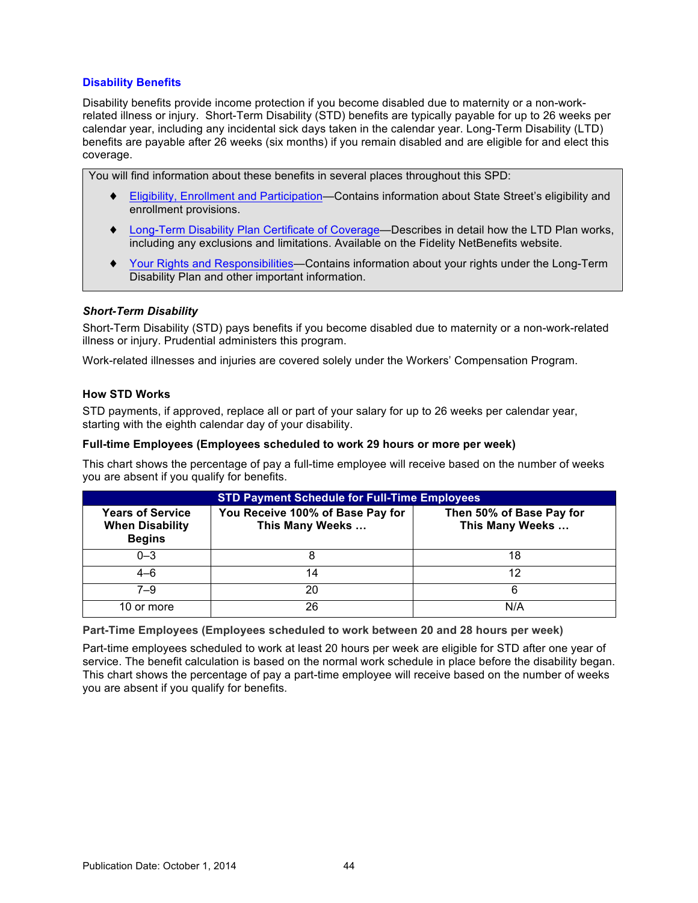# **Disability Benefits**

Disability benefits provide income protection if you become disabled due to maternity or a non-workrelated illness or injury. Short-Term Disability (STD) benefits are typically payable for up to 26 weeks per calendar year, including any incidental sick days taken in the calendar year. Long-Term Disability (LTD) benefits are payable after 26 weeks (six months) if you remain disabled and are eligible for and elect this coverage.

You will find information about these benefits in several places throughout this SPD:

- ♦ [Eligibility, Enrollment and Participation—](#page-6-0)Contains information about State Street's eligibility and enrollment provisions.
- ♦ Long-Term [Disability Plan Certificate of Coverage](#page-51-0)*—*Describes in detail how the LTD Plan works, including any exclusions and limitations. Available on the Fidelity NetBenefits website.
- ♦ [Your Rights and Responsibilities—](#page-67-0)Contains information about your rights under the Long-Term Disability Plan and other important information.

### *Short-Term Disability*

Short-Term Disability (STD) pays benefits if you become disabled due to maternity or a non-work-related illness or injury. Prudential administers this program.

Work-related illnesses and injuries are covered solely under the Workers' Compensation Program.

#### **How STD Works**

STD payments, if approved, replace all or part of your salary for up to 26 weeks per calendar year, starting with the eighth calendar day of your disability.

#### **Full-time Employees (Employees scheduled to work 29 hours or more per week)**

This chart shows the percentage of pay a full-time employee will receive based on the number of weeks you are absent if you qualify for benefits.

| <b>STD Payment Schedule for Full-Time Employees</b>                |                                                     |                                             |  |
|--------------------------------------------------------------------|-----------------------------------------------------|---------------------------------------------|--|
| <b>Years of Service</b><br><b>When Disability</b><br><b>Begins</b> | You Receive 100% of Base Pay for<br>This Many Weeks | Then 50% of Base Pay for<br>This Many Weeks |  |
| $0 - 3$                                                            |                                                     | 18                                          |  |
| $4 - 6$                                                            | 14                                                  | 12                                          |  |
| $7 - 9$                                                            | 20                                                  | 6                                           |  |
| 10 or more                                                         | 26                                                  | N/A                                         |  |

**Part-Time Employees (Employees scheduled to work between 20 and 28 hours per week)**

Part-time employees scheduled to work at least 20 hours per week are eligible for STD after one year of service. The benefit calculation is based on the normal work schedule in place before the disability began. This chart shows the percentage of pay a part-time employee will receive based on the number of weeks you are absent if you qualify for benefits.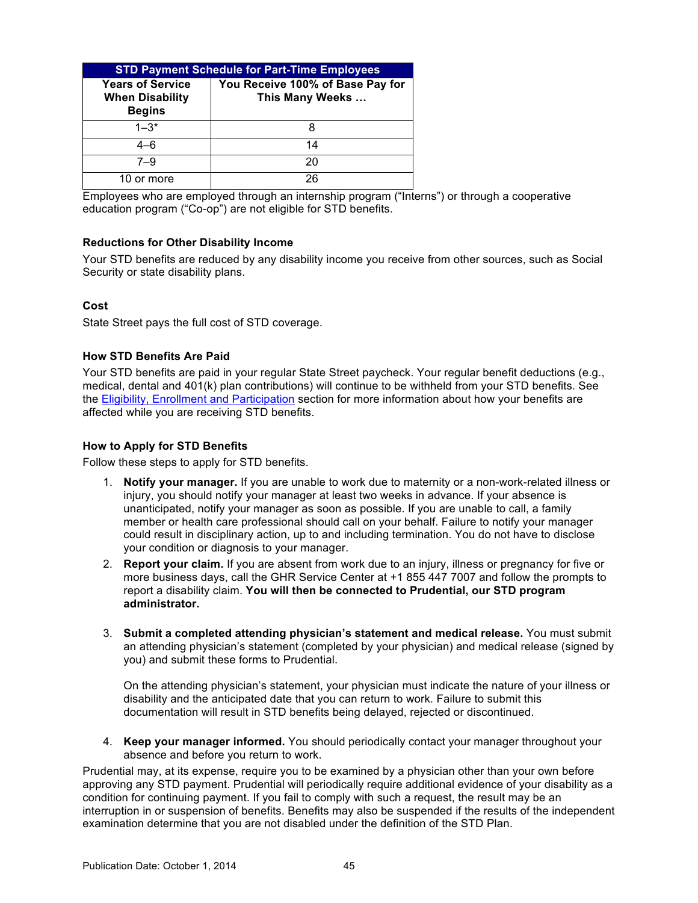| <b>STD Payment Schedule for Part-Time Employees</b>                |                                                     |  |
|--------------------------------------------------------------------|-----------------------------------------------------|--|
| <b>Years of Service</b><br><b>When Disability</b><br><b>Begins</b> | You Receive 100% of Base Pay for<br>This Many Weeks |  |
| $1 - 3*$                                                           | 8                                                   |  |
| $4 - 6$                                                            | 14                                                  |  |
| $7 - 9$                                                            | 20                                                  |  |
| 10 or more                                                         | 26                                                  |  |

Employees who are employed through an internship program ("Interns") or through a cooperative education program ("Co-op") are not eligible for STD benefits.

# **Reductions for Other Disability Income**

Your STD benefits are reduced by any disability income you receive from other sources, such as Social Security or state disability plans.

# **Cost**

State Street pays the full cost of STD coverage.

# **How STD Benefits Are Paid**

Your STD benefits are paid in your regular State Street paycheck. Your regular benefit deductions (e.g., medical, dental and 401(k) plan contributions) will continue to be withheld from your STD benefits. See the [Eligibility, Enrollment and Participation](#page-6-0) section for more information about how your benefits are affected while you are receiving STD benefits.

# **How to Apply for STD Benefits**

Follow these steps to apply for STD benefits.

- 1. **Notify your manager.** If you are unable to work due to maternity or a non-work-related illness or injury, you should notify your manager at least two weeks in advance. If your absence is unanticipated, notify your manager as soon as possible. If you are unable to call, a family member or health care professional should call on your behalf. Failure to notify your manager could result in disciplinary action, up to and including termination. You do not have to disclose your condition or diagnosis to your manager.
- 2. **Report your claim.** If you are absent from work due to an injury, illness or pregnancy for five or more business days, call the GHR Service Center at +1 855 447 7007 and follow the prompts to report a disability claim. **You will then be connected to Prudential, our STD program administrator.**
- 3. **Submit a completed attending physician's statement and medical release.** You must submit an attending physician's statement (completed by your physician) and medical release (signed by you) and submit these forms to Prudential.

On the attending physician's statement, your physician must indicate the nature of your illness or disability and the anticipated date that you can return to work. Failure to submit this documentation will result in STD benefits being delayed, rejected or discontinued.

4. **Keep your manager informed.** You should periodically contact your manager throughout your absence and before you return to work.

Prudential may, at its expense, require you to be examined by a physician other than your own before approving any STD payment. Prudential will periodically require additional evidence of your disability as a condition for continuing payment. If you fail to comply with such a request, the result may be an interruption in or suspension of benefits. Benefits may also be suspended if the results of the independent examination determine that you are not disabled under the definition of the STD Plan.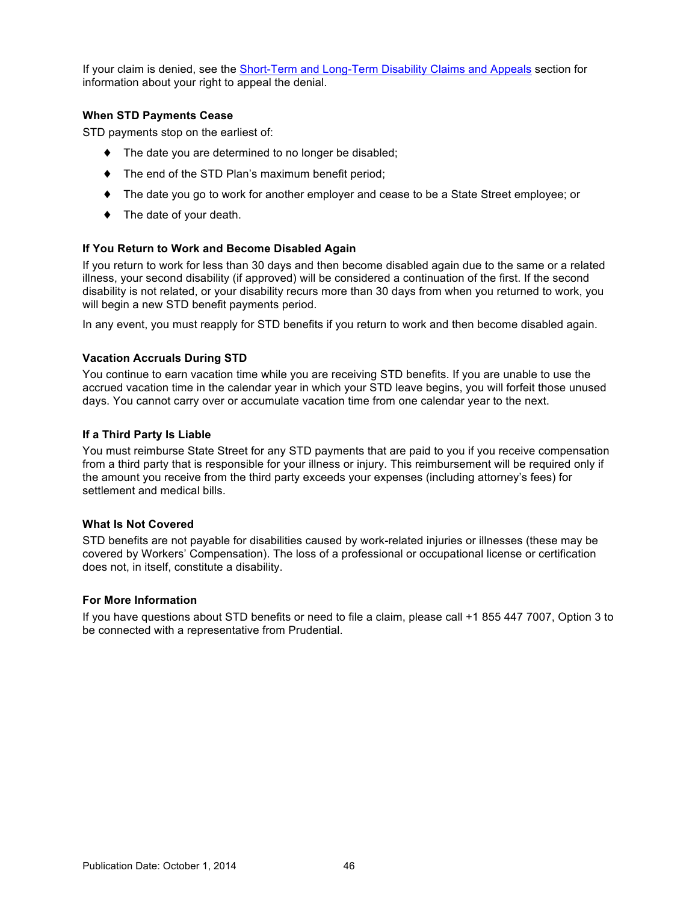If your claim is denied, see the Short-Term and Long-Term [Disability Claims and Appeals](#page-65-0) section for information about your right to appeal the denial.

# **When STD Payments Cease**

STD payments stop on the earliest of:

- ♦ The date you are determined to no longer be disabled;
- ♦ The end of the STD Plan's maximum benefit period;
- ♦ The date you go to work for another employer and cease to be a State Street employee; or
- ♦ The date of your death.

### **If You Return to Work and Become Disabled Again**

If you return to work for less than 30 days and then become disabled again due to the same or a related illness, your second disability (if approved) will be considered a continuation of the first. If the second disability is not related, or your disability recurs more than 30 days from when you returned to work, you will begin a new STD benefit payments period.

In any event, you must reapply for STD benefits if you return to work and then become disabled again.

# **Vacation Accruals During STD**

You continue to earn vacation time while you are receiving STD benefits. If you are unable to use the accrued vacation time in the calendar year in which your STD leave begins, you will forfeit those unused days. You cannot carry over or accumulate vacation time from one calendar year to the next.

### **If a Third Party Is Liable**

You must reimburse State Street for any STD payments that are paid to you if you receive compensation from a third party that is responsible for your illness or injury. This reimbursement will be required only if the amount you receive from the third party exceeds your expenses (including attorney's fees) for settlement and medical bills.

### **What Is Not Covered**

STD benefits are not payable for disabilities caused by work-related injuries or illnesses (these may be covered by Workers' Compensation). The loss of a professional or occupational license or certification does not, in itself, constitute a disability.

### **For More Information**

If you have questions about STD benefits or need to file a claim, please call +1 855 447 7007, Option 3 to be connected with a representative from Prudential.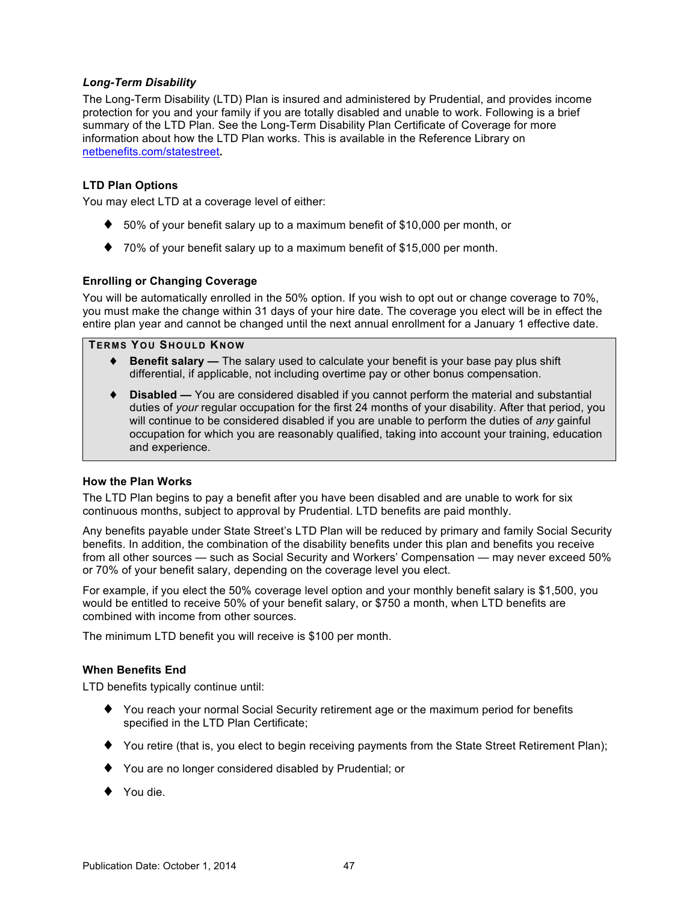# <span id="page-51-0"></span>*Long-Term Disability*

The Long-Term Disability (LTD) Plan is insured and administered by Prudential, and provides income protection for you and your family if you are totally disabled and unable to work. Following is a brief summary of the LTD Plan. See the Long-Term Disability Plan Certificate of Coverage for more information about how the LTD Plan works. This is available in the Reference Library on [netbenefits.com/statestreet](http://netbenefits.com/statestreet)**.**

# **LTD Plan Options**

You may elect LTD at a coverage level of either:

- $\blacklozenge$  50% of your benefit salary up to a maximum benefit of \$10,000 per month, or
- ♦ 70% of your benefit salary up to a maximum benefit of \$15,000 per month.

### **Enrolling or Changing Coverage**

You will be automatically enrolled in the 50% option. If you wish to opt out or change coverage to 70%, you must make the change within 31 days of your hire date. The coverage you elect will be in effect the entire plan year and cannot be changed until the next annual enrollment for a January 1 effective date.

## **TERMS YOU SHOULD KNOW**

- ♦ **Benefit salary** The salary used to calculate your benefit is your base pay plus shift differential, if applicable, not including overtime pay or other bonus compensation.
- **Disabled —** You are considered disabled if you cannot perform the material and substantial duties of *your* regular occupation for the first 24 months of your disability. After that period, you will continue to be considered disabled if you are unable to perform the duties of *any* gainful occupation for which you are reasonably qualified, taking into account your training, education and experience.

### **How the Plan Works**

The LTD Plan begins to pay a benefit after you have been disabled and are unable to work for six continuous months, subject to approval by Prudential. LTD benefits are paid monthly.

Any benefits payable under State Street's LTD Plan will be reduced by primary and family Social Security benefits. In addition, the combination of the disability benefits under this plan and benefits you receive from all other sources — such as Social Security and Workers' Compensation — may never exceed 50% or 70% of your benefit salary, depending on the coverage level you elect.

For example, if you elect the 50% coverage level option and your monthly benefit salary is \$1,500, you would be entitled to receive 50% of your benefit salary, or \$750 a month, when LTD benefits are combined with income from other sources.

The minimum LTD benefit you will receive is \$100 per month.

#### **When Benefits End**

LTD benefits typically continue until:

- ♦ You reach your normal Social Security retirement age or the maximum period for benefits specified in the LTD Plan Certificate;
- ♦ You retire (that is, you elect to begin receiving payments from the State Street Retirement Plan);
- ♦ You are no longer considered disabled by Prudential; or
- ♦ You die.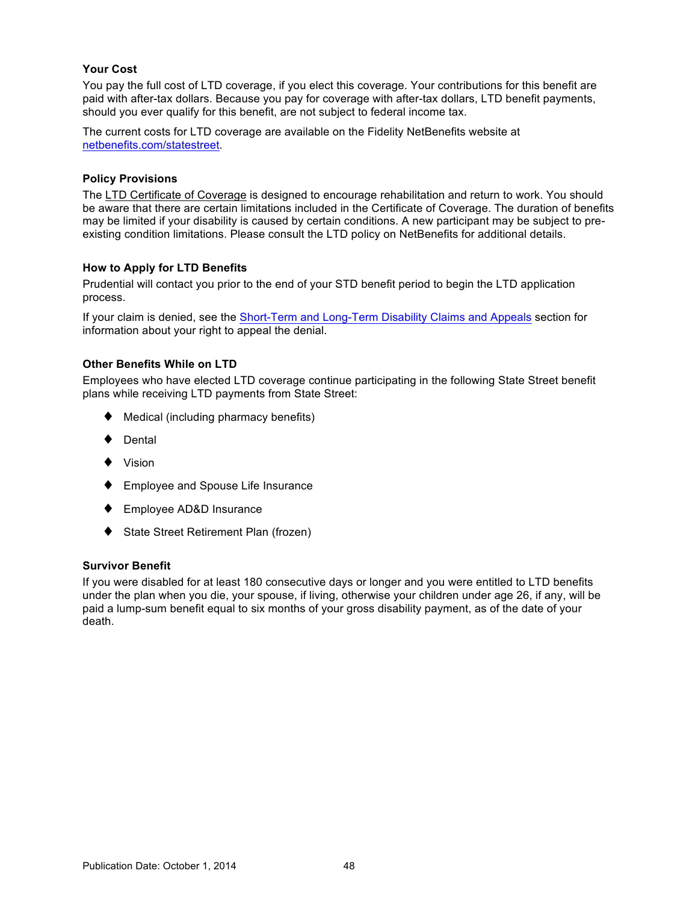# <span id="page-52-0"></span>**Your Cost**

You pay the full cost of LTD coverage, if you elect this coverage. Your contributions for this benefit are paid with after-tax dollars. Because you pay for coverage with after-tax dollars, LTD benefit payments, should you ever qualify for this benefit, are not subject to federal income tax.

The current costs for LTD coverage are available on the Fidelity NetBenefits website at [netbenefits.com/statestreet](http://netbenefits.com/statestreet).

### **Policy Provisions**

The LTD Certificate of Coverage is designed to encourage rehabilitation and return to work. You should be aware that there are certain limitations included in the Certificate of Coverage. The duration of benefits may be limited if your disability is caused by certain conditions. A new participant may be subject to preexisting condition limitations. Please consult the LTD policy on NetBenefits for additional details.

### **How to Apply for LTD Benefits**

Prudential will contact you prior to the end of your STD benefit period to begin the LTD application process.

If your claim is denied, see the Short-Term and Long-Term [Disability Claims and Appeals](#page-65-0) section for information about your right to appeal the denial.

# **Other Benefits While on LTD**

Employees who have elected LTD coverage continue participating in the following State Street benefit plans while receiving LTD payments from State Street:

- ♦ Medical (including pharmacy benefits)
- ♦ Dental
- ♦ Vision
- Employee and Spouse Life Insurance
- Employee AD&D Insurance
- ♦ State Street Retirement Plan (frozen)

## **Survivor Benefit**

If you were disabled for at least 180 consecutive days or longer and you were entitled to LTD benefits under the plan when you die, your spouse, if living, otherwise your children under age 26, if any, will be paid a lump-sum benefit equal to six months of your gross disability payment, as of the date of your death.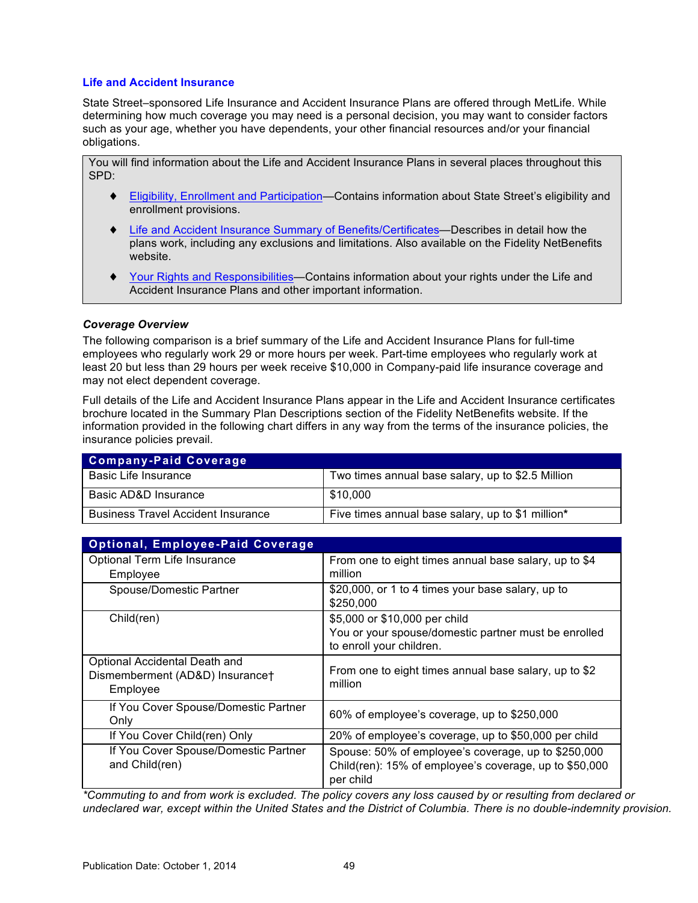# **Life and Accident Insurance**

State Street–sponsored Life Insurance and Accident Insurance Plans are offered through MetLife. While determining how much coverage you may need is a personal decision, you may want to consider factors such as your age, whether you have dependents, your other financial resources and/or your financial obligations.

You will find information about the Life and Accident Insurance Plans in several places throughout this SPD:

- ♦ [Eligibility, Enrollment and Participation—](#page-6-0)Contains information about State Street's eligibility and enrollment provisions.
- ♦ [Life and Accident Insurance Summary of Benefits/Certificates—](#page-52-0)Describes in detail how the plans work, including any exclusions and limitations. Also available on the Fidelity NetBenefits website.
- ♦ [Your Rights and Responsibilities—](#page-67-0)Contains information about your rights under the Life and Accident Insurance Plans and other important information.

### *Coverage Overview*

The following comparison is a brief summary of the Life and Accident Insurance Plans for full-time employees who regularly work 29 or more hours per week. Part-time employees who regularly work at least 20 but less than 29 hours per week receive \$10,000 in Company-paid life insurance coverage and may not elect dependent coverage.

Full details of the Life and Accident Insurance Plans appear in the Life and Accident Insurance certificates brochure located in the Summary Plan Descriptions section of the Fidelity NetBenefits website. If the information provided in the following chart differs in any way from the terms of the insurance policies, the insurance policies prevail.

| <b>Company-Paid Coverage</b>              |                                                   |
|-------------------------------------------|---------------------------------------------------|
| Basic Life Insurance                      | Two times annual base salary, up to \$2.5 Million |
| Basic AD&D Insurance                      | \$10.000                                          |
| <b>Business Travel Accident Insurance</b> | Five times annual base salary, up to \$1 million* |

| <b>Optional, Employee-Paid Coverage</b>                                      |                                                                                                                            |
|------------------------------------------------------------------------------|----------------------------------------------------------------------------------------------------------------------------|
| Optional Term Life Insurance<br>Employee                                     | From one to eight times annual base salary, up to \$4<br>million                                                           |
| Spouse/Domestic Partner                                                      | \$20,000, or 1 to 4 times your base salary, up to<br>\$250,000                                                             |
| Child(ren)                                                                   | \$5,000 or \$10,000 per child<br>You or your spouse/domestic partner must be enrolled<br>to enroll your children.          |
| Optional Accidental Death and<br>Dismemberment (AD&D) Insurance†<br>Employee | From one to eight times annual base salary, up to \$2<br>million                                                           |
| If You Cover Spouse/Domestic Partner<br>Only                                 | 60% of employee's coverage, up to \$250,000                                                                                |
| If You Cover Child(ren) Only                                                 | 20% of employee's coverage, up to \$50,000 per child                                                                       |
| If You Cover Spouse/Domestic Partner<br>and Child(ren)                       | Spouse: 50% of employee's coverage, up to \$250,000<br>Child(ren): 15% of employee's coverage, up to \$50,000<br>per child |

*\*Commuting to and from work is excluded. The policy covers any loss caused by or resulting from declared or undeclared war, except within the United States and the District of Columbia. There is no double-indemnity provision.*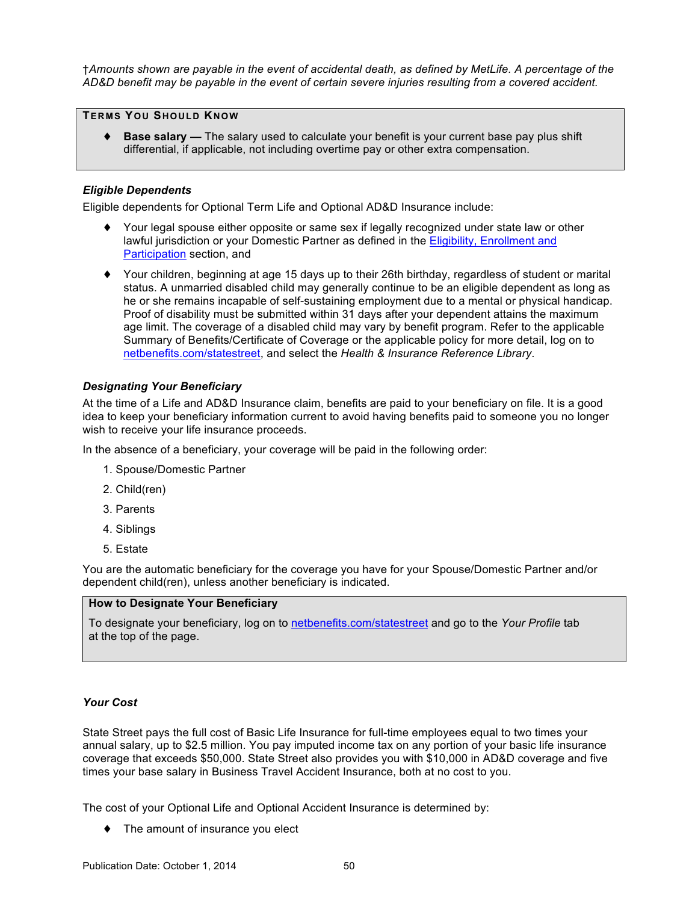†*Amounts shown are payable in the event of accidental death, as defined by MetLife. A percentage of the AD&D benefit may be payable in the event of certain severe injuries resulting from a covered accident.*

### **TERMS YOU SHOULD KNOW**

◆ **Base salary** — The salary used to calculate your benefit is your current base pay plus shift differential, if applicable, not including overtime pay or other extra compensation.

# *Eligible Dependents*

Eligible dependents for Optional Term Life and Optional AD&D Insurance include:

- ♦ Your legal spouse either opposite or same sex if legally recognized under state law or other lawful jurisdiction or your Domestic Partner as defined in the [Eligibility, Enrollment and](#page-6-0)  [Participation](#page-6-0) section, and
- ♦ Your children, beginning at age 15 days up to their 26th birthday, regardless of student or marital status. A unmarried disabled child may generally continue to be an eligible dependent as long as he or she remains incapable of self-sustaining employment due to a mental or physical handicap. Proof of disability must be submitted within 31 days after your dependent attains the maximum age limit. The coverage of a disabled child may vary by benefit program. Refer to the applicable Summary of Benefits/Certificate of Coverage or the applicable policy for more detail, log on to [netbenefits.com/statestreet,](http://netbenefits.com/statestreet) and select the *Health & Insurance Reference Library*.

# *Designating Your Beneficiary*

At the time of a Life and AD&D Insurance claim, benefits are paid to your beneficiary on file. It is a good idea to keep your beneficiary information current to avoid having benefits paid to someone you no longer wish to receive your life insurance proceeds.

In the absence of a beneficiary, your coverage will be paid in the following order:

- 1. Spouse/Domestic Partner
- 2. Child(ren)
- 3. Parents
- 4. Siblings
- 5. Estate

You are the automatic beneficiary for the coverage you have for your Spouse/Domestic Partner and/or dependent child(ren), unless another beneficiary is indicated.

### **How to Designate Your Beneficiary**

To designate your beneficiary, log on to [netbenefits.com/statestreet](http://netbenefits.com/statestreet) and go to the *Your Profile* tab at the top of the page.

## *Your Cost*

State Street pays the full cost of Basic Life Insurance for full-time employees equal to two times your annual salary, up to \$2.5 million. You pay imputed income tax on any portion of your basic life insurance coverage that exceeds \$50,000. State Street also provides you with \$10,000 in AD&D coverage and five times your base salary in Business Travel Accident Insurance, both at no cost to you.

The cost of your Optional Life and Optional Accident Insurance is determined by:

♦ The amount of insurance you elect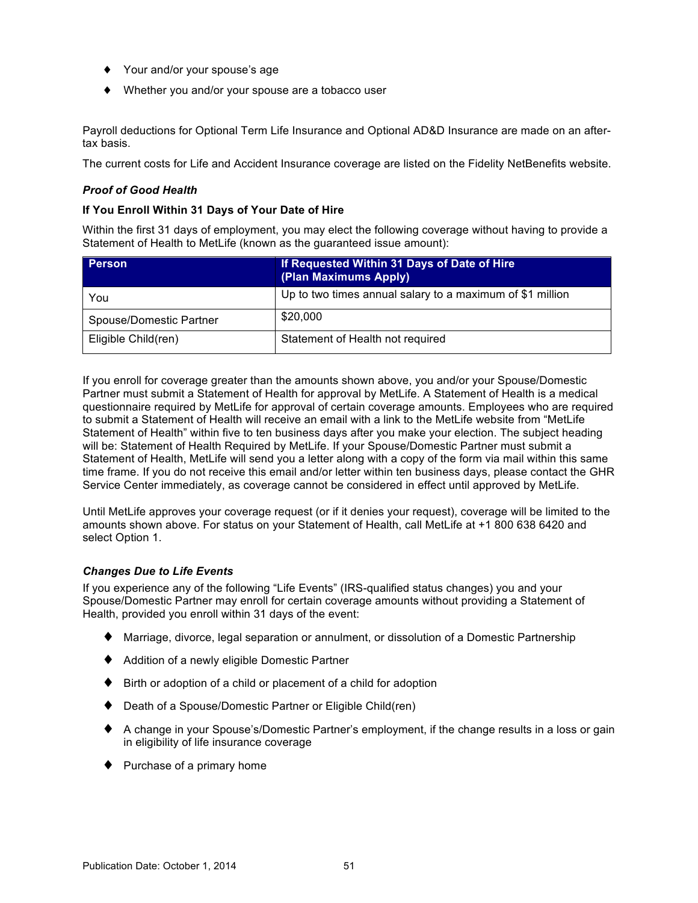- ♦ Your and/or your spouse's age
- ♦ Whether you and/or your spouse are a tobacco user

Payroll deductions for Optional Term Life Insurance and Optional AD&D Insurance are made on an aftertax basis.

The current costs for Life and Accident Insurance coverage are listed on the Fidelity NetBenefits website.

#### *Proof of Good Health*

#### **If You Enroll Within 31 Days of Your Date of Hire**

Within the first 31 days of employment, you may elect the following coverage without having to provide a Statement of Health to MetLife (known as the guaranteed issue amount):

| <b>Person</b>           | If Requested Within 31 Days of Date of Hire<br>(Plan Maximums Apply) |
|-------------------------|----------------------------------------------------------------------|
| You                     | Up to two times annual salary to a maximum of \$1 million            |
| Spouse/Domestic Partner | \$20,000                                                             |
| Eligible Child(ren)     | Statement of Health not required                                     |

If you enroll for coverage greater than the amounts shown above, you and/or your Spouse/Domestic Partner must submit a Statement of Health for approval by MetLife. A Statement of Health is a medical questionnaire required by MetLife for approval of certain coverage amounts. Employees who are required to submit a Statement of Health will receive an email with a link to the MetLife website from "MetLife Statement of Health" within five to ten business days after you make your election. The subject heading will be: Statement of Health Required by MetLife. If your Spouse/Domestic Partner must submit a Statement of Health, MetLife will send you a letter along with a copy of the form via mail within this same time frame. If you do not receive this email and/or letter within ten business days, please contact the GHR Service Center immediately, as coverage cannot be considered in effect until approved by MetLife.

Until MetLife approves your coverage request (or if it denies your request), coverage will be limited to the amounts shown above. For status on your Statement of Health, call MetLife at +1 800 638 6420 and select Option 1.

### *Changes Due to Life Events*

If you experience any of the following "Life Events" (IRS-qualified status changes) you and your Spouse/Domestic Partner may enroll for certain coverage amounts without providing a Statement of Health, provided you enroll within 31 days of the event:

- ♦ Marriage, divorce, legal separation or annulment, or dissolution of a Domestic Partnership
- ♦ Addition of a newly eligible Domestic Partner
- ♦ Birth or adoption of a child or placement of a child for adoption
- ♦ Death of a Spouse/Domestic Partner or Eligible Child(ren)
- ♦ A change in your Spouse's/Domestic Partner's employment, if the change results in a loss or gain in eligibility of life insurance coverage
- ♦ Purchase of a primary home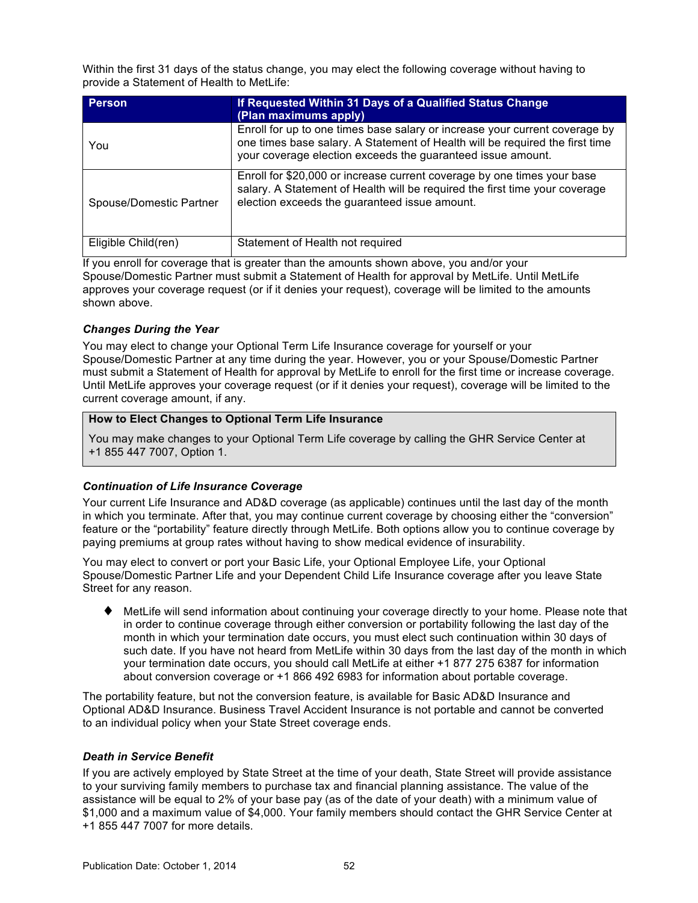<span id="page-56-0"></span>Within the first 31 days of the status change, you may elect the following coverage without having to provide a Statement of Health to MetLife:

| Person                  | If Requested Within 31 Days of a Qualified Status Change<br>(Plan maximums apply)                                                                                                                                          |
|-------------------------|----------------------------------------------------------------------------------------------------------------------------------------------------------------------------------------------------------------------------|
| You                     | Enroll for up to one times base salary or increase your current coverage by<br>one times base salary. A Statement of Health will be required the first time<br>your coverage election exceeds the guaranteed issue amount. |
| Spouse/Domestic Partner | Enroll for \$20,000 or increase current coverage by one times your base<br>salary. A Statement of Health will be required the first time your coverage<br>election exceeds the guaranteed issue amount.                    |
| Eligible Child(ren)     | Statement of Health not required                                                                                                                                                                                           |

If you enroll for coverage that is greater than the amounts shown above, you and/or your Spouse/Domestic Partner must submit a Statement of Health for approval by MetLife. Until MetLife approves your coverage request (or if it denies your request), coverage will be limited to the amounts shown above.

# *Changes During the Year*

You may elect to change your Optional Term Life Insurance coverage for yourself or your Spouse/Domestic Partner at any time during the year. However, you or your Spouse/Domestic Partner must submit a Statement of Health for approval by MetLife to enroll for the first time or increase coverage. Until MetLife approves your coverage request (or if it denies your request), coverage will be limited to the current coverage amount, if any.

# **How to Elect Changes to Optional Term Life Insurance**

You may make changes to your Optional Term Life coverage by calling the GHR Service Center at +1 855 447 7007, Option 1.

# *Continuation of Life Insurance Coverage*

Your current Life Insurance and AD&D coverage (as applicable) continues until the last day of the month in which you terminate. After that, you may continue current coverage by choosing either the "conversion" feature or the "portability" feature directly through MetLife. Both options allow you to continue coverage by paying premiums at group rates without having to show medical evidence of insurability.

You may elect to convert or port your Basic Life, your Optional Employee Life, your Optional Spouse/Domestic Partner Life and your Dependent Child Life Insurance coverage after you leave State Street for any reason.

♦ MetLife will send information about continuing your coverage directly to your home. Please note that in order to continue coverage through either conversion or portability following the last day of the month in which your termination date occurs, you must elect such continuation within 30 days of such date. If you have not heard from MetLife within 30 days from the last day of the month in which your termination date occurs, you should call MetLife at either +1 877 275 6387 for information about conversion coverage or +1 866 492 6983 for information about portable coverage.

The portability feature, but not the conversion feature, is available for Basic AD&D Insurance and Optional AD&D Insurance. Business Travel Accident Insurance is not portable and cannot be converted to an individual policy when your State Street coverage ends.

### *Death in Service Benefit*

If you are actively employed by State Street at the time of your death, State Street will provide assistance to your surviving family members to purchase tax and financial planning assistance. The value of the assistance will be equal to 2% of your base pay (as of the date of your death) with a minimum value of \$1,000 and a maximum value of \$4,000. Your family members should contact the GHR Service Center at +1 855 447 7007 for more details.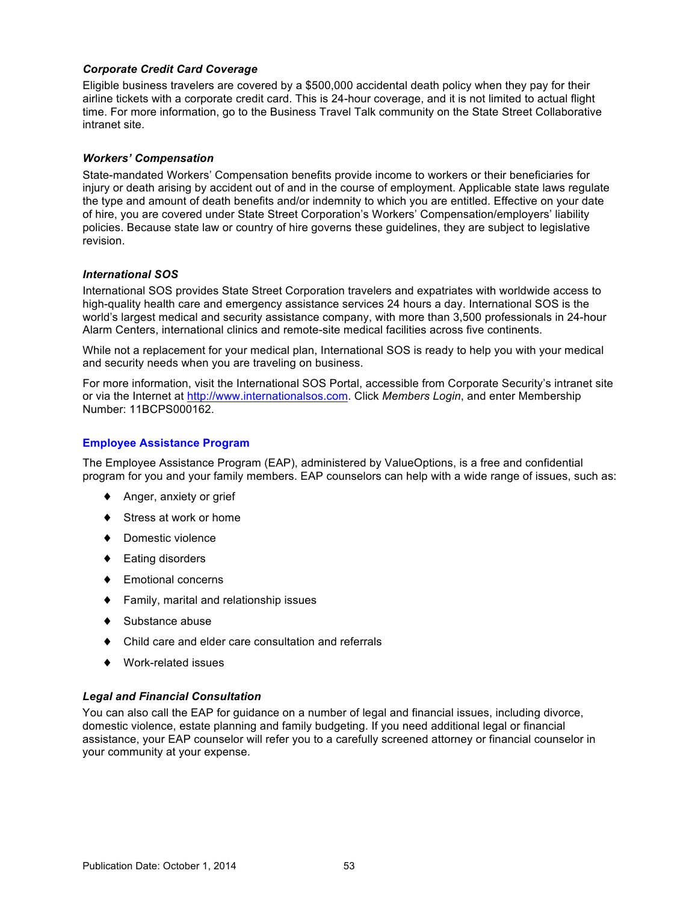# *Corporate Credit Card Coverage*

Eligible business travelers are covered by a \$500,000 accidental death policy when they pay for their airline tickets with a corporate credit card. This is 24-hour coverage, and it is not limited to actual flight time. For more information, go to the Business Travel Talk community on the State Street Collaborative intranet site.

#### *Workers' Compensation*

State-mandated Workers' Compensation benefits provide income to workers or their beneficiaries for injury or death arising by accident out of and in the course of employment. Applicable state laws regulate the type and amount of death benefits and/or indemnity to which you are entitled. Effective on your date of hire, you are covered under State Street Corporation's Workers' Compensation/employers' liability policies. Because state law or country of hire governs these guidelines, they are subject to legislative revision.

#### *International SOS*

International SOS provides State Street Corporation travelers and expatriates with worldwide access to high-quality health care and emergency assistance services 24 hours a day. International SOS is the world's largest medical and security assistance company, with more than 3,500 professionals in 24-hour Alarm Centers, international clinics and remote-site medical facilities across five continents.

While not a replacement for your medical plan, International SOS is ready to help you with your medical and security needs when you are traveling on business.

For more information, visit the International SOS Portal, accessible from Corporate Security's intranet site or via the Internet at [http://www.internationalsos.com.](http://www.internationalsos.com) Click *Members Login*, and enter Membership Number: 11BCPS000162.

### **Employee Assistance Program**

The Employee Assistance Program (EAP), administered by ValueOptions, is a free and confidential program for you and your family members. EAP counselors can help with a wide range of issues, such as:

- ♦ Anger, anxiety or grief
- Stress at work or home
- ♦ Domestic violence
- ♦ Eating disorders
- ♦ Emotional concerns
- ♦ Family, marital and relationship issues
- Substance abuse
- Child care and elder care consultation and referrals
- ♦ Work-related issues

### *Legal and Financial Consultation*

You can also call the EAP for guidance on a number of legal and financial issues, including divorce, domestic violence, estate planning and family budgeting. If you need additional legal or financial assistance, your EAP counselor will refer you to a carefully screened attorney or financial counselor in your community at your expense.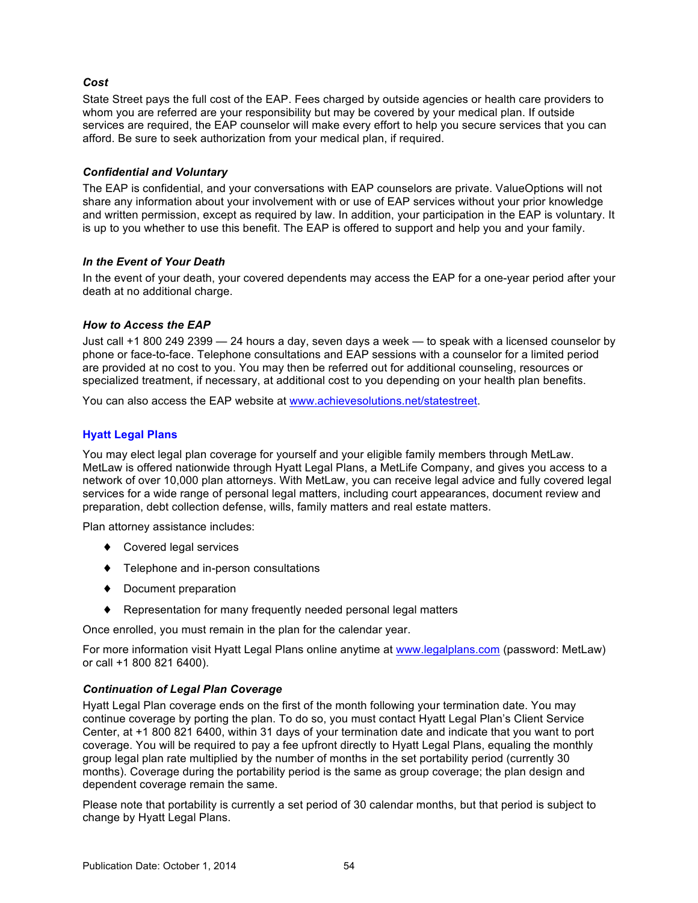# *Cost*

State Street pays the full cost of the EAP. Fees charged by outside agencies or health care providers to whom you are referred are your responsibility but may be covered by your medical plan. If outside services are required, the EAP counselor will make every effort to help you secure services that you can afford. Be sure to seek authorization from your medical plan, if required.

# *Confidential and Voluntary*

The EAP is confidential, and your conversations with EAP counselors are private. ValueOptions will not share any information about your involvement with or use of EAP services without your prior knowledge and written permission, except as required by law. In addition, your participation in the EAP is voluntary. It is up to you whether to use this benefit. The EAP is offered to support and help you and your family.

# *In the Event of Your Death*

In the event of your death, your covered dependents may access the EAP for a one-year period after your death at no additional charge.

# *How to Access the EAP*

Just call +1 800 249 2399 — 24 hours a day, seven days a week — to speak with a licensed counselor by phone or face-to-face. Telephone consultations and EAP sessions with a counselor for a limited period are provided at no cost to you. You may then be referred out for additional counseling, resources or specialized treatment, if necessary, at additional cost to you depending on your health plan benefits.

You can also access the EAP website at [www.achievesolutions.net/statestreet.](http://www.achievesolutions.net/statestreet)

# **Hyatt Legal Plans**

You may elect legal plan coverage for yourself and your eligible family members through MetLaw. MetLaw is offered nationwide through Hyatt Legal Plans, a MetLife Company, and gives you access to a network of over 10,000 plan attorneys. With MetLaw, you can receive legal advice and fully covered legal services for a wide range of personal legal matters, including court appearances, document review and preparation, debt collection defense, wills, family matters and real estate matters.

Plan attorney assistance includes:

- ♦ Covered legal services
- ♦ Telephone and in-person consultations
- ♦ Document preparation
- ♦ Representation for many frequently needed personal legal matters

Once enrolled, you must remain in the plan for the calendar year.

For more information visit Hyatt Legal Plans online anytime at [www.legalplans.com](http://www.legalplans.com) (password: MetLaw) or call +1 800 821 6400).

# *Continuation of Legal Plan Coverage*

Hyatt Legal Plan coverage ends on the first of the month following your termination date. You may continue coverage by porting the plan. To do so, you must contact Hyatt Legal Plan's Client Service Center, at +1 800 821 6400, within 31 days of your termination date and indicate that you want to port coverage. You will be required to pay a fee upfront directly to Hyatt Legal Plans, equaling the monthly group legal plan rate multiplied by the number of months in the set portability period (currently 30 months). Coverage during the portability period is the same as group coverage; the plan design and dependent coverage remain the same.

Please note that portability is currently a set period of 30 calendar months, but that period is subject to change by Hyatt Legal Plans.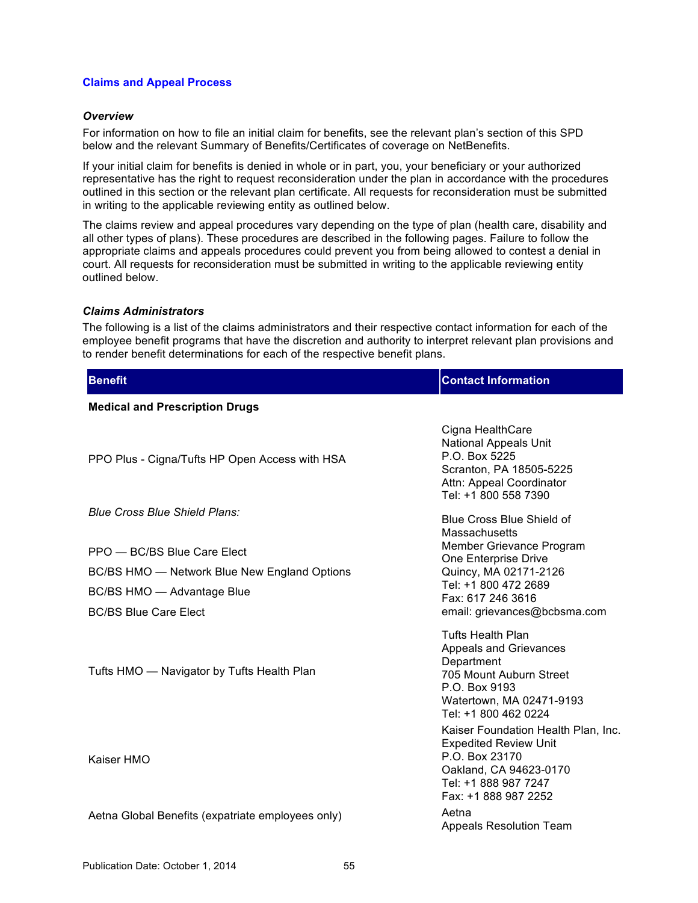#### **Claims and Appeal Process**

#### *Overview*

For information on how to file an initial claim for benefits, see the relevant plan's section of this SPD below and the relevant Summary of Benefits/Certificates of coverage on NetBenefits.

If your initial claim for benefits is denied in whole or in part, you, your beneficiary or your authorized representative has the right to request reconsideration under the plan in accordance with the procedures outlined in this section or the relevant plan certificate. All requests for reconsideration must be submitted in writing to the applicable reviewing entity as outlined below.

The claims review and appeal procedures vary depending on the type of plan (health care, disability and all other types of plans). These procedures are described in the following pages. Failure to follow the appropriate claims and appeals procedures could prevent you from being allowed to contest a denial in court. All requests for reconsideration must be submitted in writing to the applicable reviewing entity outlined below.

#### *Claims Administrators*

The following is a list of the claims administrators and their respective contact information for each of the employee benefit programs that have the discretion and authority to interpret relevant plan provisions and to render benefit determinations for each of the respective benefit plans.

| <b>Benefit</b>                                    | <b>Contact Information</b>                                                                                                                                       |  |
|---------------------------------------------------|------------------------------------------------------------------------------------------------------------------------------------------------------------------|--|
| <b>Medical and Prescription Drugs</b>             |                                                                                                                                                                  |  |
| PPO Plus - Cigna/Tufts HP Open Access with HSA    | Cigna HealthCare<br><b>National Appeals Unit</b><br>P.O. Box 5225<br>Scranton, PA 18505-5225<br>Attn: Appeal Coordinator<br>Tel: +1 800 558 7390                 |  |
| <b>Blue Cross Blue Shield Plans:</b>              | Blue Cross Blue Shield of<br><b>Massachusetts</b><br>Member Grievance Program                                                                                    |  |
| PPO - BC/BS Blue Care Elect                       | One Enterprise Drive                                                                                                                                             |  |
| BC/BS HMO - Network Blue New England Options      | Quincy, MA 02171-2126<br>Tel: +1 800 472 2689                                                                                                                    |  |
| BC/BS HMO - Advantage Blue                        | Fax: 617 246 3616                                                                                                                                                |  |
| <b>BC/BS Blue Care Elect</b>                      | email: grievances@bcbsma.com                                                                                                                                     |  |
| Tufts HMO - Navigator by Tufts Health Plan        | <b>Tufts Health Plan</b><br>Appeals and Grievances<br>Department<br>705 Mount Auburn Street<br>P.O. Box 9193<br>Watertown, MA 02471-9193<br>Tel: +1 800 462 0224 |  |
| Kaiser HMO                                        | Kaiser Foundation Health Plan, Inc.<br><b>Expedited Review Unit</b><br>P.O. Box 23170<br>Oakland, CA 94623-0170<br>Tel: +1 888 987 7247<br>Fax: +1 888 987 2252  |  |
| Aetna Global Benefits (expatriate employees only) | Aetna<br><b>Appeals Resolution Team</b>                                                                                                                          |  |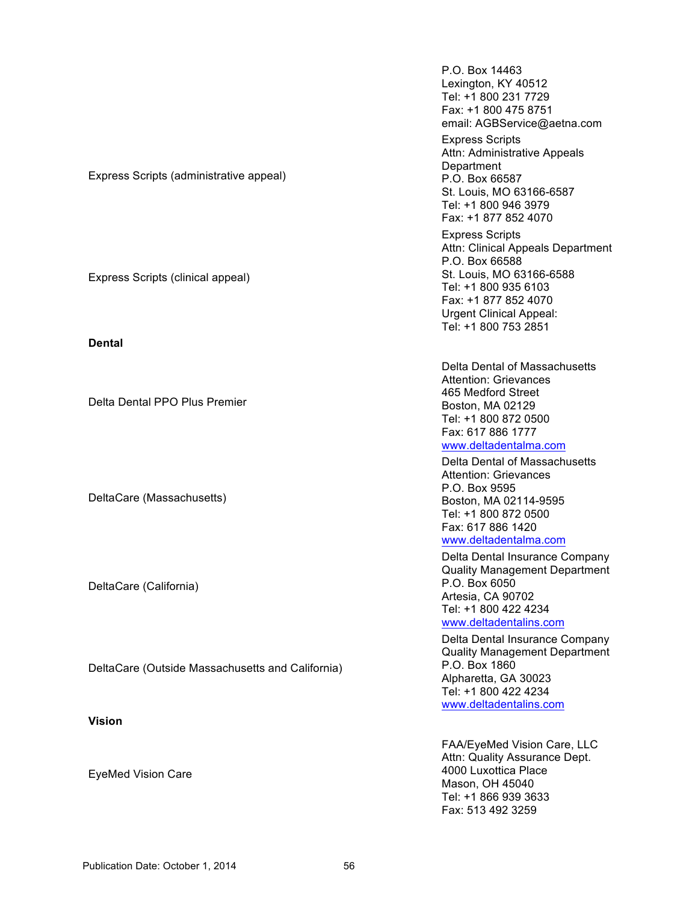P.O. Box 14463 Lexington, KY 40512 Tel: +1 800 231 7729 Fax: +1 800 475 8751 email: AGBService@aetna.com Express Scripts (administrative appeal) Express Scripts Attn: Administrative Appeals **Department** P.O. Box 66587 St. Louis, MO 63166-6587 Tel: +1 800 946 3979 Fax: +1 877 852 4070 Express Scripts (clinical appeal) Express Scripts Attn: Clinical Appeals Department P.O. Box 66588 St. Louis, MO 63166-6588 Tel: +1 800 935 6103 Fax: +1 877 852 4070 Urgent Clinical Appeal: Tel: +1 800 753 2851 **Dental** Delta Dental PPO Plus Premier Delta Dental of Massachusetts Attention: Grievances 465 Medford Street Boston, MA 02129 Tel: +1 800 872 0500 Fax: 617 886 1777 [www.deltadentalma.com](http://www.deltadentalma.com) DeltaCare (Massachusetts) Delta Dental of Massachusetts Attention: Grievances P.O. Box 9595 Boston, MA 02114-9595 Tel: +1 800 872 0500 Fax: 617 886 1420 [www.deltadentalma.com](http://www.deltadentalma.com) DeltaCare (California) Delta Dental Insurance Company Quality Management Department P.O. Box 6050 Artesia, CA 90702 Tel: +1 800 422 4234 [www.deltadentalins.com](http://www.deltadentalma.com) DeltaCare (Outside Massachusetts and California) Delta Dental Insurance Company Quality Management Department P.O. Box 1860 Alpharetta, GA 30023 Tel: +1 800 422 4234 [www.deltadentalins.com](http://www.deltadentalma.com) **Vision** EyeMed Vision Care FAA/EyeMed Vision Care, LLC Attn: Quality Assurance Dept. 4000 Luxottica Place Mason, OH 45040 Tel: +1 866 939 3633 Fax: 513 492 3259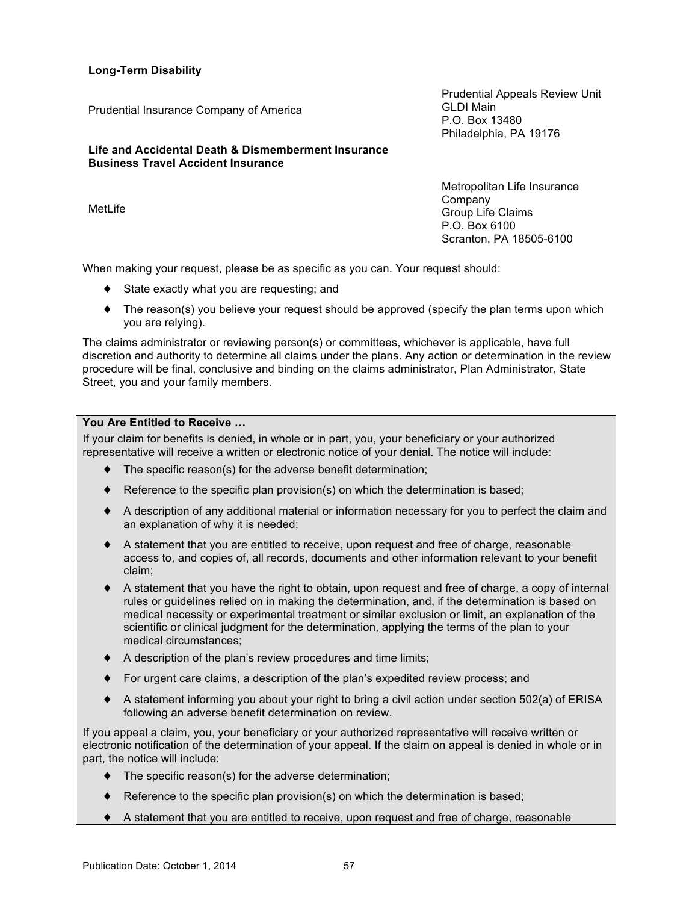**Long-Term Disability**

**Life and Accidental Death & Dismemberment Insurance Business Travel Accident Insurance**

Prudential Insurance Company of America

MetLife

Prudential Appeals Review Unit GLDI Main P.O. Box 13480 Philadelphia, PA 19176

Metropolitan Life Insurance Company Group Life Claims P.O. Box 6100 Scranton, PA 18505-6100

When making your request, please be as specific as you can. Your request should:

- ♦ State exactly what you are requesting; and
- ♦ The reason(s) you believe your request should be approved (specify the plan terms upon which you are relying).

The claims administrator or reviewing person(s) or committees, whichever is applicable, have full discretion and authority to determine all claims under the plans. Any action or determination in the review procedure will be final, conclusive and binding on the claims administrator, Plan Administrator, State Street, you and your family members.

# **You Are Entitled to Receive …**

If your claim for benefits is denied, in whole or in part, you, your beneficiary or your authorized representative will receive a written or electronic notice of your denial. The notice will include:

- The specific reason(s) for the adverse benefit determination;
- Reference to the specific plan provision(s) on which the determination is based;
- ♦ A description of any additional material or information necessary for you to perfect the claim and an explanation of why it is needed;
- ♦ A statement that you are entitled to receive, upon request and free of charge, reasonable access to, and copies of, all records, documents and other information relevant to your benefit claim;
- ♦ A statement that you have the right to obtain, upon request and free of charge, a copy of internal rules or guidelines relied on in making the determination, and, if the determination is based on medical necessity or experimental treatment or similar exclusion or limit, an explanation of the scientific or clinical judgment for the determination, applying the terms of the plan to your medical circumstances;
- ♦ A description of the plan's review procedures and time limits;
- ♦ For urgent care claims, a description of the plan's expedited review process; and
- ♦ A statement informing you about your right to bring a civil action under section 502(a) of ERISA following an adverse benefit determination on review.

If you appeal a claim, you, your beneficiary or your authorized representative will receive written or electronic notification of the determination of your appeal. If the claim on appeal is denied in whole or in part, the notice will include:

- ♦ The specific reason(s) for the adverse determination;
- ♦ Reference to the specific plan provision(s) on which the determination is based;
- ♦ A statement that you are entitled to receive, upon request and free of charge, reasonable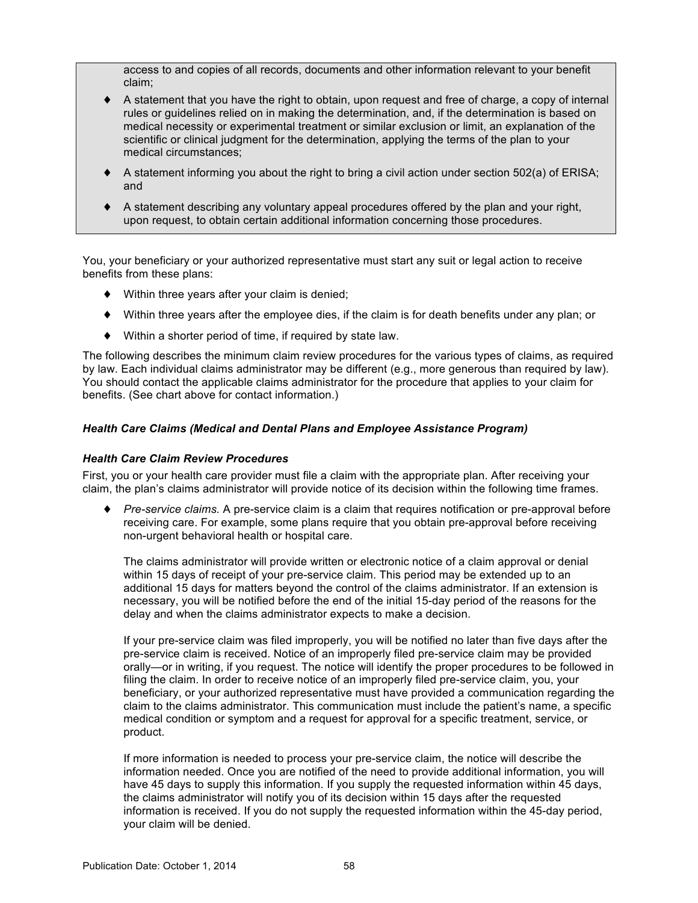access to and copies of all records, documents and other information relevant to your benefit claim;

- A statement that you have the right to obtain, upon request and free of charge, a copy of internal rules or guidelines relied on in making the determination, and, if the determination is based on medical necessity or experimental treatment or similar exclusion or limit, an explanation of the scientific or clinical judgment for the determination, applying the terms of the plan to your medical circumstances;
- $\blacklozenge$  A statement informing you about the right to bring a civil action under section 502(a) of ERISA; and
- ♦ A statement describing any voluntary appeal procedures offered by the plan and your right, upon request, to obtain certain additional information concerning those procedures.

You, your beneficiary or your authorized representative must start any suit or legal action to receive benefits from these plans:

- ♦ Within three years after your claim is denied;
- ♦ Within three years after the employee dies, if the claim is for death benefits under any plan; or
- ♦ Within a shorter period of time, if required by state law.

The following describes the minimum claim review procedures for the various types of claims, as required by law. Each individual claims administrator may be different (e.g., more generous than required by law). You should contact the applicable claims administrator for the procedure that applies to your claim for benefits. (See chart above for contact information.)

# *Health Care Claims (Medical and Dental Plans and Employee Assistance Program)*

### *Health Care Claim Review Procedures*

First, you or your health care provider must file a claim with the appropriate plan. After receiving your claim, the plan's claims administrator will provide notice of its decision within the following time frames.

♦ *Pre-service claims.* A pre-service claim is a claim that requires notification or pre-approval before receiving care. For example, some plans require that you obtain pre-approval before receiving non-urgent behavioral health or hospital care.

The claims administrator will provide written or electronic notice of a claim approval or denial within 15 days of receipt of your pre-service claim. This period may be extended up to an additional 15 days for matters beyond the control of the claims administrator. If an extension is necessary, you will be notified before the end of the initial 15-day period of the reasons for the delay and when the claims administrator expects to make a decision.

If your pre-service claim was filed improperly, you will be notified no later than five days after the pre-service claim is received. Notice of an improperly filed pre-service claim may be provided orally—or in writing, if you request. The notice will identify the proper procedures to be followed in filing the claim. In order to receive notice of an improperly filed pre-service claim, you, your beneficiary, or your authorized representative must have provided a communication regarding the claim to the claims administrator. This communication must include the patient's name, a specific medical condition or symptom and a request for approval for a specific treatment, service, or product.

If more information is needed to process your pre-service claim, the notice will describe the information needed. Once you are notified of the need to provide additional information, you will have 45 days to supply this information. If you supply the requested information within 45 days, the claims administrator will notify you of its decision within 15 days after the requested information is received. If you do not supply the requested information within the 45-day period, your claim will be denied.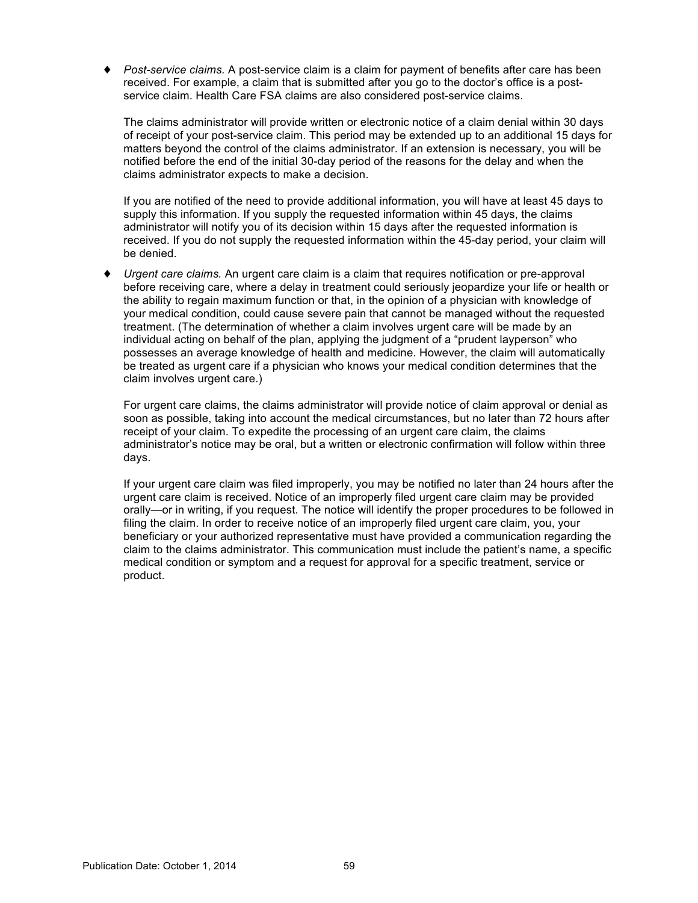Post-service claims. A post-service claim is a claim for payment of benefits after care has been received. For example, a claim that is submitted after you go to the doctor's office is a postservice claim. Health Care FSA claims are also considered post-service claims.

The claims administrator will provide written or electronic notice of a claim denial within 30 days of receipt of your post-service claim. This period may be extended up to an additional 15 days for matters beyond the control of the claims administrator. If an extension is necessary, you will be notified before the end of the initial 30-day period of the reasons for the delay and when the claims administrator expects to make a decision.

If you are notified of the need to provide additional information, you will have at least 45 days to supply this information. If you supply the requested information within 45 days, the claims administrator will notify you of its decision within 15 days after the requested information is received. If you do not supply the requested information within the 45-day period, your claim will be denied.

*Urgent care claims.* An urgent care claim is a claim that requires notification or pre-approval before receiving care, where a delay in treatment could seriously jeopardize your life or health or the ability to regain maximum function or that, in the opinion of a physician with knowledge of your medical condition, could cause severe pain that cannot be managed without the requested treatment. (The determination of whether a claim involves urgent care will be made by an individual acting on behalf of the plan, applying the judgment of a "prudent layperson" who possesses an average knowledge of health and medicine. However, the claim will automatically be treated as urgent care if a physician who knows your medical condition determines that the claim involves urgent care.)

For urgent care claims, the claims administrator will provide notice of claim approval or denial as soon as possible, taking into account the medical circumstances, but no later than 72 hours after receipt of your claim. To expedite the processing of an urgent care claim, the claims administrator's notice may be oral, but a written or electronic confirmation will follow within three days.

If your urgent care claim was filed improperly, you may be notified no later than 24 hours after the urgent care claim is received. Notice of an improperly filed urgent care claim may be provided orally—or in writing, if you request. The notice will identify the proper procedures to be followed in filing the claim. In order to receive notice of an improperly filed urgent care claim, you, your beneficiary or your authorized representative must have provided a communication regarding the claim to the claims administrator. This communication must include the patient's name, a specific medical condition or symptom and a request for approval for a specific treatment, service or product.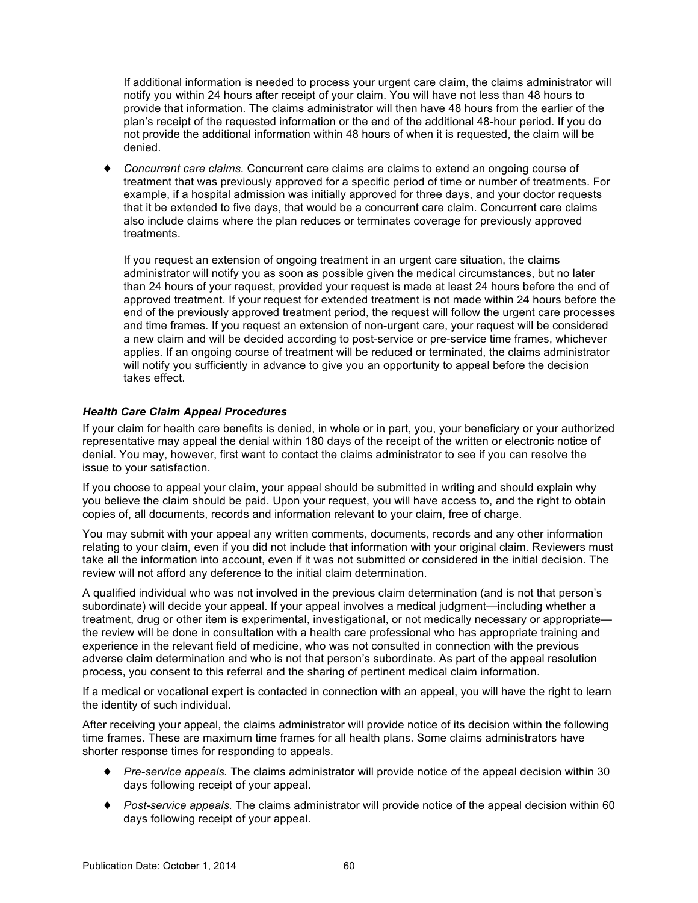If additional information is needed to process your urgent care claim, the claims administrator will notify you within 24 hours after receipt of your claim. You will have not less than 48 hours to provide that information. The claims administrator will then have 48 hours from the earlier of the plan's receipt of the requested information or the end of the additional 48-hour period. If you do not provide the additional information within 48 hours of when it is requested, the claim will be denied.

♦ *Concurrent care claims.* Concurrent care claims are claims to extend an ongoing course of treatment that was previously approved for a specific period of time or number of treatments. For example, if a hospital admission was initially approved for three days, and your doctor requests that it be extended to five days, that would be a concurrent care claim. Concurrent care claims also include claims where the plan reduces or terminates coverage for previously approved treatments.

If you request an extension of ongoing treatment in an urgent care situation, the claims administrator will notify you as soon as possible given the medical circumstances, but no later than 24 hours of your request, provided your request is made at least 24 hours before the end of approved treatment. If your request for extended treatment is not made within 24 hours before the end of the previously approved treatment period, the request will follow the urgent care processes and time frames. If you request an extension of non-urgent care, your request will be considered a new claim and will be decided according to post-service or pre-service time frames, whichever applies. If an ongoing course of treatment will be reduced or terminated, the claims administrator will notify you sufficiently in advance to give you an opportunity to appeal before the decision takes effect.

# *Health Care Claim Appeal Procedures*

If your claim for health care benefits is denied, in whole or in part, you, your beneficiary or your authorized representative may appeal the denial within 180 days of the receipt of the written or electronic notice of denial. You may, however, first want to contact the claims administrator to see if you can resolve the issue to your satisfaction.

If you choose to appeal your claim, your appeal should be submitted in writing and should explain why you believe the claim should be paid. Upon your request, you will have access to, and the right to obtain copies of, all documents, records and information relevant to your claim, free of charge.

You may submit with your appeal any written comments, documents, records and any other information relating to your claim, even if you did not include that information with your original claim. Reviewers must take all the information into account, even if it was not submitted or considered in the initial decision. The review will not afford any deference to the initial claim determination.

A qualified individual who was not involved in the previous claim determination (and is not that person's subordinate) will decide your appeal. If your appeal involves a medical judgment—including whether a treatment, drug or other item is experimental, investigational, or not medically necessary or appropriate the review will be done in consultation with a health care professional who has appropriate training and experience in the relevant field of medicine, who was not consulted in connection with the previous adverse claim determination and who is not that person's subordinate. As part of the appeal resolution process, you consent to this referral and the sharing of pertinent medical claim information.

If a medical or vocational expert is contacted in connection with an appeal, you will have the right to learn the identity of such individual.

After receiving your appeal, the claims administrator will provide notice of its decision within the following time frames. These are maximum time frames for all health plans. Some claims administrators have shorter response times for responding to appeals.

- ♦ *Pre-service appeals.* The claims administrator will provide notice of the appeal decision within 30 days following receipt of your appeal.
- ♦ *Post-service appeals.* The claims administrator will provide notice of the appeal decision within 60 days following receipt of your appeal.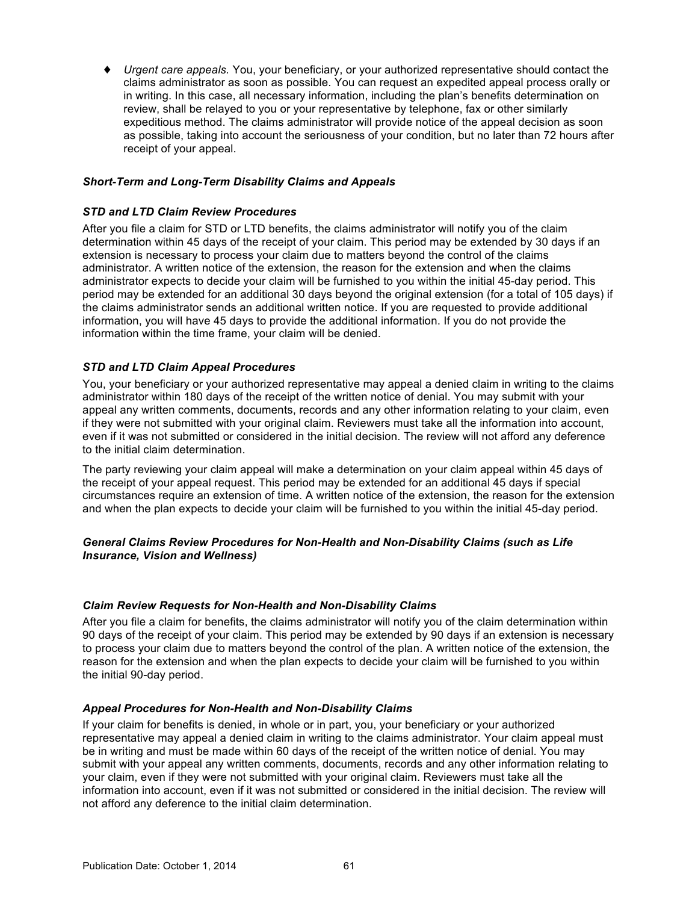<span id="page-65-0"></span>♦ *Urgent care appeals.* You, your beneficiary, or your authorized representative should contact the claims administrator as soon as possible. You can request an expedited appeal process orally or in writing. In this case, all necessary information, including the plan's benefits determination on review, shall be relayed to you or your representative by telephone, fax or other similarly expeditious method. The claims administrator will provide notice of the appeal decision as soon as possible, taking into account the seriousness of your condition, but no later than 72 hours after receipt of your appeal.

# *Short-Term and Long-Term Disability Claims and Appeals*

## *STD and LTD Claim Review Procedures*

After you file a claim for STD or LTD benefits, the claims administrator will notify you of the claim determination within 45 days of the receipt of your claim. This period may be extended by 30 days if an extension is necessary to process your claim due to matters beyond the control of the claims administrator. A written notice of the extension, the reason for the extension and when the claims administrator expects to decide your claim will be furnished to you within the initial 45-day period. This period may be extended for an additional 30 days beyond the original extension (for a total of 105 days) if the claims administrator sends an additional written notice. If you are requested to provide additional information, you will have 45 days to provide the additional information. If you do not provide the information within the time frame, your claim will be denied.

# *STD and LTD Claim Appeal Procedures*

You, your beneficiary or your authorized representative may appeal a denied claim in writing to the claims administrator within 180 days of the receipt of the written notice of denial. You may submit with your appeal any written comments, documents, records and any other information relating to your claim, even if they were not submitted with your original claim. Reviewers must take all the information into account, even if it was not submitted or considered in the initial decision. The review will not afford any deference to the initial claim determination.

The party reviewing your claim appeal will make a determination on your claim appeal within 45 days of the receipt of your appeal request. This period may be extended for an additional 45 days if special circumstances require an extension of time. A written notice of the extension, the reason for the extension and when the plan expects to decide your claim will be furnished to you within the initial 45-day period.

# *General Claims Review Procedures for Non-Health and Non-Disability Claims (such as Life Insurance, Vision and Wellness)*

### *Claim Review Requests for Non-Health and Non-Disability Claims*

After you file a claim for benefits, the claims administrator will notify you of the claim determination within 90 days of the receipt of your claim. This period may be extended by 90 days if an extension is necessary to process your claim due to matters beyond the control of the plan. A written notice of the extension, the reason for the extension and when the plan expects to decide your claim will be furnished to you within the initial 90-day period.

### *Appeal Procedures for Non-Health and Non-Disability Claims*

If your claim for benefits is denied, in whole or in part, you, your beneficiary or your authorized representative may appeal a denied claim in writing to the claims administrator. Your claim appeal must be in writing and must be made within 60 days of the receipt of the written notice of denial. You may submit with your appeal any written comments, documents, records and any other information relating to your claim, even if they were not submitted with your original claim. Reviewers must take all the information into account, even if it was not submitted or considered in the initial decision. The review will not afford any deference to the initial claim determination.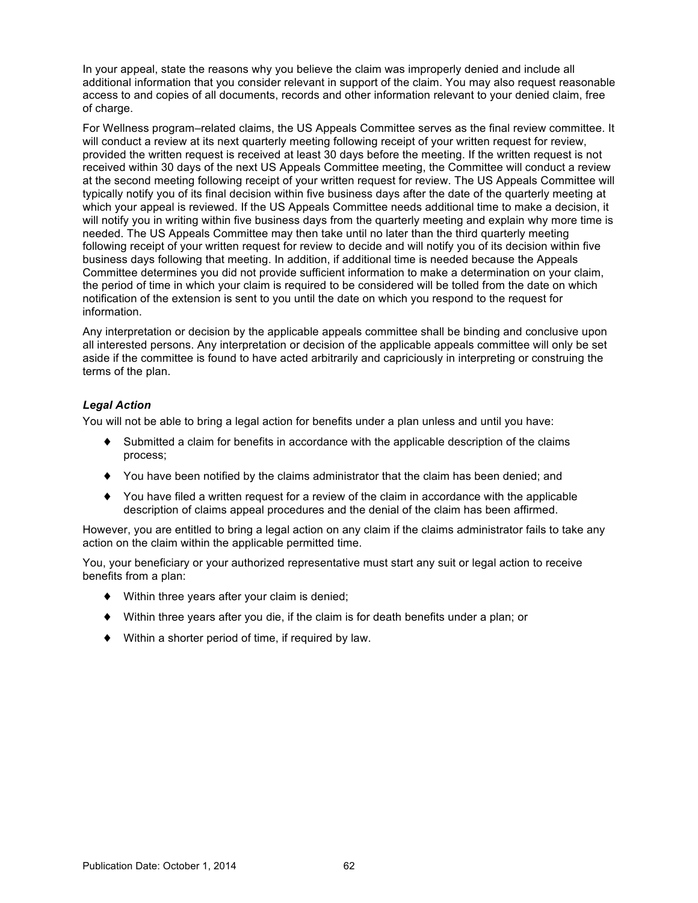In your appeal, state the reasons why you believe the claim was improperly denied and include all additional information that you consider relevant in support of the claim. You may also request reasonable access to and copies of all documents, records and other information relevant to your denied claim, free of charge.

For Wellness program–related claims, the US Appeals Committee serves as the final review committee. It will conduct a review at its next quarterly meeting following receipt of your written request for review, provided the written request is received at least 30 days before the meeting. If the written request is not received within 30 days of the next US Appeals Committee meeting, the Committee will conduct a review at the second meeting following receipt of your written request for review. The US Appeals Committee will typically notify you of its final decision within five business days after the date of the quarterly meeting at which your appeal is reviewed. If the US Appeals Committee needs additional time to make a decision, it will notify you in writing within five business days from the quarterly meeting and explain why more time is needed. The US Appeals Committee may then take until no later than the third quarterly meeting following receipt of your written request for review to decide and will notify you of its decision within five business days following that meeting. In addition, if additional time is needed because the Appeals Committee determines you did not provide sufficient information to make a determination on your claim, the period of time in which your claim is required to be considered will be tolled from the date on which notification of the extension is sent to you until the date on which you respond to the request for information.

Any interpretation or decision by the applicable appeals committee shall be binding and conclusive upon all interested persons. Any interpretation or decision of the applicable appeals committee will only be set aside if the committee is found to have acted arbitrarily and capriciously in interpreting or construing the terms of the plan.

# *Legal Action*

You will not be able to bring a legal action for benefits under a plan unless and until you have:

- ♦ Submitted a claim for benefits in accordance with the applicable description of the claims process;
- ♦ You have been notified by the claims administrator that the claim has been denied; and
- ♦ You have filed a written request for a review of the claim in accordance with the applicable description of claims appeal procedures and the denial of the claim has been affirmed.

However, you are entitled to bring a legal action on any claim if the claims administrator fails to take any action on the claim within the applicable permitted time.

You, your beneficiary or your authorized representative must start any suit or legal action to receive benefits from a plan:

- ♦ Within three years after your claim is denied;
- $\blacklozenge$  Within three years after you die, if the claim is for death benefits under a plan; or
- ♦ Within a shorter period of time, if required by law.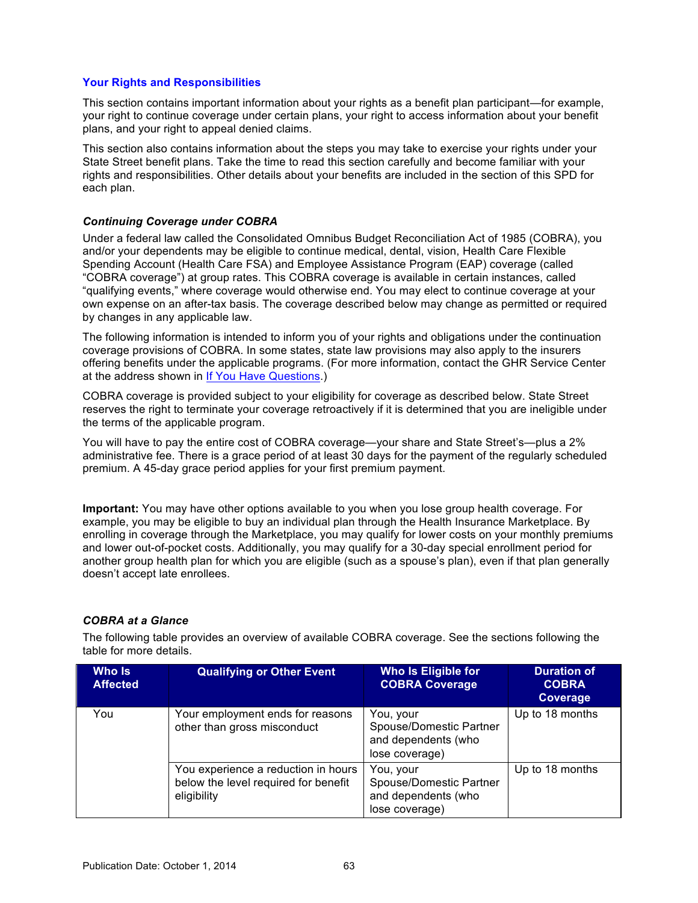## <span id="page-67-0"></span>**Your Rights and Responsibilities**

This section contains important information about your rights as a benefit plan participant—for example, your right to continue coverage under certain plans, your right to access information about your benefit plans, and your right to appeal denied claims.

This section also contains information about the steps you may take to exercise your rights under your State Street benefit plans. Take the time to read this section carefully and become familiar with your rights and responsibilities. Other details about your benefits are included in the section of this SPD for each plan.

### *Continuing Coverage under COBRA*

Under a federal law called the Consolidated Omnibus Budget Reconciliation Act of 1985 (COBRA), you and/or your dependents may be eligible to continue medical, dental, vision, Health Care Flexible Spending Account (Health Care FSA) and Employee Assistance Program (EAP) coverage (called "COBRA coverage") at group rates. This COBRA coverage is available in certain instances, called "qualifying events," where coverage would otherwise end. You may elect to continue coverage at your own expense on an after-tax basis. The coverage described below may change as permitted or required by changes in any applicable law.

The following information is intended to inform you of your rights and obligations under the continuation coverage provisions of COBRA. In some states, state law provisions may also apply to the insurers offering benefits under the applicable programs. (For more information, contact the GHR Service Center at the address shown in [If You Have Questions.](#page-79-0))

COBRA coverage is provided subject to your eligibility for coverage as described below. State Street reserves the right to terminate your coverage retroactively if it is determined that you are ineligible under the terms of the applicable program.

You will have to pay the entire cost of COBRA coverage—your share and State Street's—plus a 2% administrative fee. There is a grace period of at least 30 days for the payment of the regularly scheduled premium. A 45-day grace period applies for your first premium payment.

**Important:** You may have other options available to you when you lose group health coverage. For example, you may be eligible to buy an individual plan through the Health Insurance Marketplace. By enrolling in coverage through the Marketplace, you may qualify for lower costs on your monthly premiums and lower out-of-pocket costs. Additionally, you may qualify for a 30-day special enrollment period for another group health plan for which you are eligible (such as a spouse's plan), even if that plan generally doesn't accept late enrollees.

# *COBRA at a Glance*

The following table provides an overview of available COBRA coverage. See the sections following the table for more details.

| Who Is<br><b>Affected</b> | <b>Qualifying or Other Event</b>                                                           | Who Is Eligible for<br><b>COBRA Coverage</b>                                  | <b>Duration of</b><br><b>COBRA</b><br><b>Coverage</b> |
|---------------------------|--------------------------------------------------------------------------------------------|-------------------------------------------------------------------------------|-------------------------------------------------------|
| You                       | Your employment ends for reasons<br>other than gross misconduct                            | You, your<br>Spouse/Domestic Partner<br>and dependents (who<br>lose coverage) | Up to 18 months                                       |
|                           | You experience a reduction in hours<br>below the level required for benefit<br>eligibility | You, your<br>Spouse/Domestic Partner<br>and dependents (who<br>lose coverage) | Up to 18 months                                       |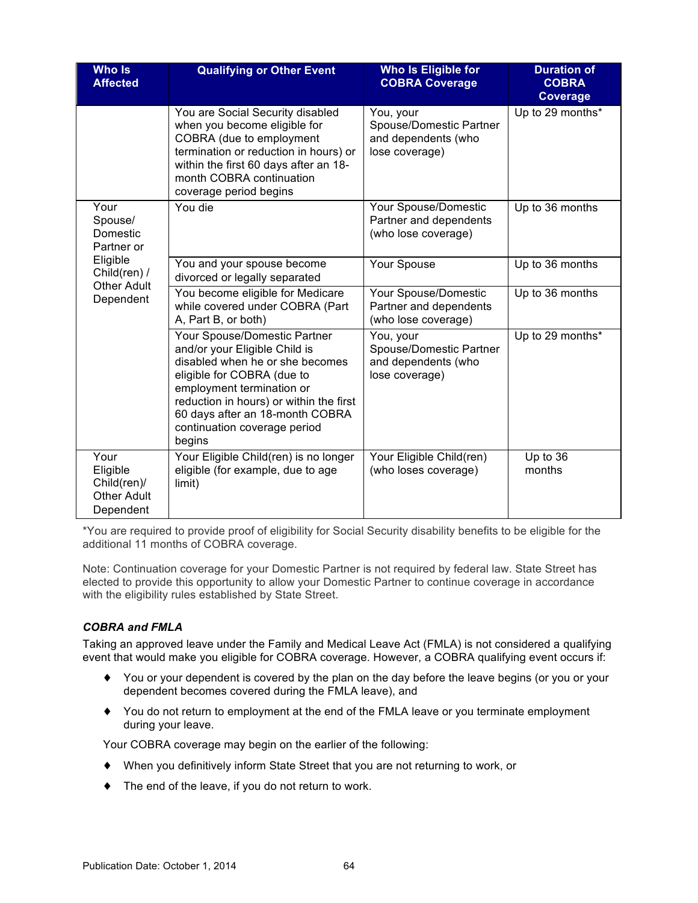| <b>Who Is</b><br><b>Affected</b>                                   | <b>Qualifying or Other Event</b>                                                                                                                                                                                                                                                    | Who Is Eligible for<br><b>COBRA Coverage</b>                                  | <b>Duration of</b><br><b>COBRA</b><br><b>Coverage</b> |
|--------------------------------------------------------------------|-------------------------------------------------------------------------------------------------------------------------------------------------------------------------------------------------------------------------------------------------------------------------------------|-------------------------------------------------------------------------------|-------------------------------------------------------|
|                                                                    | You are Social Security disabled<br>when you become eligible for<br>COBRA (due to employment<br>termination or reduction in hours) or<br>within the first 60 days after an 18-<br>month COBRA continuation<br>coverage period begins                                                | You, your<br>Spouse/Domestic Partner<br>and dependents (who<br>lose coverage) | Up to 29 months*                                      |
| Your<br>Spouse/<br>Domestic<br>Partner or                          | You die                                                                                                                                                                                                                                                                             | Your Spouse/Domestic<br>Partner and dependents<br>(who lose coverage)         | Up to 36 months                                       |
| Eligible<br>Child(ren) /<br><b>Other Adult</b><br>Dependent        | You and your spouse become<br>divorced or legally separated                                                                                                                                                                                                                         | Your Spouse                                                                   | Up to 36 months                                       |
|                                                                    | You become eligible for Medicare<br>while covered under COBRA (Part<br>A, Part B, or both)                                                                                                                                                                                          | Your Spouse/Domestic<br>Partner and dependents<br>(who lose coverage)         | Up to 36 months                                       |
|                                                                    | Your Spouse/Domestic Partner<br>and/or your Eligible Child is<br>disabled when he or she becomes<br>eligible for COBRA (due to<br>employment termination or<br>reduction in hours) or within the first<br>60 days after an 18-month COBRA<br>continuation coverage period<br>begins | You, your<br>Spouse/Domestic Partner<br>and dependents (who<br>lose coverage) | Up to 29 months*                                      |
| Your<br>Eligible<br>Child(ren)/<br><b>Other Adult</b><br>Dependent | Your Eligible Child(ren) is no longer<br>eligible (for example, due to age<br>limit)                                                                                                                                                                                                | Your Eligible Child(ren)<br>(who loses coverage)                              | Up to 36<br>months                                    |

\*You are required to provide proof of eligibility for Social Security disability benefits to be eligible for the additional 11 months of COBRA coverage.

Note: Continuation coverage for your Domestic Partner is not required by federal law. State Street has elected to provide this opportunity to allow your Domestic Partner to continue coverage in accordance with the eligibility rules established by State Street.

# *COBRA and FMLA*

Taking an approved leave under the Family and Medical Leave Act (FMLA) is not considered a qualifying event that would make you eligible for COBRA coverage. However, a COBRA qualifying event occurs if:

- ♦ You or your dependent is covered by the plan on the day before the leave begins (or you or your dependent becomes covered during the FMLA leave), and
- ♦ You do not return to employment at the end of the FMLA leave or you terminate employment during your leave.

Your COBRA coverage may begin on the earlier of the following:

- ♦ When you definitively inform State Street that you are not returning to work, or
- ♦ The end of the leave, if you do not return to work.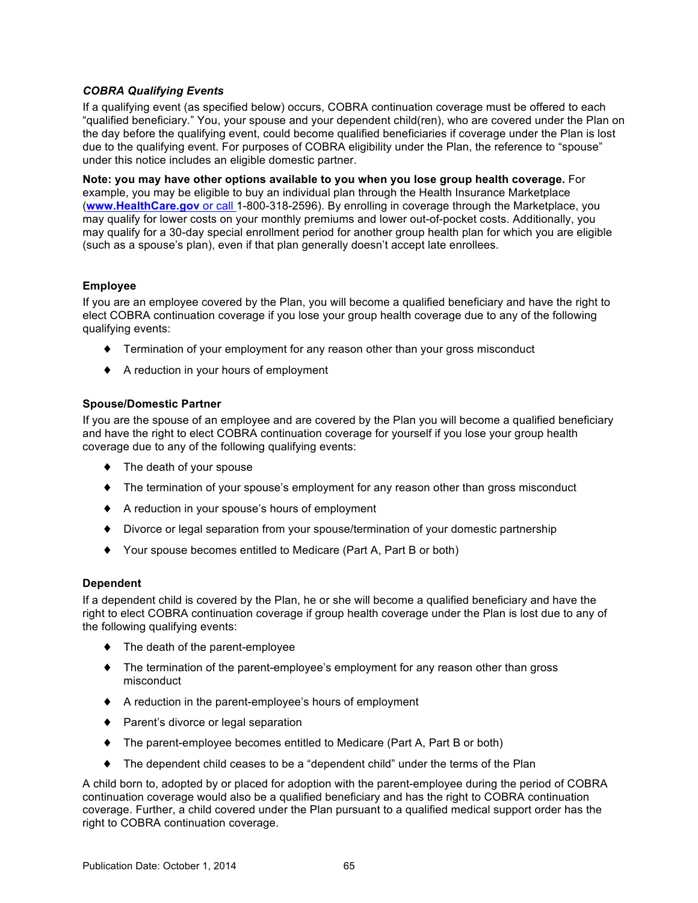# *COBRA Qualifying Events*

If a qualifying event (as specified below) occurs, COBRA continuation coverage must be offered to each "qualified beneficiary." You, your spouse and your dependent child(ren), who are covered under the Plan on the day before the qualifying event, could become qualified beneficiaries if coverage under the Plan is lost due to the qualifying event. For purposes of COBRA eligibility under the Plan, the reference to "spouse" under this notice includes an eligible domestic partner.

**Note: you may have other options available to you when you lose group health coverage.** For example, you may be eligible to buy an individual plan through the Health Insurance Marketplace (**[www.HealthCare.gov](http://www.HealthCare.gov)** or call 1-800-318-2596). By enrolling in coverage through the Marketplace, you may qualify for lower costs on your monthly premiums and lower out-of-pocket costs. Additionally, you may qualify for a 30-day special enrollment period for another group health plan for which you are eligible (such as a spouse's plan), even if that plan generally doesn't accept late enrollees.

# **Employee**

If you are an employee covered by the Plan, you will become a qualified beneficiary and have the right to elect COBRA continuation coverage if you lose your group health coverage due to any of the following qualifying events:

- ♦ Termination of your employment for any reason other than your gross misconduct
- ♦ A reduction in your hours of employment

# **Spouse/Domestic Partner**

If you are the spouse of an employee and are covered by the Plan you will become a qualified beneficiary and have the right to elect COBRA continuation coverage for yourself if you lose your group health coverage due to any of the following qualifying events:

- ♦ The death of your spouse
- ♦ The termination of your spouse's employment for any reason other than gross misconduct
- ♦ A reduction in your spouse's hours of employment
- ♦ Divorce or legal separation from your spouse/termination of your domestic partnership
- ♦ Your spouse becomes entitled to Medicare (Part A, Part B or both)

# **Dependent**

If a dependent child is covered by the Plan, he or she will become a qualified beneficiary and have the right to elect COBRA continuation coverage if group health coverage under the Plan is lost due to any of the following qualifying events:

- ♦ The death of the parent-employee
- ♦ The termination of the parent-employee's employment for any reason other than gross misconduct
- ♦ A reduction in the parent-employee's hours of employment
- ♦ Parent's divorce or legal separation
- ♦ The parent-employee becomes entitled to Medicare (Part A, Part B or both)
- ♦ The dependent child ceases to be a "dependent child" under the terms of the Plan

A child born to, adopted by or placed for adoption with the parent-employee during the period of COBRA continuation coverage would also be a qualified beneficiary and has the right to COBRA continuation coverage. Further, a child covered under the Plan pursuant to a qualified medical support order has the right to COBRA continuation coverage.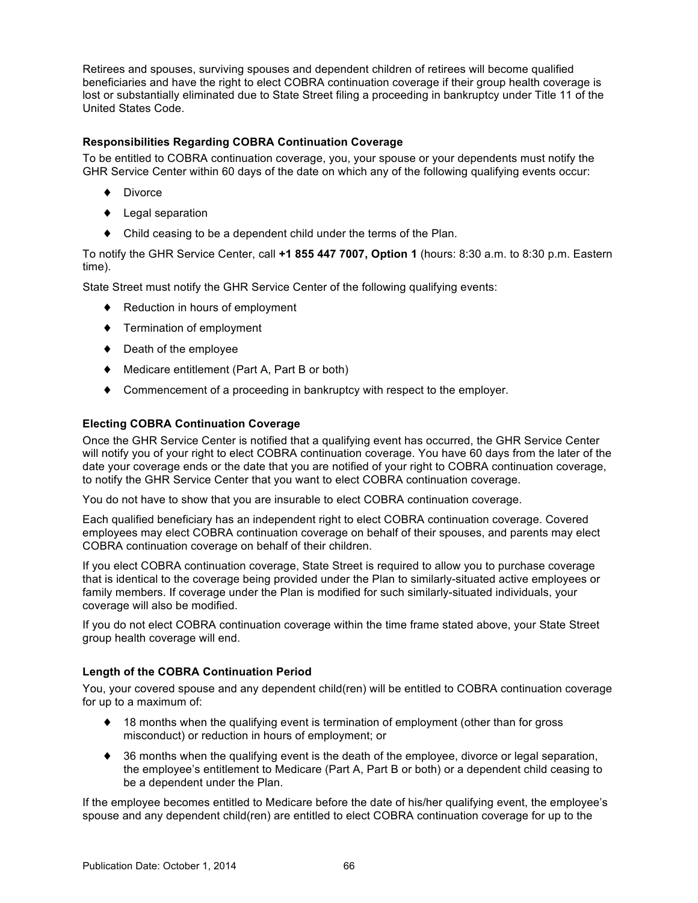Retirees and spouses, surviving spouses and dependent children of retirees will become qualified beneficiaries and have the right to elect COBRA continuation coverage if their group health coverage is lost or substantially eliminated due to State Street filing a proceeding in bankruptcy under Title 11 of the United States Code.

# **Responsibilities Regarding COBRA Continuation Coverage**

To be entitled to COBRA continuation coverage, you, your spouse or your dependents must notify the GHR Service Center within 60 days of the date on which any of the following qualifying events occur:

- ♦ Divorce
- ♦ Legal separation
- ♦ Child ceasing to be a dependent child under the terms of the Plan.

To notify the GHR Service Center, call **+1 855 447 7007, Option 1** (hours: 8:30 a.m. to 8:30 p.m. Eastern time).

State Street must notify the GHR Service Center of the following qualifying events:

- ♦ Reduction in hours of employment
- ♦ Termination of employment
- ♦ Death of the employee
- ♦ Medicare entitlement (Part A, Part B or both)
- ♦ Commencement of a proceeding in bankruptcy with respect to the employer.

# **Electing COBRA Continuation Coverage**

Once the GHR Service Center is notified that a qualifying event has occurred, the GHR Service Center will notify you of your right to elect COBRA continuation coverage. You have 60 days from the later of the date your coverage ends or the date that you are notified of your right to COBRA continuation coverage, to notify the GHR Service Center that you want to elect COBRA continuation coverage.

You do not have to show that you are insurable to elect COBRA continuation coverage.

Each qualified beneficiary has an independent right to elect COBRA continuation coverage. Covered employees may elect COBRA continuation coverage on behalf of their spouses, and parents may elect COBRA continuation coverage on behalf of their children.

If you elect COBRA continuation coverage, State Street is required to allow you to purchase coverage that is identical to the coverage being provided under the Plan to similarly-situated active employees or family members. If coverage under the Plan is modified for such similarly-situated individuals, your coverage will also be modified.

If you do not elect COBRA continuation coverage within the time frame stated above, your State Street group health coverage will end.

### **Length of the COBRA Continuation Period**

You, your covered spouse and any dependent child(ren) will be entitled to COBRA continuation coverage for up to a maximum of:

- ♦ 18 months when the qualifying event is termination of employment (other than for gross misconduct) or reduction in hours of employment; or
- ♦ 36 months when the qualifying event is the death of the employee, divorce or legal separation, the employee's entitlement to Medicare (Part A, Part B or both) or a dependent child ceasing to be a dependent under the Plan.

If the employee becomes entitled to Medicare before the date of his/her qualifying event, the employee's spouse and any dependent child(ren) are entitled to elect COBRA continuation coverage for up to the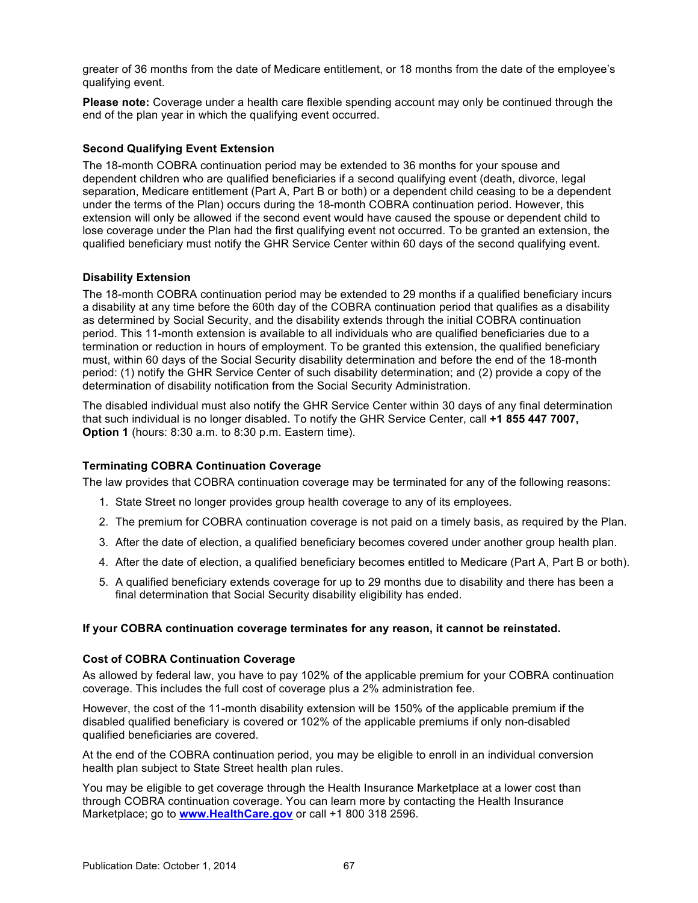greater of 36 months from the date of Medicare entitlement, or 18 months from the date of the employee's qualifying event.

**Please note:** Coverage under a health care flexible spending account may only be continued through the end of the plan year in which the qualifying event occurred.

# **Second Qualifying Event Extension**

The 18-month COBRA continuation period may be extended to 36 months for your spouse and dependent children who are qualified beneficiaries if a second qualifying event (death, divorce, legal separation, Medicare entitlement (Part A, Part B or both) or a dependent child ceasing to be a dependent under the terms of the Plan) occurs during the 18-month COBRA continuation period. However, this extension will only be allowed if the second event would have caused the spouse or dependent child to lose coverage under the Plan had the first qualifying event not occurred. To be granted an extension, the qualified beneficiary must notify the GHR Service Center within 60 days of the second qualifying event.

# **Disability Extension**

The 18-month COBRA continuation period may be extended to 29 months if a qualified beneficiary incurs a disability at any time before the 60th day of the COBRA continuation period that qualifies as a disability as determined by Social Security, and the disability extends through the initial COBRA continuation period. This 11-month extension is available to all individuals who are qualified beneficiaries due to a termination or reduction in hours of employment. To be granted this extension, the qualified beneficiary must, within 60 days of the Social Security disability determination and before the end of the 18-month period: (1) notify the GHR Service Center of such disability determination; and (2) provide a copy of the determination of disability notification from the Social Security Administration.

The disabled individual must also notify the GHR Service Center within 30 days of any final determination that such individual is no longer disabled. To notify the GHR Service Center, call **+1 855 447 7007, Option 1** (hours: 8:30 a.m. to 8:30 p.m. Eastern time).

### **Terminating COBRA Continuation Coverage**

The law provides that COBRA continuation coverage may be terminated for any of the following reasons:

- 1. State Street no longer provides group health coverage to any of its employees.
- 2. The premium for COBRA continuation coverage is not paid on a timely basis, as required by the Plan.
- 3. After the date of election, a qualified beneficiary becomes covered under another group health plan.
- 4. After the date of election, a qualified beneficiary becomes entitled to Medicare (Part A, Part B or both).
- 5. A qualified beneficiary extends coverage for up to 29 months due to disability and there has been a final determination that Social Security disability eligibility has ended.

### **If your COBRA continuation coverage terminates for any reason, it cannot be reinstated.**

#### **Cost of COBRA Continuation Coverage**

As allowed by federal law, you have to pay 102% of the applicable premium for your COBRA continuation coverage. This includes the full cost of coverage plus a 2% administration fee.

However, the cost of the 11-month disability extension will be 150% of the applicable premium if the disabled qualified beneficiary is covered or 102% of the applicable premiums if only non-disabled qualified beneficiaries are covered.

At the end of the COBRA continuation period, you may be eligible to enroll in an individual conversion health plan subject to State Street health plan rules.

You may be eligible to get coverage through the Health Insurance Marketplace at a lower cost than through COBRA continuation coverage. You can learn more by contacting the Health Insurance Marketplace; go to **[www.HealthCare.gov](http://www.HealthCare.gov)** or call +1 800 318 2596.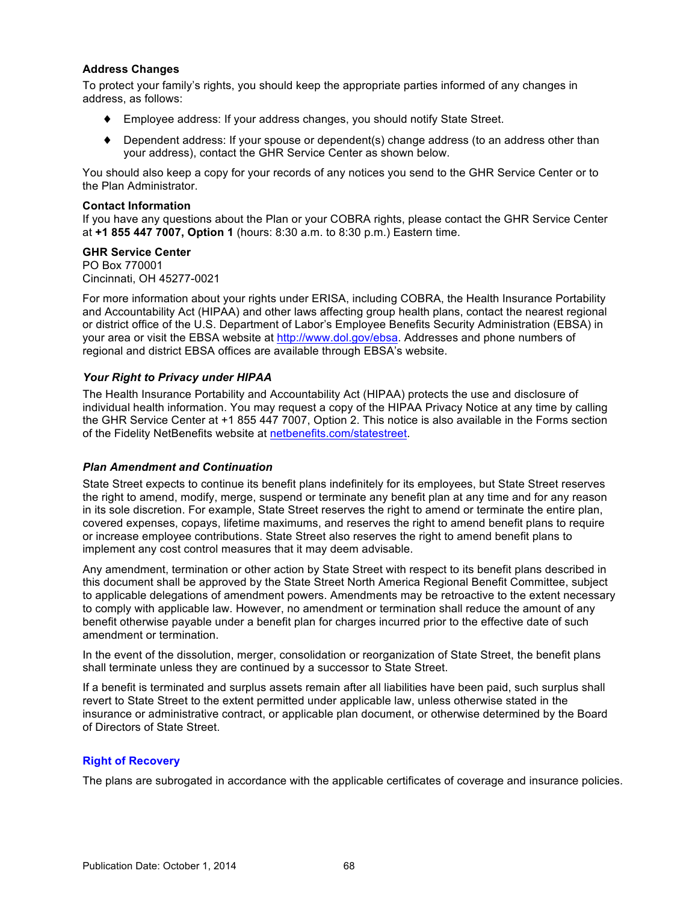## **Address Changes**

To protect your family's rights, you should keep the appropriate parties informed of any changes in address, as follows:

- ♦ Employee address: If your address changes, you should notify State Street.
- $\blacklozenge$  Dependent address: If your spouse or dependent(s) change address (to an address other than your address), contact the GHR Service Center as shown below.

You should also keep a copy for your records of any notices you send to the GHR Service Center or to the Plan Administrator.

### **Contact Information**

If you have any questions about the Plan or your COBRA rights, please contact the GHR Service Center at **+1 855 447 7007, Option 1** (hours: 8:30 a.m. to 8:30 p.m.) Eastern time.

### **GHR Service Center**

PO Box 770001 Cincinnati, OH 45277-0021

For more information about your rights under ERISA, including COBRA, the Health Insurance Portability and Accountability Act (HIPAA) and other laws affecting group health plans, contact the nearest regional or district office of the U.S. Department of Labor's Employee Benefits Security Administration (EBSA) in your area or visit the EBSA website at <http://www.dol.gov/ebsa>. Addresses and phone numbers of regional and district EBSA offices are available through EBSA's website.

## *Your Right to Privacy under HIPAA*

The Health Insurance Portability and Accountability Act (HIPAA) protects the use and disclosure of individual health information. You may request a copy of the HIPAA Privacy Notice at any time by calling the GHR Service Center at +1 855 447 7007, Option 2. This notice is also available in the Forms section of the Fidelity NetBenefits website at [netbenefits.com/statestreet](http://netbenefits.com/statestreet).

### *Plan Amendment and Continuation*

State Street expects to continue its benefit plans indefinitely for its employees, but State Street reserves the right to amend, modify, merge, suspend or terminate any benefit plan at any time and for any reason in its sole discretion. For example, State Street reserves the right to amend or terminate the entire plan, covered expenses, copays, lifetime maximums, and reserves the right to amend benefit plans to require or increase employee contributions. State Street also reserves the right to amend benefit plans to implement any cost control measures that it may deem advisable.

Any amendment, termination or other action by State Street with respect to its benefit plans described in this document shall be approved by the State Street North America Regional Benefit Committee, subject to applicable delegations of amendment powers. Amendments may be retroactive to the extent necessary to comply with applicable law. However, no amendment or termination shall reduce the amount of any benefit otherwise payable under a benefit plan for charges incurred prior to the effective date of such amendment or termination.

In the event of the dissolution, merger, consolidation or reorganization of State Street, the benefit plans shall terminate unless they are continued by a successor to State Street.

If a benefit is terminated and surplus assets remain after all liabilities have been paid, such surplus shall revert to State Street to the extent permitted under applicable law, unless otherwise stated in the insurance or administrative contract, or applicable plan document, or otherwise determined by the Board of Directors of State Street.

### **Right of Recovery**

The plans are subrogated in accordance with the applicable certificates of coverage and insurance policies.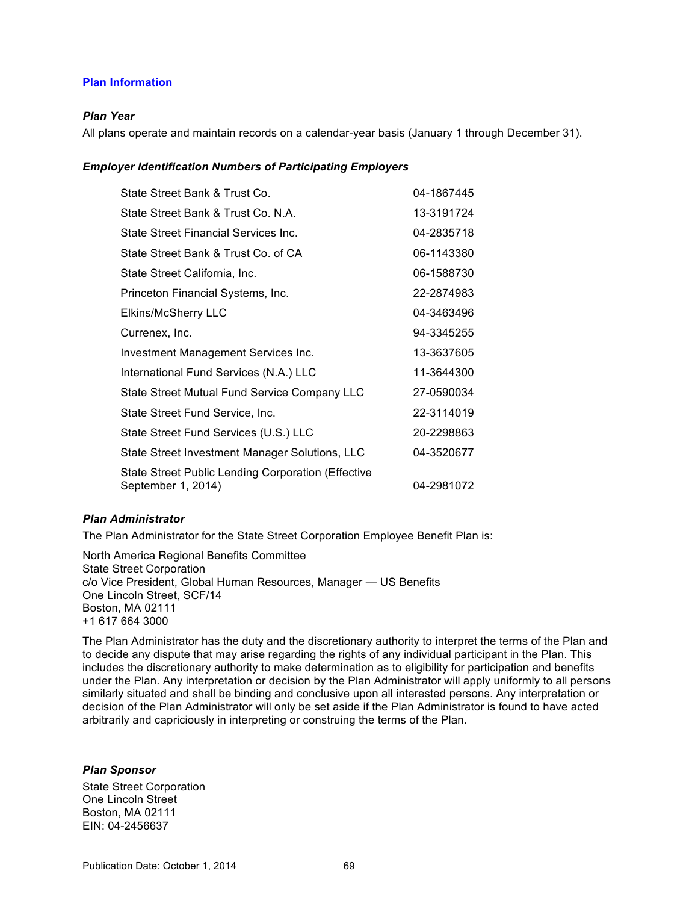## **Plan Information**

### *Plan Year*

All plans operate and maintain records on a calendar-year basis (January 1 through December 31).

### *Employer Identification Numbers of Participating Employers*

| State Street Bank & Trust Co.                                            | 04-1867445 |
|--------------------------------------------------------------------------|------------|
| State Street Bank & Trust Co. N.A.                                       | 13-3191724 |
| State Street Financial Services Inc.                                     | 04-2835718 |
| State Street Bank & Trust Co. of CA                                      | 06-1143380 |
| State Street California, Inc.                                            | 06-1588730 |
| Princeton Financial Systems, Inc.                                        | 22-2874983 |
| Elkins/McSherry LLC                                                      | 04-3463496 |
| Currenex, Inc.                                                           | 94-3345255 |
| Investment Management Services Inc.                                      | 13-3637605 |
| International Fund Services (N.A.) LLC                                   | 11-3644300 |
| State Street Mutual Fund Service Company LLC                             | 27-0590034 |
| State Street Fund Service, Inc.                                          | 22-3114019 |
| State Street Fund Services (U.S.) LLC                                    | 20-2298863 |
| State Street Investment Manager Solutions, LLC                           | 04-3520677 |
| State Street Public Lending Corporation (Effective<br>September 1, 2014) | 04-2981072 |

#### *Plan Administrator*

The Plan Administrator for the State Street Corporation Employee Benefit Plan is:

North America Regional Benefits Committee State Street Corporation c/o Vice President, Global Human Resources, Manager — US Benefits One Lincoln Street, SCF/14 Boston, MA 02111 +1 617 664 3000

The Plan Administrator has the duty and the discretionary authority to interpret the terms of the Plan and to decide any dispute that may arise regarding the rights of any individual participant in the Plan. This includes the discretionary authority to make determination as to eligibility for participation and benefits under the Plan. Any interpretation or decision by the Plan Administrator will apply uniformly to all persons similarly situated and shall be binding and conclusive upon all interested persons. Any interpretation or decision of the Plan Administrator will only be set aside if the Plan Administrator is found to have acted arbitrarily and capriciously in interpreting or construing the terms of the Plan.

### *Plan Sponsor*

State Street Corporation One Lincoln Street Boston, MA 02111 EIN: 04-2456637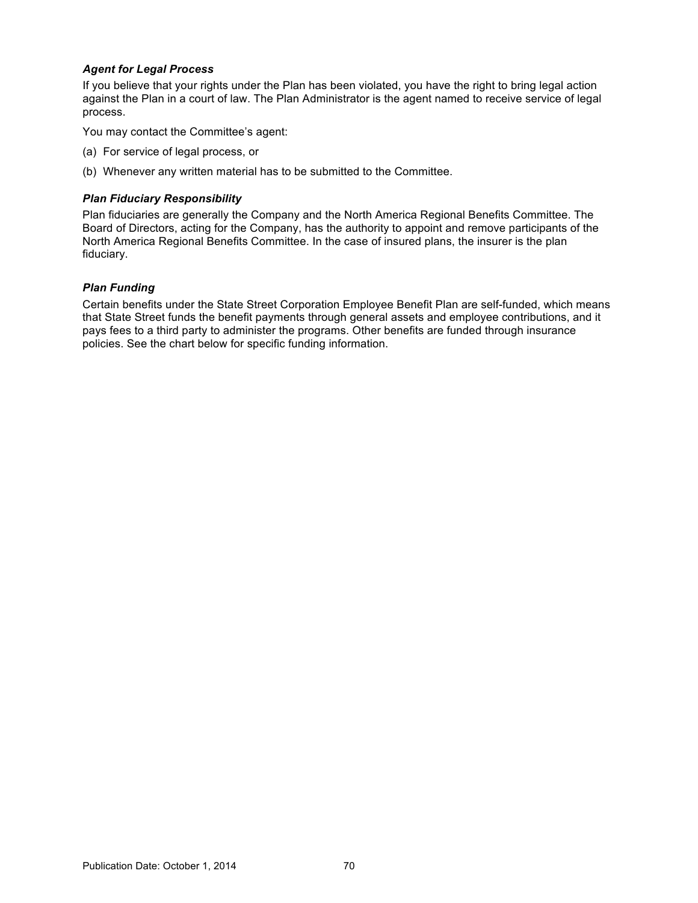## *Agent for Legal Process*

If you believe that your rights under the Plan has been violated, you have the right to bring legal action against the Plan in a court of law. The Plan Administrator is the agent named to receive service of legal process.

You may contact the Committee's agent:

- (a) For service of legal process, or
- (b) Whenever any written material has to be submitted to the Committee.

### *Plan Fiduciary Responsibility*

Plan fiduciaries are generally the Company and the North America Regional Benefits Committee. The Board of Directors, acting for the Company, has the authority to appoint and remove participants of the North America Regional Benefits Committee. In the case of insured plans, the insurer is the plan fiduciary.

## *Plan Funding*

Certain benefits under the State Street Corporation Employee Benefit Plan are self-funded, which means that State Street funds the benefit payments through general assets and employee contributions, and it pays fees to a third party to administer the programs. Other benefits are funded through insurance policies. See the chart below for specific funding information.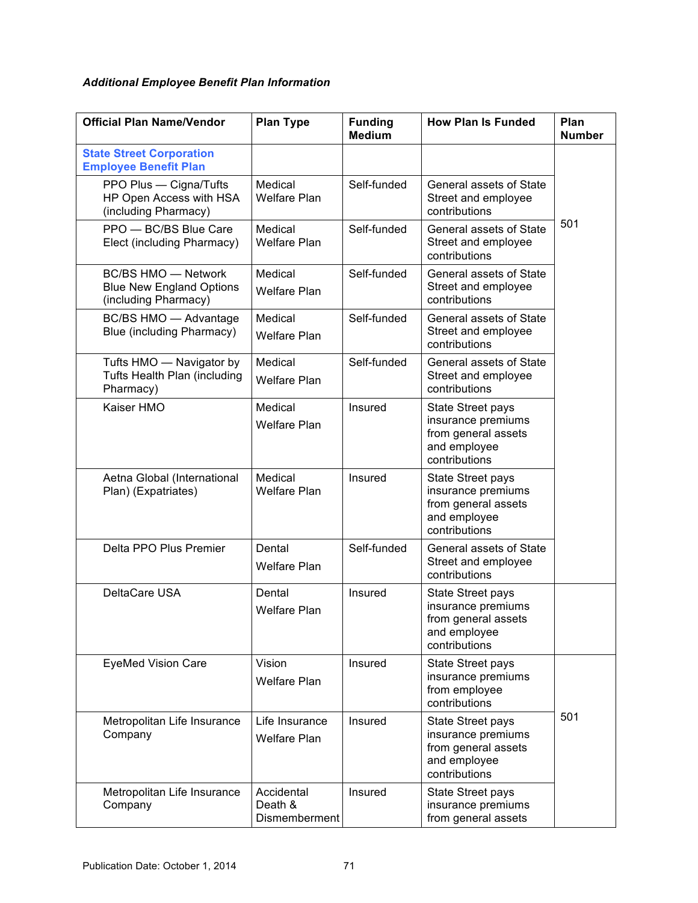# *Additional Employee Benefit Plan Information*

| <b>Official Plan Name/Vendor</b>                                                      | <b>Plan Type</b>                       | <b>Funding</b><br><b>Medium</b> | <b>How Plan Is Funded</b>                                                                              | Plan<br><b>Number</b> |
|---------------------------------------------------------------------------------------|----------------------------------------|---------------------------------|--------------------------------------------------------------------------------------------------------|-----------------------|
| <b>State Street Corporation</b><br><b>Employee Benefit Plan</b>                       |                                        |                                 |                                                                                                        |                       |
| PPO Plus - Cigna/Tufts<br>HP Open Access with HSA<br>(including Pharmacy)             | Medical<br><b>Welfare Plan</b>         | Self-funded                     | General assets of State<br>Street and employee<br>contributions                                        |                       |
| PPO - BC/BS Blue Care<br>Elect (including Pharmacy)                                   | Medical<br><b>Welfare Plan</b>         | Self-funded                     | General assets of State<br>Street and employee<br>contributions                                        | 501                   |
| <b>BC/BS HMO - Network</b><br><b>Blue New England Options</b><br>(including Pharmacy) | Medical<br><b>Welfare Plan</b>         | Self-funded                     | <b>General assets of State</b><br>Street and employee<br>contributions                                 |                       |
| BC/BS HMO - Advantage<br>Blue (including Pharmacy)                                    | Medical<br><b>Welfare Plan</b>         | Self-funded                     | General assets of State<br>Street and employee<br>contributions                                        |                       |
| Tufts HMO - Navigator by<br>Tufts Health Plan (including<br>Pharmacy)                 | Medical<br><b>Welfare Plan</b>         | Self-funded                     | General assets of State<br>Street and employee<br>contributions                                        |                       |
| Kaiser HMO                                                                            | Medical<br><b>Welfare Plan</b>         | Insured                         | State Street pays<br>insurance premiums<br>from general assets<br>and employee<br>contributions        |                       |
| Aetna Global (International<br>Plan) (Expatriates)                                    | Medical<br>Welfare Plan                | Insured                         | State Street pays<br>insurance premiums<br>from general assets<br>and employee<br>contributions        |                       |
| Delta PPO Plus Premier                                                                | Dental<br><b>Welfare Plan</b>          | Self-funded                     | General assets of State<br>Street and employee<br>contributions                                        |                       |
| DeltaCare USA                                                                         | Dental<br><b>Welfare Plan</b>          | Insured                         | <b>State Street pays</b><br>insurance premiums<br>from general assets<br>and employee<br>contributions |                       |
| <b>EyeMed Vision Care</b>                                                             | Vision<br><b>Welfare Plan</b>          | Insured                         | <b>State Street pays</b><br>insurance premiums<br>from employee<br>contributions                       |                       |
| Metropolitan Life Insurance<br>Company                                                | Life Insurance<br><b>Welfare Plan</b>  | Insured                         | <b>State Street pays</b><br>insurance premiums<br>from general assets<br>and employee<br>contributions | 501                   |
| Metropolitan Life Insurance<br>Company                                                | Accidental<br>Death &<br>Dismemberment | Insured                         | <b>State Street pays</b><br>insurance premiums<br>from general assets                                  |                       |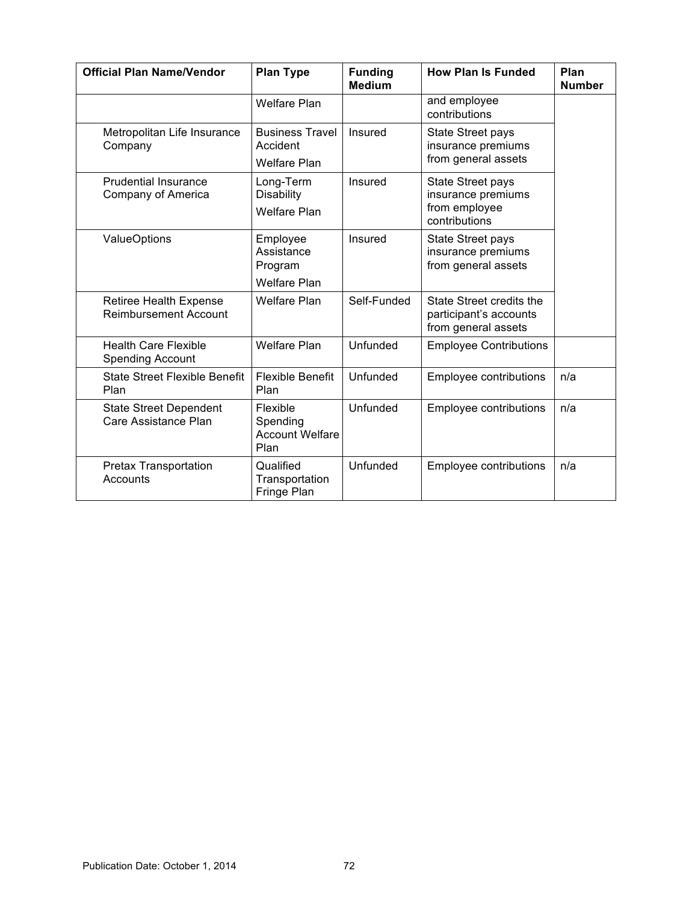| <b>Official Plan Name/Vendor</b>                              | <b>Plan Type</b>                                                      | <b>Funding</b><br><b>Medium</b> | <b>How Plan Is Funded</b>                                                        | Plan<br><b>Number</b> |
|---------------------------------------------------------------|-----------------------------------------------------------------------|---------------------------------|----------------------------------------------------------------------------------|-----------------------|
|                                                               | <b>Welfare Plan</b>                                                   |                                 | and employee<br>contributions                                                    |                       |
| Metropolitan Life Insurance<br>Company                        | <b>Business Travel</b><br>Accident                                    | Insured                         | <b>State Street pays</b><br>insurance premiums<br>from general assets            |                       |
| <b>Prudential Insurance</b><br>Company of America             | <b>Welfare Plan</b><br>Long-Term<br>Disability<br><b>Welfare Plan</b> | Insured                         | <b>State Street pays</b><br>insurance premiums<br>from employee<br>contributions |                       |
| <b>ValueOptions</b>                                           | Employee<br>Assistance<br>Program<br><b>Welfare Plan</b>              | Insured                         | State Street pays<br>insurance premiums<br>from general assets                   |                       |
| <b>Retiree Health Expense</b><br><b>Reimbursement Account</b> | <b>Welfare Plan</b>                                                   | Self-Funded                     | State Street credits the<br>participant's accounts<br>from general assets        |                       |
| <b>Health Care Flexible</b><br><b>Spending Account</b>        | <b>Welfare Plan</b>                                                   | Unfunded                        | <b>Employee Contributions</b>                                                    |                       |
| <b>State Street Flexible Benefit</b><br>Plan                  | <b>Flexible Benefit</b><br>Plan                                       | Unfunded                        | Employee contributions                                                           | n/a                   |
| <b>State Street Dependent</b><br>Care Assistance Plan         | Flexible<br>Spending<br><b>Account Welfare</b><br>Plan                | Unfunded                        | <b>Employee contributions</b>                                                    | n/a                   |
| Pretax Transportation<br>Accounts                             | Qualified<br>Transportation<br>Fringe Plan                            | Unfunded                        | Employee contributions                                                           | n/a                   |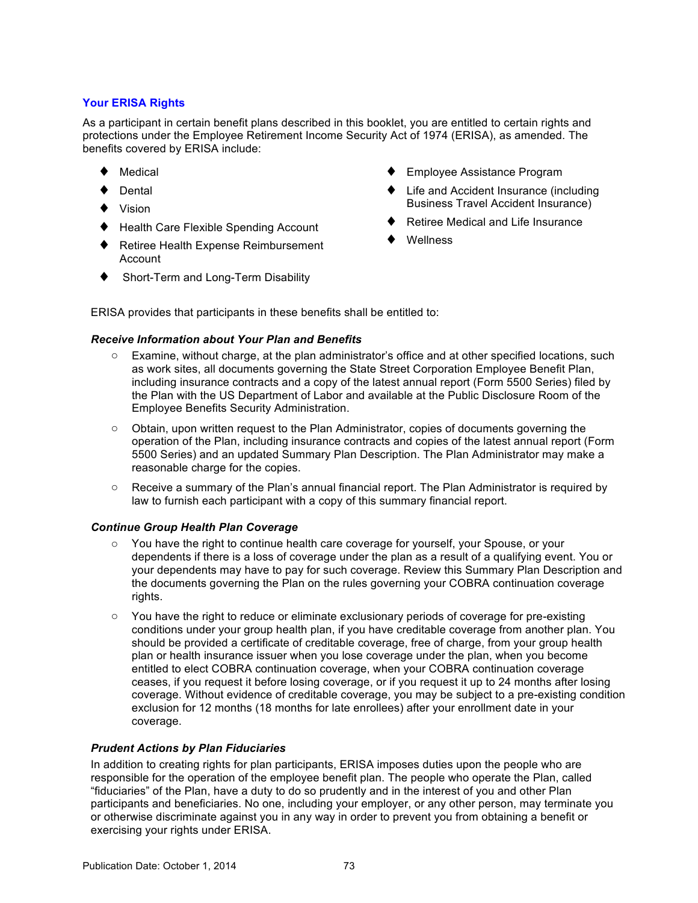# **Your ERISA Rights**

As a participant in certain benefit plans described in this booklet, you are entitled to certain rights and protections under the Employee Retirement Income Security Act of 1974 (ERISA), as amended. The benefits covered by ERISA include:

- Medical
- Dental
- Vision
- **Health Care Flexible Spending Account**
- ♦ Retiree Health Expense Reimbursement Account
- Short-Term and Long-Term Disability
- **Employee Assistance Program**
- Life and Accident Insurance (including Business Travel Accident Insurance)
- Retiree Medical and Life Insurance
- Wellness

ERISA provides that participants in these benefits shall be entitled to:

### *Receive Information about Your Plan and Benefits*

- o Examine, without charge, at the plan administrator's office and at other specified locations, such as work sites, all documents governing the State Street Corporation Employee Benefit Plan, including insurance contracts and a copy of the latest annual report (Form 5500 Series) filed by the Plan with the US Department of Labor and available at the Public Disclosure Room of the Employee Benefits Security Administration.
- o Obtain, upon written request to the Plan Administrator, copies of documents governing the operation of the Plan, including insurance contracts and copies of the latest annual report (Form 5500 Series) and an updated Summary Plan Description. The Plan Administrator may make a reasonable charge for the copies.
- $\circ$  Receive a summary of the Plan's annual financial report. The Plan Administrator is required by law to furnish each participant with a copy of this summary financial report.

### *Continue Group Health Plan Coverage*

- o You have the right to continue health care coverage for yourself, your Spouse, or your dependents if there is a loss of coverage under the plan as a result of a qualifying event. You or your dependents may have to pay for such coverage. Review this Summary Plan Description and the documents governing the Plan on the rules governing your COBRA continuation coverage rights.
- $\circ$  You have the right to reduce or eliminate exclusionary periods of coverage for pre-existing conditions under your group health plan, if you have creditable coverage from another plan. You should be provided a certificate of creditable coverage, free of charge, from your group health plan or health insurance issuer when you lose coverage under the plan, when you become entitled to elect COBRA continuation coverage, when your COBRA continuation coverage ceases, if you request it before losing coverage, or if you request it up to 24 months after losing coverage. Without evidence of creditable coverage, you may be subject to a pre-existing condition exclusion for 12 months (18 months for late enrollees) after your enrollment date in your coverage.

# *Prudent Actions by Plan Fiduciaries*

In addition to creating rights for plan participants, ERISA imposes duties upon the people who are responsible for the operation of the employee benefit plan. The people who operate the Plan, called "fiduciaries" of the Plan, have a duty to do so prudently and in the interest of you and other Plan participants and beneficiaries. No one, including your employer, or any other person, may terminate you or otherwise discriminate against you in any way in order to prevent you from obtaining a benefit or exercising your rights under ERISA.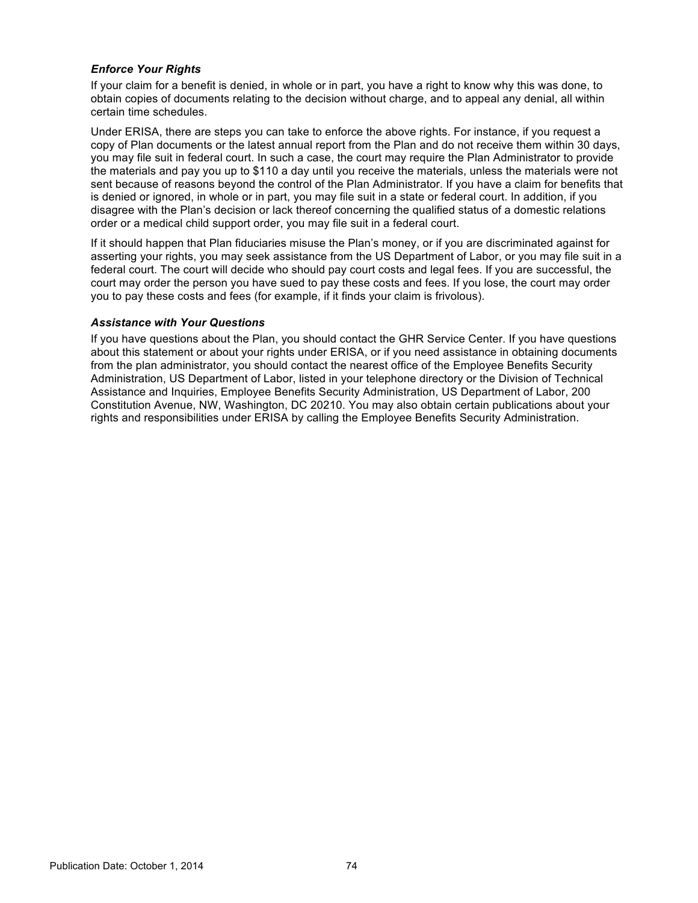## *Enforce Your Rights*

If your claim for a benefit is denied, in whole or in part, you have a right to know why this was done, to obtain copies of documents relating to the decision without charge, and to appeal any denial, all within certain time schedules.

Under ERISA, there are steps you can take to enforce the above rights. For instance, if you request a copy of Plan documents or the latest annual report from the Plan and do not receive them within 30 days, you may file suit in federal court. In such a case, the court may require the Plan Administrator to provide the materials and pay you up to \$110 a day until you receive the materials, unless the materials were not sent because of reasons beyond the control of the Plan Administrator. If you have a claim for benefits that is denied or ignored, in whole or in part, you may file suit in a state or federal court. In addition, if you disagree with the Plan's decision or lack thereof concerning the qualified status of a domestic relations order or a medical child support order, you may file suit in a federal court.

If it should happen that Plan fiduciaries misuse the Plan's money, or if you are discriminated against for asserting your rights, you may seek assistance from the US Department of Labor, or you may file suit in a federal court. The court will decide who should pay court costs and legal fees. If you are successful, the court may order the person you have sued to pay these costs and fees. If you lose, the court may order you to pay these costs and fees (for example, if it finds your claim is frivolous).

### *Assistance with Your Questions*

If you have questions about the Plan, you should contact the GHR Service Center. If you have questions about this statement or about your rights under ERISA, or if you need assistance in obtaining documents from the plan administrator, you should contact the nearest office of the Employee Benefits Security Administration, US Department of Labor, listed in your telephone directory or the Division of Technical Assistance and Inquiries, Employee Benefits Security Administration, US Department of Labor, 200 Constitution Avenue, NW, Washington, DC 20210. You may also obtain certain publications about your rights and responsibilities under ERISA by calling the Employee Benefits Security Administration.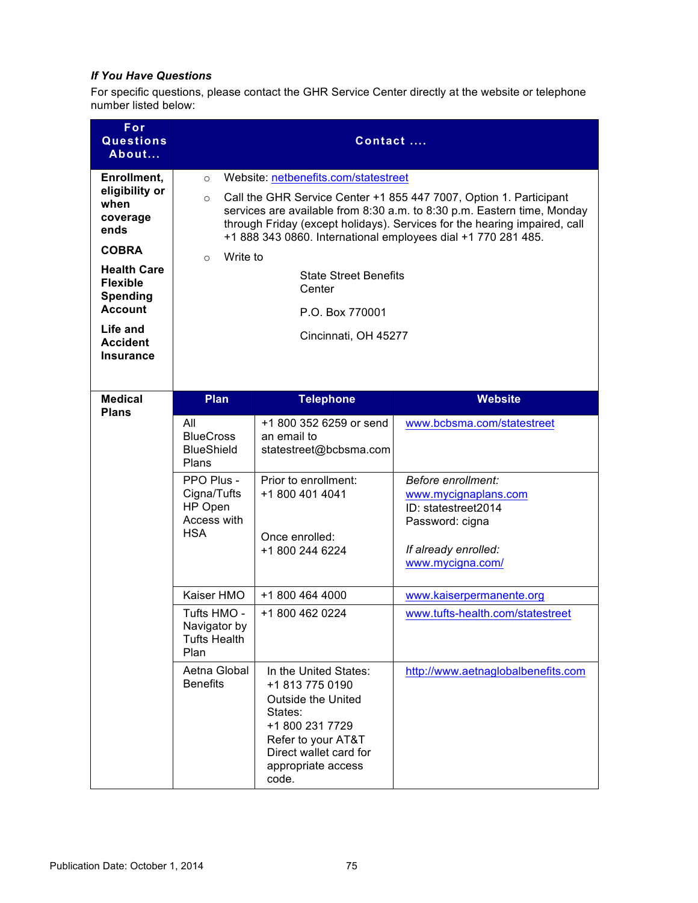# *If You Have Questions*

For specific questions, please contact the GHR Service Center directly at the website or telephone number listed below:

| For<br><b>Questions</b><br>About                                                                                                                                                                           | Contact                                                                                                                                                                                                                                                                                                                                                                                                                                                               |                                                                                                                                                                                    |                                                                                                                                                                |
|------------------------------------------------------------------------------------------------------------------------------------------------------------------------------------------------------------|-----------------------------------------------------------------------------------------------------------------------------------------------------------------------------------------------------------------------------------------------------------------------------------------------------------------------------------------------------------------------------------------------------------------------------------------------------------------------|------------------------------------------------------------------------------------------------------------------------------------------------------------------------------------|----------------------------------------------------------------------------------------------------------------------------------------------------------------|
| Enrollment,<br>eligibility or<br>when<br>coverage<br>ends<br><b>COBRA</b><br><b>Health Care</b><br><b>Flexible</b><br><b>Spending</b><br><b>Account</b><br>Life and<br><b>Accident</b><br><b>Insurance</b> | Website: netbenefits.com/statestreet<br>$\circ$<br>Call the GHR Service Center +1 855 447 7007, Option 1. Participant<br>$\circ$<br>services are available from 8:30 a.m. to 8:30 p.m. Eastern time, Monday<br>through Friday (except holidays). Services for the hearing impaired, call<br>+1 888 343 0860. International employees dial +1 770 281 485.<br>Write to<br>$\circ$<br><b>State Street Benefits</b><br>Center<br>P.O. Box 770001<br>Cincinnati, OH 45277 |                                                                                                                                                                                    |                                                                                                                                                                |
| <b>Medical</b>                                                                                                                                                                                             | <b>Plan</b>                                                                                                                                                                                                                                                                                                                                                                                                                                                           | <b>Telephone</b>                                                                                                                                                                   | <b>Website</b>                                                                                                                                                 |
| <b>Plans</b>                                                                                                                                                                                               | All<br><b>BlueCross</b><br><b>BlueShield</b><br>Plans<br>PPO Plus -<br>Cigna/Tufts<br>HP Open<br>Access with<br><b>HSA</b>                                                                                                                                                                                                                                                                                                                                            | +1 800 352 6259 or send<br>an email to<br>statestreet@bcbsma.com<br>Prior to enrollment:<br>+1 800 401 4041<br>Once enrolled:<br>+1 800 244 6224                                   | www.bcbsma.com/statestreet<br>Before enrollment:<br>www.mycignaplans.com<br>ID: statestreet2014<br>Password: cigna<br>If already enrolled:<br>www.mycigna.com/ |
|                                                                                                                                                                                                            | Kaiser HMO                                                                                                                                                                                                                                                                                                                                                                                                                                                            | +1 800 464 4000                                                                                                                                                                    | www.kaiserpermanente.org                                                                                                                                       |
|                                                                                                                                                                                                            | Tufts HMO -<br>Navigator by<br><b>Tufts Health</b><br>Plan                                                                                                                                                                                                                                                                                                                                                                                                            | +1 800 462 0224                                                                                                                                                                    | www.tufts-health.com/statestreet                                                                                                                               |
|                                                                                                                                                                                                            | Aetna Global<br><b>Benefits</b>                                                                                                                                                                                                                                                                                                                                                                                                                                       | In the United States:<br>+1 813 775 0190<br><b>Outside the United</b><br>States:<br>+1 800 231 7729<br>Refer to your AT&T<br>Direct wallet card for<br>appropriate access<br>code. | http://www.aetnaglobalbenefits.com                                                                                                                             |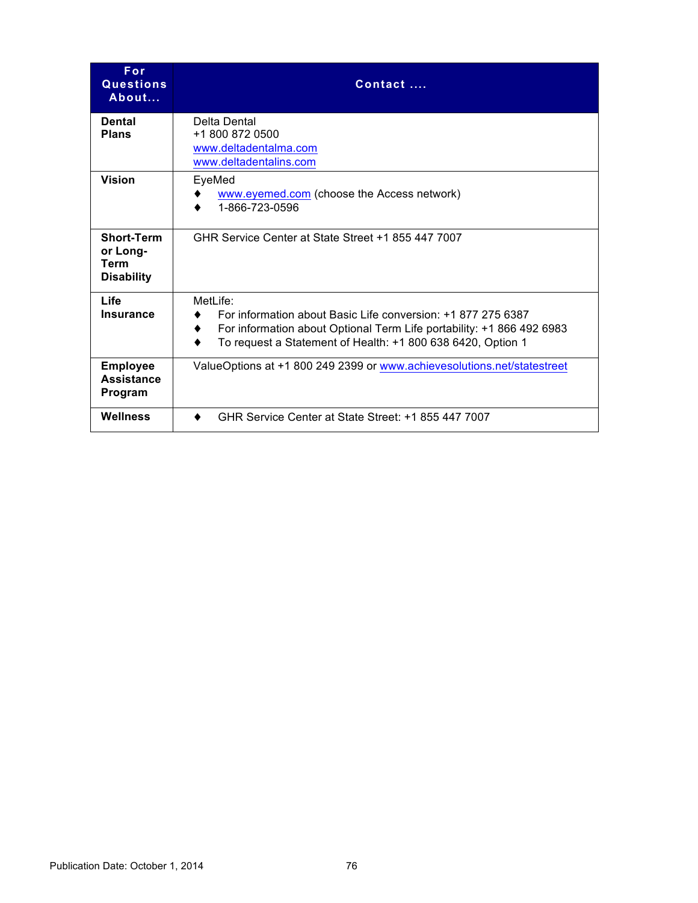| <b>For</b><br><b>Questions</b><br>About                    | Contact                                                                                                                                                                                                          |
|------------------------------------------------------------|------------------------------------------------------------------------------------------------------------------------------------------------------------------------------------------------------------------|
| <b>Dental</b><br><b>Plans</b>                              | Delta Dental<br>+1 800 872 0500<br>www.deltadentalma.com<br>www.deltadentalins.com                                                                                                                               |
| <b>Vision</b>                                              | EyeMed<br>www.eyemed.com (choose the Access network)<br>1-866-723-0596                                                                                                                                           |
| <b>Short-Term</b><br>or Long-<br>Term<br><b>Disability</b> | GHR Service Center at State Street +1 855 447 7007                                                                                                                                                               |
| Life<br><b>Insurance</b>                                   | MetLife:<br>For information about Basic Life conversion: +1 877 275 6387<br>For information about Optional Term Life portability: +1 866 492 6983<br>To request a Statement of Health: +1 800 638 6420, Option 1 |
| <b>Employee</b><br><b>Assistance</b><br>Program            | ValueOptions at +1 800 249 2399 or www.achievesolutions.net/statestreet                                                                                                                                          |
| <b>Wellness</b>                                            | GHR Service Center at State Street: +1 855 447 7007                                                                                                                                                              |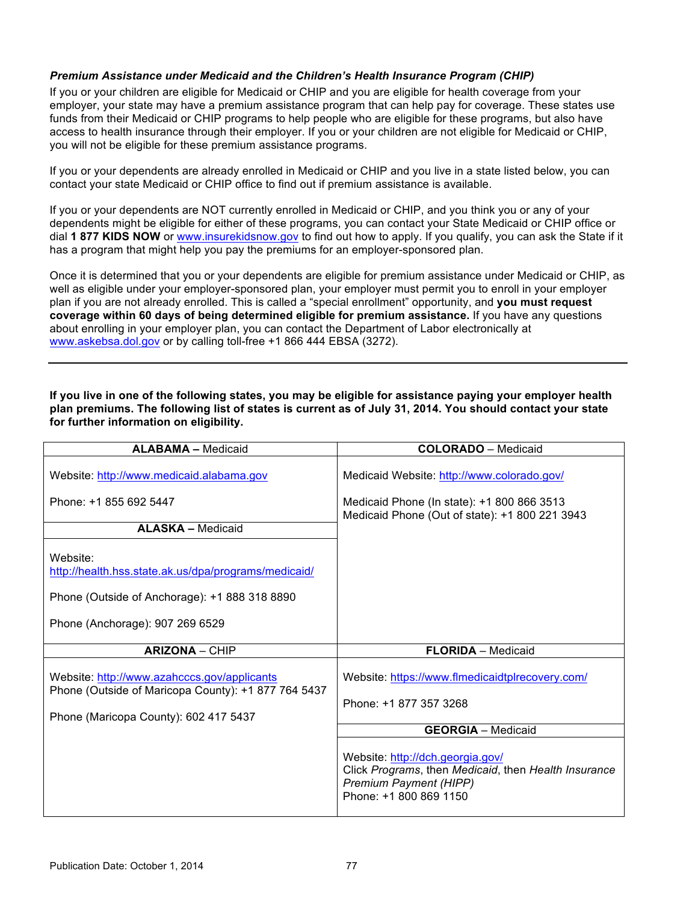# *Premium Assistance under Medicaid and the Children's Health Insurance Program (CHIP)*

If you or your children are eligible for Medicaid or CHIP and you are eligible for health coverage from your employer, your state may have a premium assistance program that can help pay for coverage. These states use funds from their Medicaid or CHIP programs to help people who are eligible for these programs, but also have access to health insurance through their employer. If you or your children are not eligible for Medicaid or CHIP, you will not be eligible for these premium assistance programs.

If you or your dependents are already enrolled in Medicaid or CHIP and you live in a state listed below, you can contact your state Medicaid or CHIP office to find out if premium assistance is available.

If you or your dependents are NOT currently enrolled in Medicaid or CHIP, and you think you or any of your dependents might be eligible for either of these programs, you can contact your State Medicaid or CHIP office or dial **1 877 KIDS NOW** or [www.insurekidsnow.gov](http://www.insurekidsnow.gov) to find out how to apply. If you qualify, you can ask the State if it has a program that might help you pay the premiums for an employer-sponsored plan.

Once it is determined that you or your dependents are eligible for premium assistance under Medicaid or CHIP, as well as eligible under your employer-sponsored plan, your employer must permit you to enroll in your employer plan if you are not already enrolled. This is called a "special enrollment" opportunity, and **you must request coverage within 60 days of being determined eligible for premium assistance.** If you have any questions about enrolling in your employer plan, you can contact the Department of Labor electronically at [www.askebsa.dol.gov](http://www.askebsa.dol.gov) or by calling toll-free +1 866 444 EBSA (3272).

**If you live in one of the following states, you may be eligible for assistance paying your employer health plan premiums. The following list of states is current as of July 31, 2014. You should contact your state for further information on eligibility.** 

| <b>ALABAMA - Medicaid</b>                                                                                                                            | <b>COLORADO</b> - Medicaid                                                                                                                          |
|------------------------------------------------------------------------------------------------------------------------------------------------------|-----------------------------------------------------------------------------------------------------------------------------------------------------|
| Website: http://www.medicaid.alabama.gov<br>Phone: +1 855 692 5447                                                                                   | Medicaid Website: http://www.colorado.gov/<br>Medicaid Phone (In state): +1 800 866 3513<br>Medicaid Phone (Out of state): +1 800 221 3943          |
| <b>ALASKA - Medicaid</b>                                                                                                                             |                                                                                                                                                     |
| Website:<br>http://health.hss.state.ak.us/dpa/programs/medicaid/<br>Phone (Outside of Anchorage): +1 888 318 8890<br>Phone (Anchorage): 907 269 6529 |                                                                                                                                                     |
| <b>ARIZONA - CHIP</b>                                                                                                                                | <b>FLORIDA</b> - Medicaid                                                                                                                           |
| Website: http://www.azahcccs.gov/applicants<br>Phone (Outside of Maricopa County): +1 877 764 5437<br>Phone (Maricopa County): 602 417 5437          | Website: https://www.flmedicaidtplrecovery.com/<br>Phone: +1 877 357 3268                                                                           |
|                                                                                                                                                      | <b>GEORGIA</b> - Medicaid                                                                                                                           |
|                                                                                                                                                      | Website: http://dch.georgia.gov/<br>Click Programs, then Medicaid, then Health Insurance<br><b>Premium Payment (HIPP)</b><br>Phone: +1 800 869 1150 |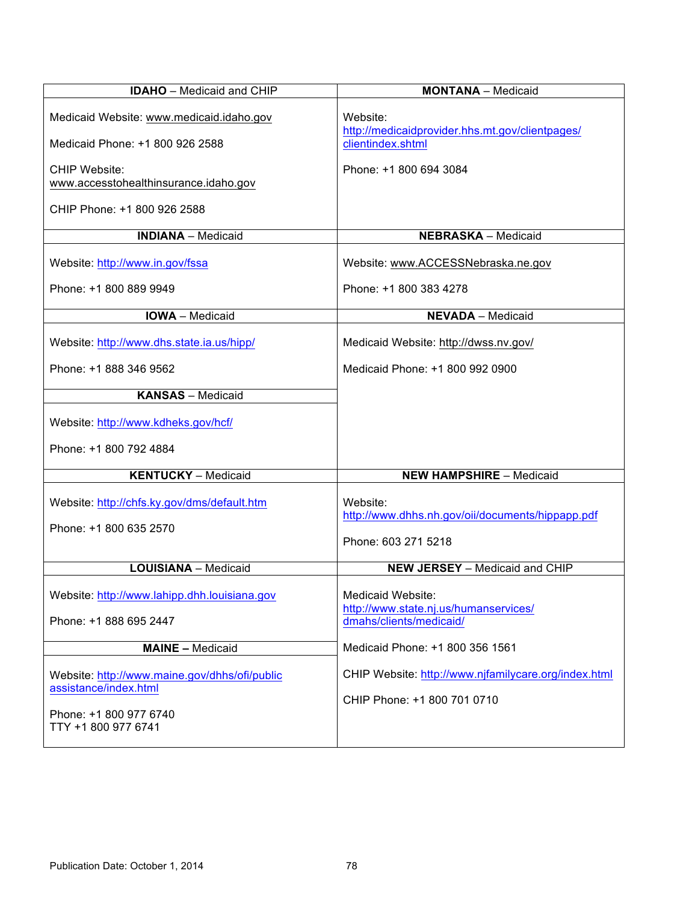| <b>IDAHO</b> - Medicaid and CHIP                                                                                        | <b>MONTANA</b> - Medicaid                                                             |
|-------------------------------------------------------------------------------------------------------------------------|---------------------------------------------------------------------------------------|
| Medicaid Website: www.medicaid.idaho.gov<br>Medicaid Phone: +1 800 926 2588                                             | Website:<br>http://medicaidprovider.hhs.mt.gov/clientpages/<br>clientindex.shtml      |
| <b>CHIP Website:</b><br>www.accesstohealthinsurance.idaho.gov                                                           | Phone: +1 800 694 3084                                                                |
| CHIP Phone: +1 800 926 2588                                                                                             |                                                                                       |
| <b>INDIANA</b> - Medicaid                                                                                               | <b>NEBRASKA - Medicaid</b>                                                            |
| Website: http://www.in.gov/fssa                                                                                         | Website: www.ACCESSNebraska.ne.gov                                                    |
| Phone: +1 800 889 9949                                                                                                  | Phone: +1 800 383 4278                                                                |
| <b>IOWA</b> - Medicaid                                                                                                  | <b>NEVADA</b> - Medicaid                                                              |
| Website: http://www.dhs.state.ia.us/hipp/                                                                               | Medicaid Website: http://dwss.nv.gov/                                                 |
| Phone: +1 888 346 9562                                                                                                  | Medicaid Phone: +1 800 992 0900                                                       |
| <b>KANSAS</b> - Medicaid                                                                                                |                                                                                       |
| Website: http://www.kdheks.gov/hcf/                                                                                     |                                                                                       |
| Phone: +1 800 792 4884                                                                                                  |                                                                                       |
| <b>KENTUCKY</b> - Medicaid                                                                                              | <b>NEW HAMPSHIRE - Medicaid</b>                                                       |
| Website: http://chfs.ky.gov/dms/default.htm<br>Phone: +1 800 635 2570                                                   | Website:<br>http://www.dhhs.nh.gov/oii/documents/hippapp.pdf<br>Phone: 603 271 5218   |
| <b>LOUISIANA - Medicaid</b>                                                                                             | <b>NEW JERSEY</b> - Medicaid and CHIP                                                 |
| Website: http://www.lahipp.dhh.louisiana.gov<br>Phone: +1 888 695 2447                                                  | Medicaid Website:<br>http://www.state.nj.us/humanservices/<br>dmahs/clients/medicaid/ |
| <b>MAINE - Medicaid</b>                                                                                                 | Medicaid Phone: +1 800 356 1561                                                       |
| Website: http://www.maine.gov/dhhs/ofi/public<br>assistance/index.html<br>Phone: +1 800 977 6740<br>TTY +1 800 977 6741 | CHIP Website: http://www.njfamilycare.org/index.html<br>CHIP Phone: +1 800 701 0710   |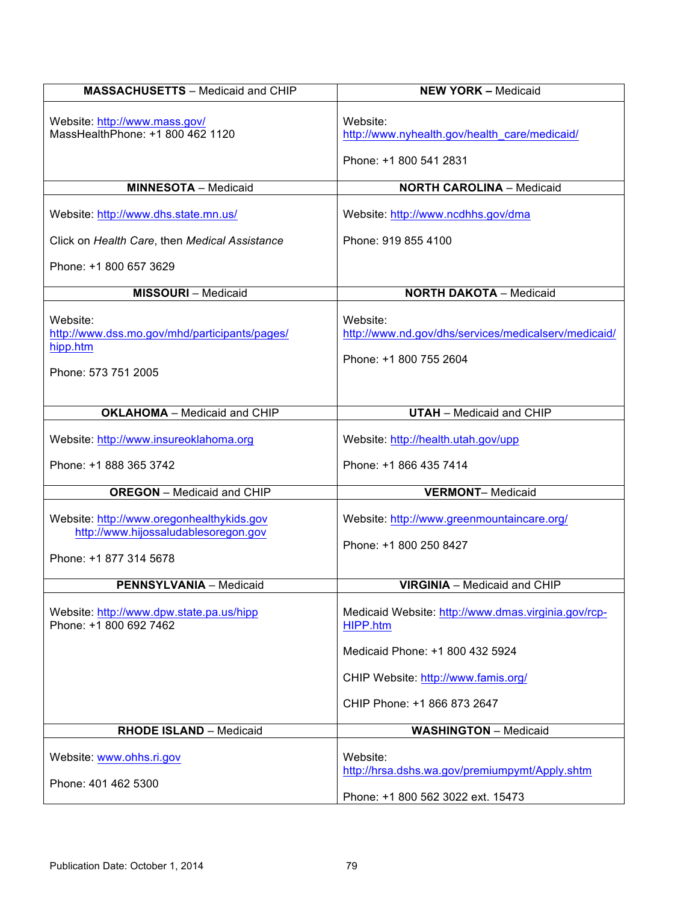| <b>MASSACHUSETTS - Medicaid and CHIP</b>                                                                    | <b>NEW YORK - Medicaid</b>                                                                      |
|-------------------------------------------------------------------------------------------------------------|-------------------------------------------------------------------------------------------------|
| Website: http://www.mass.gov/<br>MassHealthPhone: +1 800 462 1120                                           | Website:<br>http://www.nyhealth.gov/health_care/medicaid/                                       |
|                                                                                                             | Phone: +1 800 541 2831                                                                          |
| <b>MINNESOTA - Medicaid</b>                                                                                 | <b>NORTH CAROLINA - Medicaid</b>                                                                |
| Website: http://www.dhs.state.mn.us/                                                                        | Website: http://www.ncdhhs.gov/dma                                                              |
| Click on Health Care, then Medical Assistance                                                               | Phone: 919 855 4100                                                                             |
| Phone: +1 800 657 3629                                                                                      |                                                                                                 |
| <b>MISSOURI</b> - Medicaid                                                                                  | <b>NORTH DAKOTA - Medicaid</b>                                                                  |
| Website:<br>http://www.dss.mo.gov/mhd/participants/pages/<br>hipp.htm<br>Phone: 573 751 2005                | Website:<br>http://www.nd.gov/dhs/services/medicalserv/medicaid/<br>Phone: +1 800 755 2604      |
| <b>OKLAHOMA</b> - Medicaid and CHIP                                                                         | <b>UTAH</b> - Medicaid and CHIP                                                                 |
| Website: http://www.insureoklahoma.org                                                                      | Website: http://health.utah.gov/upp                                                             |
| Phone: +1 888 365 3742                                                                                      | Phone: +1 866 435 7414                                                                          |
| <b>OREGON</b> - Medicaid and CHIP                                                                           | <b>VERMONT-Medicaid</b>                                                                         |
| Website: http://www.oregonhealthykids.gov<br>http://www.hijossaludablesoregon.gov<br>Phone: +1 877 314 5678 | Website: http://www.greenmountaincare.org/<br>Phone: +1 800 250 8427                            |
| <b>PENNSYLVANIA - Medicaid</b>                                                                              | <b>VIRGINIA</b> - Medicaid and CHIP                                                             |
| Website: http://www.dpw.state.pa.us/hipp<br>Phone: +1 800 692 7462                                          | Medicaid Website: http://www.dmas.virginia.gov/rcp-<br>HIPP.htm                                 |
|                                                                                                             | Medicaid Phone: +1 800 432 5924                                                                 |
|                                                                                                             | CHIP Website: http://www.famis.org/                                                             |
|                                                                                                             | CHIP Phone: +1 866 873 2647                                                                     |
| <b>RHODE ISLAND - Medicaid</b>                                                                              | <b>WASHINGTON - Medicaid</b>                                                                    |
| Website: www.ohhs.ri.gov<br>Phone: 401 462 5300                                                             | Website:<br>http://hrsa.dshs.wa.gov/premiumpymt/Apply.shtm<br>Phone: +1 800 562 3022 ext. 15473 |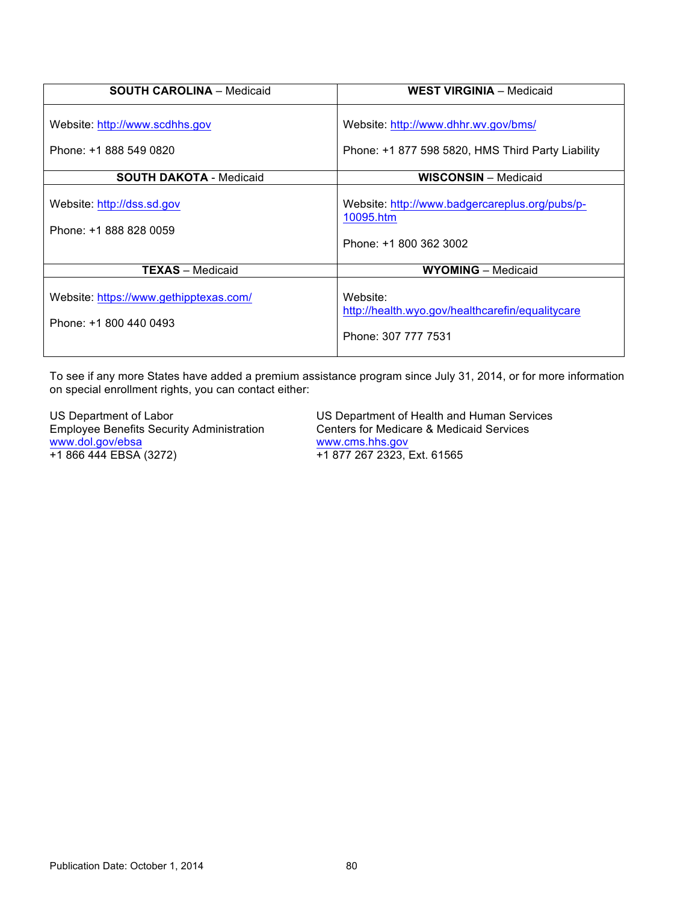| <b>SOUTH CAROLINA - Medicaid</b>                                 | <b>WEST VIRGINIA - Medicaid</b>                                                           |
|------------------------------------------------------------------|-------------------------------------------------------------------------------------------|
| Website: http://www.scdhhs.gov<br>Phone: +1 888 549 0820         | Website: http://www.dhhr.wv.gov/bms/<br>Phone: +1 877 598 5820, HMS Third Party Liability |
| <b>SOUTH DAKOTA - Medicaid</b>                                   | <b>WISCONSIN</b> - Medicaid                                                               |
| Website: http://dss.sd.gov<br>Phone: +1 888 828 0059             | Website: http://www.badgercareplus.org/pubs/p-<br>10095.htm<br>Phone: +1 800 362 3002     |
| <b>TEXAS</b> - Medicaid                                          | <b>WYOMING</b> - Medicaid                                                                 |
| Website: https://www.gethipptexas.com/<br>Phone: +1 800 440 0493 | Website:<br>http://health.wyo.gov/healthcarefin/equalitycare<br>Phone: 307 777 7531       |

To see if any more States have added a premium assistance program since July 31, 2014, or for more information on special enrollment rights, you can contact either:

Employee Benefits Security Administration [www.dol.gov/ebsa](http://www.dol.gov/ebsa) www.cms.hhs.gov<br>+1 866 444 EBSA (3272) +1 877 267 2323, E

US Department of Labor US Department of Health and Human Services<br>Employee Benefits Security Administration Centers for Medicare & Medicaid Services +1 877 267 2323, Ext. 61565